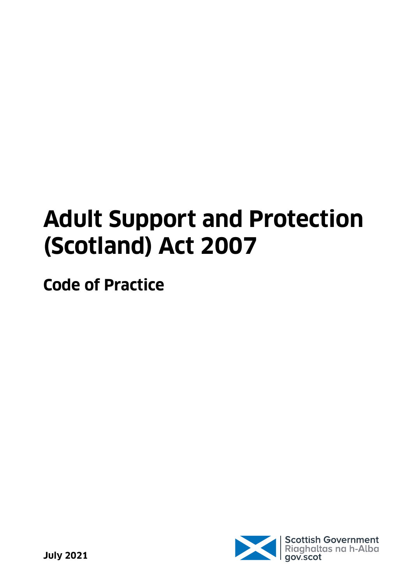# **Adult Support and Protection (Scotland) Act 2007**

**Code of Practice**

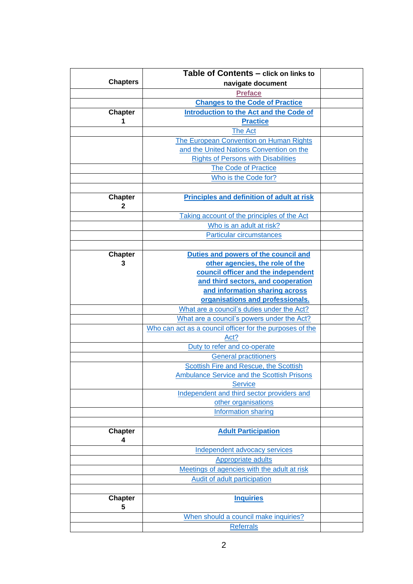<span id="page-1-0"></span>

|                     | Table of Contents - click on links to                    |  |
|---------------------|----------------------------------------------------------|--|
| <b>Chapters</b>     | navigate document                                        |  |
|                     | <b>Preface</b>                                           |  |
|                     | <b>Changes to the Code of Practice</b>                   |  |
| <b>Chapter</b>      | Introduction to the Act and the Code of                  |  |
| 1                   | <b>Practice</b>                                          |  |
|                     | <b>The Act</b>                                           |  |
|                     | The European Convention on Human Rights                  |  |
|                     | and the United Nations Convention on the                 |  |
|                     | <b>Rights of Persons with Disabilities</b>               |  |
|                     | <b>The Code of Practice</b>                              |  |
|                     | Who is the Code for?                                     |  |
|                     |                                                          |  |
| <b>Chapter</b><br>2 | Principles and definition of adult at risk               |  |
|                     | Taking account of the principles of the Act              |  |
|                     | Who is an adult at risk?                                 |  |
|                     | <b>Particular circumstances</b>                          |  |
|                     |                                                          |  |
| <b>Chapter</b>      | Duties and powers of the council and                     |  |
| 3                   | other agencies, the role of the                          |  |
|                     | council officer and the independent                      |  |
|                     | and third sectors, and cooperation                       |  |
|                     | and information sharing across                           |  |
|                     | organisations and professionals.                         |  |
|                     | What are a council's duties under the Act?               |  |
|                     | What are a council's powers under the Act?               |  |
|                     | Who can act as a council officer for the purposes of the |  |
|                     | Act?                                                     |  |
|                     | Duty to refer and co-operate                             |  |
|                     | <b>General practitioners</b>                             |  |
|                     | Scottish Fire and Rescue, the Scottish                   |  |
|                     | <b>Ambulance Service and the Scottish Prisons</b>        |  |
|                     | <b>Service</b>                                           |  |
|                     | Independent and third sector providers and               |  |
|                     | other organisations                                      |  |
|                     | Information sharing                                      |  |
|                     |                                                          |  |
| <b>Chapter</b>      | <b>Adult Participation</b>                               |  |
| 4                   |                                                          |  |
|                     | Independent advocacy services                            |  |
|                     | <b>Appropriate adults</b>                                |  |
|                     | Meetings of agencies with the adult at risk              |  |
|                     | Audit of adult participation                             |  |
|                     |                                                          |  |
| <b>Chapter</b><br>5 | <b>Inquiries</b>                                         |  |
|                     | When should a council make inquiries?                    |  |
|                     | <b>Referrals</b>                                         |  |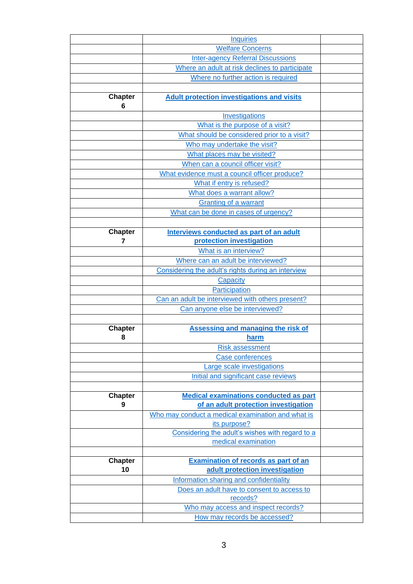|                     | <b>Inquiries</b>                                   |  |
|---------------------|----------------------------------------------------|--|
|                     | <b>Welfare Concerns</b>                            |  |
|                     | <b>Inter-agency Referral Discussions</b>           |  |
|                     | Where an adult at risk declines to participate     |  |
|                     | Where no further action is required                |  |
|                     |                                                    |  |
| <b>Chapter</b><br>6 | <b>Adult protection investigations and visits</b>  |  |
|                     | Investigations                                     |  |
|                     | What is the purpose of a visit?                    |  |
|                     | What should be considered prior to a visit?        |  |
|                     | Who may undertake the visit?                       |  |
|                     | What places may be visited?                        |  |
|                     | When can a council officer visit?                  |  |
|                     | What evidence must a council officer produce?      |  |
|                     | What if entry is refused?                          |  |
|                     | What does a warrant allow?                         |  |
|                     | Granting of a warrant                              |  |
|                     | What can be done in cases of urgency?              |  |
|                     |                                                    |  |
| <b>Chapter</b>      | Interviews conducted as part of an adult           |  |
| 7                   | protection investigation                           |  |
|                     | What is an interview?                              |  |
|                     | Where can an adult be interviewed?                 |  |
|                     | Considering the adult's rights during an interview |  |
|                     | Capacity                                           |  |
|                     | Participation                                      |  |
|                     | Can an adult be interviewed with others present?   |  |
|                     | Can anyone else be interviewed?                    |  |
|                     |                                                    |  |
| <b>Chapter</b><br>8 | <b>Assessing and managing the risk of</b><br>harm  |  |
|                     | <b>Risk assessment</b>                             |  |
|                     | <b>Case conferences</b>                            |  |
|                     | Large scale investigations                         |  |
|                     | Initial and significant case reviews               |  |
|                     |                                                    |  |
| <b>Chapter</b>      | <b>Medical examinations conducted as part</b>      |  |
| 9                   | of an adult protection investigation               |  |
|                     | Who may conduct a medical examination and what is  |  |
|                     | its purpose?                                       |  |
|                     | Considering the adult's wishes with regard to a    |  |
|                     | medical examination                                |  |
|                     |                                                    |  |
| <b>Chapter</b>      | Examination of records as part of an               |  |
| 10                  | adult protection investigation                     |  |
|                     | Information sharing and confidentiality            |  |
|                     | Does an adult have to consent to access to         |  |
|                     | records?                                           |  |
|                     | Who may access and inspect records?                |  |
|                     | How may records be accessed?                       |  |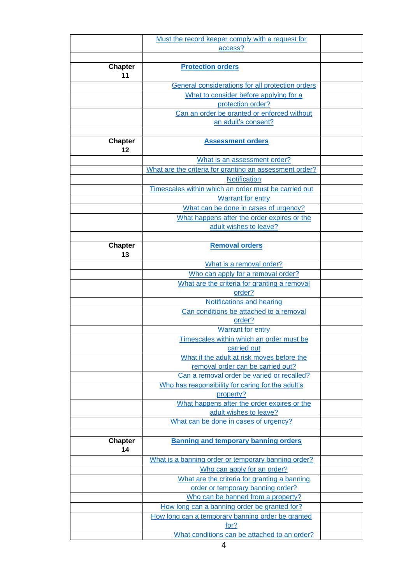|                      | Must the record keeper comply with a request for                                  |  |
|----------------------|-----------------------------------------------------------------------------------|--|
|                      | access?                                                                           |  |
|                      |                                                                                   |  |
| <b>Chapter</b><br>11 | <b>Protection orders</b>                                                          |  |
|                      | General considerations for all protection orders                                  |  |
|                      | What to consider before applying for a                                            |  |
|                      | protection order?                                                                 |  |
|                      | Can an order be granted or enforced without                                       |  |
|                      | an adult's consent?                                                               |  |
|                      |                                                                                   |  |
| <b>Chapter</b><br>12 | <b>Assessment orders</b>                                                          |  |
|                      | What is an assessment order?                                                      |  |
|                      | What are the criteria for granting an assessment order?                           |  |
|                      | Notification                                                                      |  |
|                      | Timescales within which an order must be carried out                              |  |
|                      | <b>Warrant for entry</b>                                                          |  |
|                      | What can be done in cases of urgency?                                             |  |
|                      | What happens after the order expires or the<br>adult wishes to leave?             |  |
|                      |                                                                                   |  |
| <b>Chapter</b><br>13 | <b>Removal orders</b>                                                             |  |
|                      | What is a removal order?                                                          |  |
|                      | Who can apply for a removal order?                                                |  |
|                      | What are the criteria for granting a removal                                      |  |
|                      | order?                                                                            |  |
|                      | Notifications and hearing                                                         |  |
|                      | Can conditions be attached to a removal                                           |  |
|                      | order?                                                                            |  |
|                      | <b>Warrant for entry</b>                                                          |  |
|                      | Timescales within which an order must be                                          |  |
|                      | carried out<br>What if the adult at risk moves before the                         |  |
|                      | removal order can be carried out?                                                 |  |
|                      | Can a removal order be varied or recalled?                                        |  |
|                      | Who has responsibility for caring for the adult's                                 |  |
|                      | property?                                                                         |  |
|                      | What happens after the order expires or the                                       |  |
|                      | adult wishes to leave?                                                            |  |
|                      | What can be done in cases of urgency?                                             |  |
|                      |                                                                                   |  |
| <b>Chapter</b><br>14 | <b>Banning and temporary banning orders</b>                                       |  |
|                      | What is a banning order or temporary banning order?                               |  |
|                      | Who can apply for an order?                                                       |  |
|                      | What are the criteria for granting a banning<br>order or temporary banning order? |  |
|                      | Who can be banned from a property?                                                |  |
|                      | How long can a banning order be granted for?                                      |  |
|                      | How long can a temporary banning order be granted                                 |  |
|                      | for?                                                                              |  |
|                      | What conditions can be attached to an order?                                      |  |
|                      | 4                                                                                 |  |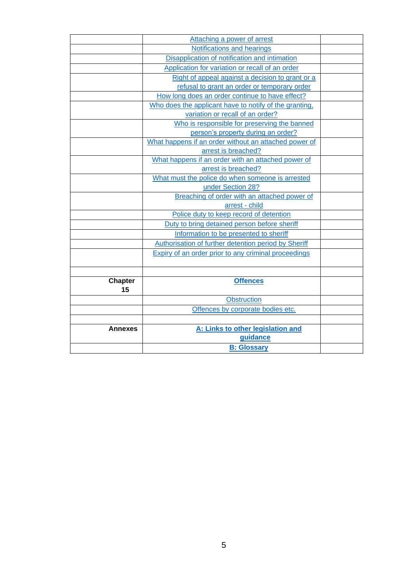|                      | Attaching a power of arrest                            |  |
|----------------------|--------------------------------------------------------|--|
|                      | Notifications and hearings                             |  |
|                      | Disapplication of notification and intimation          |  |
|                      | Application for variation or recall of an order        |  |
|                      | Right of appeal against a decision to grant or a       |  |
|                      | refusal to grant an order or temporary order           |  |
|                      | How long does an order continue to have effect?        |  |
|                      | Who does the applicant have to notify of the granting. |  |
|                      | variation or recall of an order?                       |  |
|                      | Who is responsible for preserving the banned           |  |
|                      | person's property during an order?                     |  |
|                      | What happens if an order without an attached power of  |  |
|                      | arrest is breached?                                    |  |
|                      | What happens if an order with an attached power of     |  |
|                      | arrest is breached?                                    |  |
|                      | What must the police do when someone is arrested       |  |
|                      | under Section 28?                                      |  |
|                      | Breaching of order with an attached power of           |  |
|                      | arrest - child                                         |  |
|                      | Police duty to keep record of detention                |  |
|                      | Duty to bring detained person before sheriff           |  |
|                      | Information to be presented to sheriff                 |  |
|                      | Authorisation of further detention period by Sheriff   |  |
|                      | Expiry of an order prior to any criminal proceedings   |  |
|                      |                                                        |  |
|                      | <b>Offences</b>                                        |  |
| <b>Chapter</b><br>15 |                                                        |  |
|                      | <b>Obstruction</b>                                     |  |
|                      | Offences by corporate bodies etc.                      |  |
|                      |                                                        |  |
|                      |                                                        |  |
| <b>Annexes</b>       | A: Links to other legislation and                      |  |
|                      | guidance                                               |  |
|                      | <b>B: Glossary</b>                                     |  |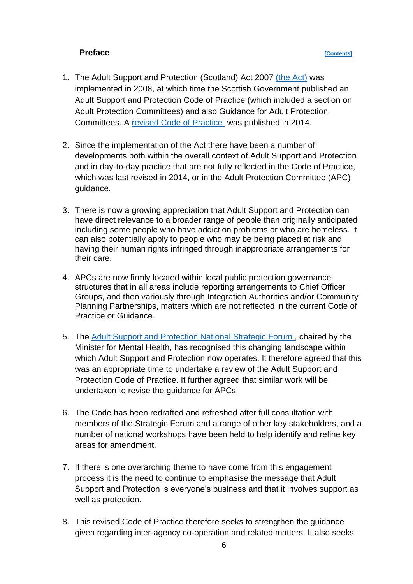### **Preface** *Contents*

- <span id="page-5-0"></span>1. The Adult Support and Protection (Scotland) Act 2007 [\(the Act\)](https://www.legislation.gov.uk/asp/2007/10/contents) was implemented in 2008, at which time the Scottish Government published an Adult Support and Protection Code of Practice (which included a section on Adult Protection Committees) and also Guidance for Adult Protection Committees. A [revised Code of Practice](https://www.gov.scot/publications/adult-support-and-protection-revised-code-of-practice/pages/3/) was published in 2014.
- 2. Since the implementation of the Act there have been a number of developments both within the overall context of Adult Support and Protection and in day-to-day practice that are not fully reflected in the Code of Practice, which was last revised in 2014, or in the Adult Protection Committee (APC) guidance.
- 3. There is now a growing appreciation that Adult Support and Protection can have direct relevance to a broader range of people than originally anticipated including some people who have addiction problems or who are homeless. It can also potentially apply to people who may be being placed at risk and having their human rights infringed through inappropriate arrangements for their care.
- 4. APCs are now firmly located within local public protection governance structures that in all areas include reporting arrangements to Chief Officer Groups, and then variously through Integration Authorities and/or Community Planning Partnerships, matters which are not reflected in the current Code of Practice or Guidance.
- 5. The [Adult Support and Protection National Strategic Forum ,](https://www.gov.scot/groups/adult-support-and-protection-national-strategic-forum/) chaired by the Minister for Mental Health, has recognised this changing landscape within which Adult Support and Protection now operates. It therefore agreed that this was an appropriate time to undertake a review of the Adult Support and Protection Code of Practice. It further agreed that similar work will be undertaken to revise the guidance for APCs.
- 6. The Code has been redrafted and refreshed after full consultation with members of the Strategic Forum and a range of other key stakeholders, and a number of national workshops have been held to help identify and refine key areas for amendment.
- 7. If there is one overarching theme to have come from this engagement process it is the need to continue to emphasise the message that Adult Support and Protection is everyone's business and that it involves support as well as protection.
- 8. This revised Code of Practice therefore seeks to strengthen the guidance given regarding inter-agency co-operation and related matters. It also seeks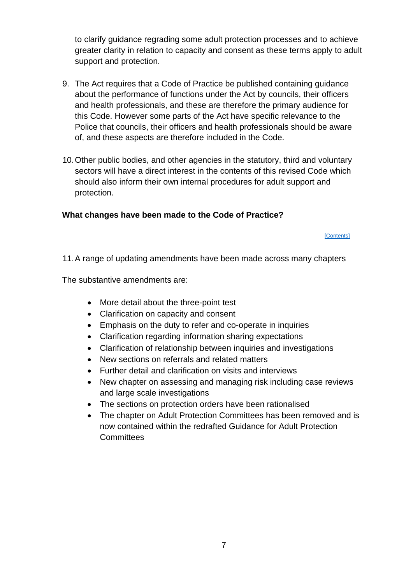to clarify guidance regrading some adult protection processes and to achieve greater clarity in relation to capacity and consent as these terms apply to adult support and protection.

- 9. The Act requires that a Code of Practice be published containing guidance about the performance of functions under the Act by councils, their officers and health professionals, and these are therefore the primary audience for this Code. However some parts of the Act have specific relevance to the Police that councils, their officers and health professionals should be aware of, and these aspects are therefore included in the Code.
- 10.Other public bodies, and other agencies in the statutory, third and voluntary sectors will have a direct interest in the contents of this revised Code which should also inform their own internal procedures for adult support and protection.

# <span id="page-6-0"></span>**What changes have been made to the Code of Practice?**

#### **[\[Contents\]](#page-1-0)**

11.A range of updating amendments have been made across many chapters

The substantive amendments are:

- More detail about the three-point test
- Clarification on capacity and consent
- Emphasis on the duty to refer and co-operate in inquiries
- Clarification regarding information sharing expectations
- Clarification of relationship between inquiries and investigations
- New sections on referrals and related matters
- Further detail and clarification on visits and interviews
- New chapter on assessing and managing risk including case reviews and large scale investigations
- The sections on protection orders have been rationalised
- The chapter on Adult Protection Committees has been removed and is now contained within the redrafted Guidance for Adult Protection **Committees**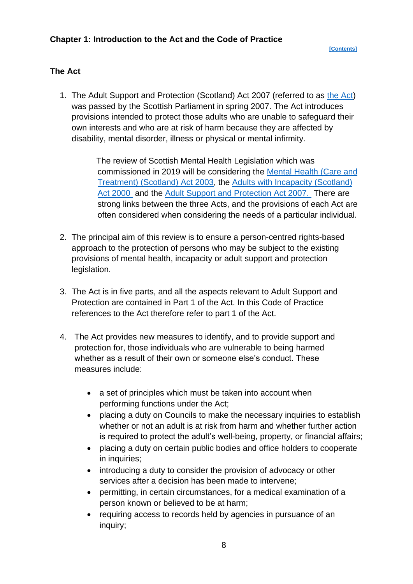### <span id="page-7-1"></span><span id="page-7-0"></span>**The Act**

1. The Adult Support and Protection (Scotland) Act 2007 (referred to as [the Act\)](https://www.legislation.gov.uk/asp/2007/10/contents) was passed by the Scottish Parliament in spring 2007. The Act introduces provisions intended to protect those adults who are unable to safeguard their own interests and who are at risk of harm because they are affected by disability, mental disorder, illness or physical or mental infirmity.

> The review of Scottish Mental Health Legislation which was commissioned in 2019 will be considering the [Mental Health \(Care and](https://www.legislation.gov.uk/asp/2003/13/contents)  [Treatment\) \(Scotland\) Act 2003,](https://www.legislation.gov.uk/asp/2003/13/contents) the [Adults with Incapacity \(Scotland\)](https://www.legislation.gov.uk/asp/2000/4/contents)  [Act 2000](https://www.legislation.gov.uk/asp/2000/4/contents) and the [Adult Support and Protection Act 2007.](https://www.legislation.gov.uk/asp/2007/10/contents) There are strong links between the three Acts, and the provisions of each Act are often considered when considering the needs of a particular individual.

- 2. The principal aim of this review is to ensure a person-centred rights-based approach to the protection of persons who may be subject to the existing provisions of mental health, incapacity or adult support and protection legislation.
- 3. The Act is in five parts, and all the aspects relevant to Adult Support and Protection are contained in Part 1 of the Act. In this Code of Practice references to the Act therefore refer to part 1 of the Act.
- 4. The Act provides new measures to identify, and to provide support and protection for, those individuals who are vulnerable to being harmed whether as a result of their own or someone else's conduct. These measures include:
	- a set of principles which must be taken into account when performing functions under the Act;
	- placing a duty on Councils to make the necessary inquiries to establish whether or not an adult is at risk from harm and whether further action is required to protect the adult's well-being, property, or financial affairs;
	- placing a duty on certain public bodies and office holders to cooperate in inquiries;
	- introducing a duty to consider the provision of advocacy or other services after a decision has been made to intervene;
	- permitting, in certain circumstances, for a medical examination of a person known or believed to be at harm;
	- requiring access to records held by agencies in pursuance of an inquiry;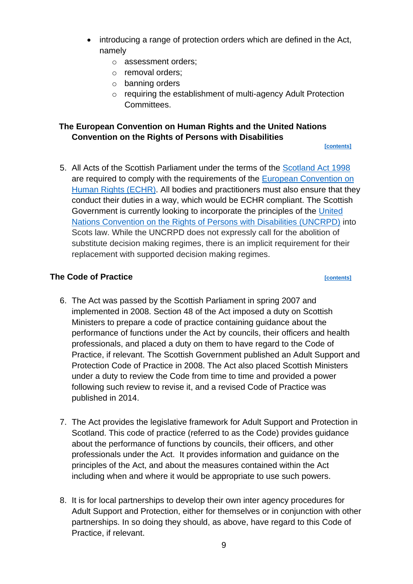- introducing a range of protection orders which are defined in the Act, namely
	- o assessment orders;
	- o removal orders;
	- o banning orders
	- o requiring the establishment of multi-agency Adult Protection Committees.

# <span id="page-8-0"></span>**The European Convention on Human Rights and the United Nations Convention on the Rights of Persons with Disabilities**

**[\[contents\]](#page-1-0)**

5. All Acts of the Scottish Parliament under the terms of the [Scotland Act 1998](https://www.legislation.gov.uk/ukpga/1998/46/contents)  are required to comply with the requirements of the [European Convention on](https://www.equalityhumanrights.com/en/what-european-convention-human-rights#:~:text=The%20European%20Convention%20The%20European%20Convention%20on%20Human,the%20Protection%20of%20Human%20Rights%20and%20Fundamental%20Freedoms%E2%80%99.)  [Human Rights \(ECHR\).](https://www.equalityhumanrights.com/en/what-european-convention-human-rights#:~:text=The%20European%20Convention%20The%20European%20Convention%20on%20Human,the%20Protection%20of%20Human%20Rights%20and%20Fundamental%20Freedoms%E2%80%99.) All bodies and practitioners must also ensure that they conduct their duties in a way, which would be ECHR compliant. The Scottish Government is currently looking to incorporate the principles of the [United](https://www.un.org/development/desa/disabilities/convention-on-the-rights-of-persons-with-disabilities.html)  [Nations Convention on the Rights of Persons with Disabilities \(UNCRPD\)](https://www.un.org/development/desa/disabilities/convention-on-the-rights-of-persons-with-disabilities.html) into Scots law. While the UNCRPD does not expressly call for the abolition of substitute decision making regimes, there is an implicit requirement for their replacement with supported decision making regimes.

# <span id="page-8-1"></span>**The Code of Practice** *contents*

- 6. The Act was passed by the Scottish Parliament in spring 2007 and implemented in 2008. Section 48 of the Act imposed a duty on Scottish Ministers to prepare a code of practice containing guidance about the performance of functions under the Act by councils, their officers and health professionals, and placed a duty on them to have regard to the Code of Practice, if relevant. The Scottish Government published an Adult Support and Protection Code of Practice in 2008. The Act also placed Scottish Ministers under a duty to review the Code from time to time and provided a power following such review to revise it, and a revised Code of Practice was published in 2014.
- 7. The Act provides the legislative framework for Adult Support and Protection in Scotland. This code of practice (referred to as the Code) provides guidance about the performance of functions by councils, their officers, and other professionals under the Act. It provides information and guidance on the principles of the Act, and about the measures contained within the Act including when and where it would be appropriate to use such powers.
- 8. It is for local partnerships to develop their own inter agency procedures for Adult Support and Protection, either for themselves or in conjunction with other partnerships. In so doing they should, as above, have regard to this Code of Practice, if relevant.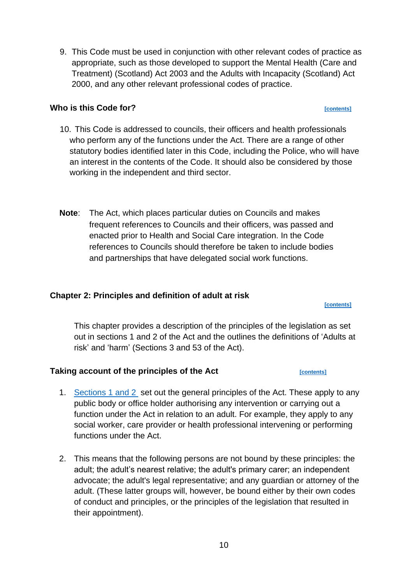9. This Code must be used in conjunction with other relevant codes of practice as appropriate, such as those developed to support the Mental Health (Care and Treatment) (Scotland) Act 2003 and the Adults with Incapacity (Scotland) Act 2000, and any other relevant professional codes of practice.

## <span id="page-9-0"></span>**Who is this Code for?** *CODE CON***<sub>2</sub> <b>***CON***<sub>2</sub>** *CON***<sub>2</sub>** *CON***<sub>2</sub> <b>***CON***<sub>2</sub>** *CON***<sub>2</sub>** *CON***<sub>2</sub>** *CON***<sub>2</sub>** *CON***<sub>2</sub>**

- 10. This Code is addressed to councils, their officers and health professionals who perform any of the functions under the Act. There are a range of other statutory bodies identified later in this Code, including the Police, who will have an interest in the contents of the Code. It should also be considered by those working in the independent and third sector.
- **Note**: The Act, which places particular duties on Councils and makes frequent references to Councils and their officers, was passed and enacted prior to Health and Social Care integration. In the Code references to Councils should therefore be taken to include bodies and partnerships that have delegated social work functions.

## <span id="page-9-1"></span>**Chapter 2: Principles and definition of adult at risk**

This chapter provides a description of the principles of the legislation as set out in sections 1 and 2 of the Act and the outlines the definitions of 'Adults at risk' and 'harm' (Sections 3 and 53 of the Act).

# <span id="page-9-2"></span>**Taking account of the principles of the Act** *[\[contents\]](#page-1-0)*

- 1. [Sections 1 and 2](https://www.legislation.gov.uk/asp/2007/10/section/1) set out the general principles of the Act. These apply to any public body or office holder authorising any intervention or carrying out a function under the Act in relation to an adult. For example, they apply to any social worker, care provider or health professional intervening or performing functions under the Act.
- 2. This means that the following persons are not bound by these principles: the adult; the adult's nearest relative; the adult's primary carer; an independent advocate; the adult's legal representative; and any guardian or attorney of the adult. (These latter groups will, however, be bound either by their own codes of conduct and principles, or the principles of the legislation that resulted in their appointment).

**[\[contents\]](#page-1-0)**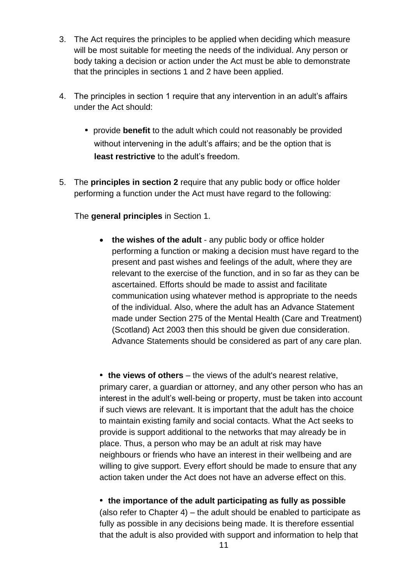- 3. The Act requires the principles to be applied when deciding which measure will be most suitable for meeting the needs of the individual. Any person or body taking a decision or action under the Act must be able to demonstrate that the principles in sections 1 and 2 have been applied.
- 4. The principles in section 1 require that any intervention in an adult's affairs under the Act should:
	- provide **benefit** to the adult which could not reasonably be provided without intervening in the adult's affairs; and be the option that is **least restrictive** to the adult's freedom.
- 5. The **principles in section 2** require that any public body or office holder performing a function under the Act must have regard to the following:

The **general principles** in Section 1.

• the wishes of the adult - any public body or office holder performing a function or making a decision must have regard to the present and past wishes and feelings of the adult, where they are relevant to the exercise of the function, and in so far as they can be ascertained. Efforts should be made to assist and facilitate communication using whatever method is appropriate to the needs of the individual. Also, where the adult has an Advance Statement made under Section 275 of the Mental Health (Care and Treatment) (Scotland) Act 2003 then this should be given due consideration. Advance Statements should be considered as part of any care plan.

• the views of others – the views of the adult's nearest relative, primary carer, a guardian or attorney, and any other person who has an interest in the adult's well-being or property, must be taken into account if such views are relevant. It is important that the adult has the choice to maintain existing family and social contacts. What the Act seeks to provide is support additional to the networks that may already be in place. Thus, a person who may be an adult at risk may have neighbours or friends who have an interest in their wellbeing and are willing to give support. Every effort should be made to ensure that any action taken under the Act does not have an adverse effect on this.

**the importance of the adult participating as fully as possible**  (also refer to Chapter 4) – the adult should be enabled to participate as fully as possible in any decisions being made. It is therefore essential that the adult is also provided with support and information to help that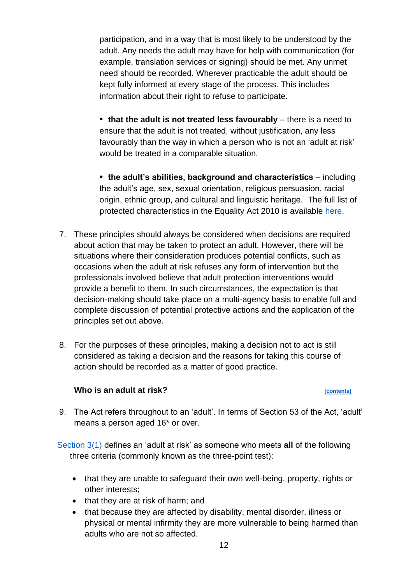participation, and in a way that is most likely to be understood by the adult. Any needs the adult may have for help with communication (for example, translation services or signing) should be met. Any unmet need should be recorded. Wherever practicable the adult should be kept fully informed at every stage of the process. This includes information about their right to refuse to participate.

• that the adult is not treated less favourably – there is a need to ensure that the adult is not treated, without justification, any less favourably than the way in which a person who is not an 'adult at risk' would be treated in a comparable situation.

**the adult's abilities, background and characteristics** – including the adult's age, sex, sexual orientation, religious persuasion, racial origin, ethnic group, and cultural and linguistic heritage. The full list of protected characteristics in the Equality Act 2010 is available [here.](https://www.equalityhumanrights.com/en/equality-act/protected-characteristics)

- 7. These principles should always be considered when decisions are required about action that may be taken to protect an adult. However, there will be situations where their consideration produces potential conflicts, such as occasions when the adult at risk refuses any form of intervention but the professionals involved believe that adult protection interventions would provide a benefit to them. In such circumstances, the expectation is that decision-making should take place on a multi-agency basis to enable full and complete discussion of potential protective actions and the application of the principles set out above.
- 8. For the purposes of these principles, making a decision not to act is still considered as taking a decision and the reasons for taking this course of action should be recorded as a matter of good practice.

### **Who is an adult at risk?** *[\[contents\]](#page-1-0)*

<span id="page-11-0"></span>9. The Act refers throughout to an 'adult'. In terms of Section 53 of the Act, 'adult' means a person aged 16\* or over.

[Section 3\(1\) d](https://www.legislation.gov.uk/asp/2007/10/section/3)efines an 'adult at risk' as someone who meets **all** of the following three criteria (commonly known as the three-point test):

- that they are unable to safeguard their own well-being, property, rights or other interests;
- that they are at risk of harm; and
- that because they are affected by disability, mental disorder, illness or physical or mental infirmity they are more vulnerable to being harmed than adults who are not so affected.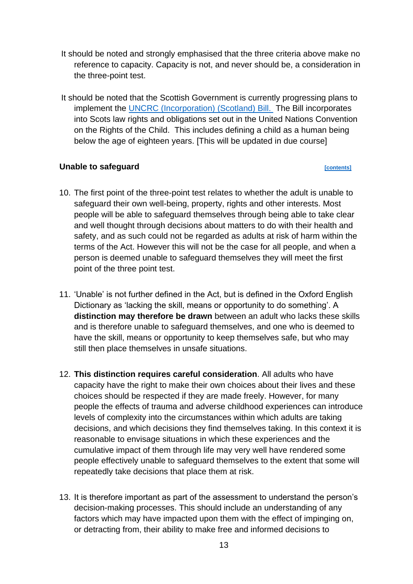- It should be noted and strongly emphasised that the three criteria above make no reference to capacity. Capacity is not, and never should be, a consideration in the three-point test.
- It should be noted that the Scottish Government is currently progressing plans to implement the [UNCRC \(Incorporation\) \(Scotland\) Bill.](https://www.gov.scot/publications/united-nations-convention-rights-child-incorporation-scotland-bill-leaflet/) The Bill incorporates into Scots law rights and obligations set out in the United Nations Convention on the Rights of the Child. This includes defining a child as a human being below the age of eighteen years. [This will be updated in due course]

### **Unable to safeguard** *contents*

- 10. The first point of the three-point test relates to whether the adult is unable to safeguard their own well-being, property, rights and other interests. Most people will be able to safeguard themselves through being able to take clear and well thought through decisions about matters to do with their health and safety, and as such could not be regarded as adults at risk of harm within the terms of the Act. However this will not be the case for all people, and when a person is deemed unable to safeguard themselves they will meet the first point of the three point test.
- 11. 'Unable' is not further defined in the Act, but is defined in the Oxford English Dictionary as 'lacking the skill, means or opportunity to do something'. A **distinction may therefore be drawn** between an adult who lacks these skills and is therefore unable to safeguard themselves, and one who is deemed to have the skill, means or opportunity to keep themselves safe, but who may still then place themselves in unsafe situations.
- 12. **This distinction requires careful consideration**. All adults who have capacity have the right to make their own choices about their lives and these choices should be respected if they are made freely. However, for many people the effects of trauma and adverse childhood experiences can introduce levels of complexity into the circumstances within which adults are taking decisions, and which decisions they find themselves taking. In this context it is reasonable to envisage situations in which these experiences and the cumulative impact of them through life may very well have rendered some people effectively unable to safeguard themselves to the extent that some will repeatedly take decisions that place them at risk.
- 13. It is therefore important as part of the assessment to understand the person's decision-making processes. This should include an understanding of any factors which may have impacted upon them with the effect of impinging on, or detracting from, their ability to make free and informed decisions to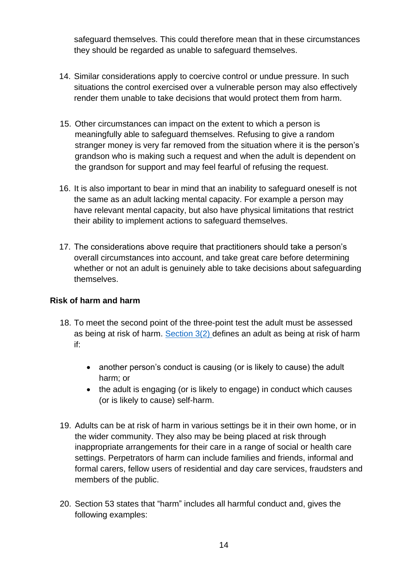safeguard themselves. This could therefore mean that in these circumstances they should be regarded as unable to safeguard themselves.

- 14. Similar considerations apply to coercive control or undue pressure. In such situations the control exercised over a vulnerable person may also effectively render them unable to take decisions that would protect them from harm.
- 15. Other circumstances can impact on the extent to which a person is meaningfully able to safeguard themselves. Refusing to give a random stranger money is very far removed from the situation where it is the person's grandson who is making such a request and when the adult is dependent on the grandson for support and may feel fearful of refusing the request.
- 16. It is also important to bear in mind that an inability to safeguard oneself is not the same as an adult lacking mental capacity. For example a person may have relevant mental capacity, but also have physical limitations that restrict their ability to implement actions to safeguard themselves.
- 17. The considerations above require that practitioners should take a person's overall circumstances into account, and take great care before determining whether or not an adult is genuinely able to take decisions about safeguarding themselves.

# **Risk of harm and harm**

- 18. To meet the second point of the three-point test the adult must be assessed as being at risk of harm. [Section 3\(2\) d](https://www.legislation.gov.uk/asp/2007/10/section/3)efines an adult as being at risk of harm if:
	- another person's conduct is causing (or is likely to cause) the adult harm; or
	- the adult is engaging (or is likely to engage) in conduct which causes (or is likely to cause) self-harm.
- 19. Adults can be at risk of harm in various settings be it in their own home, or in the wider community. They also may be being placed at risk through inappropriate arrangements for their care in a range of social or health care settings. Perpetrators of harm can include families and friends, informal and formal carers, fellow users of residential and day care services, fraudsters and members of the public.
- 20. Section 53 states that "harm" includes all harmful conduct and, gives the following examples: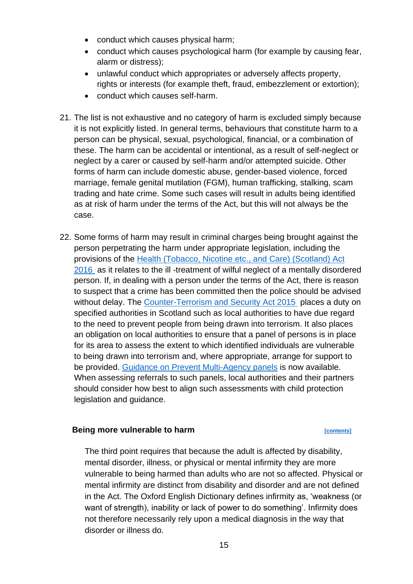- conduct which causes physical harm;
- conduct which causes psychological harm (for example by causing fear, alarm or distress);
- unlawful conduct which appropriates or adversely affects property, rights or interests (for example theft, fraud, embezzlement or extortion);
- conduct which causes self-harm.
- 21. The list is not exhaustive and no category of harm is excluded simply because it is not explicitly listed. In general terms, behaviours that constitute harm to a person can be physical, sexual, psychological, financial, or a combination of these. The harm can be accidental or intentional, as a result of self-neglect or neglect by a carer or caused by self-harm and/or attempted suicide. Other forms of harm can include domestic abuse, gender-based violence, forced marriage, female genital mutilation (FGM), human trafficking, stalking, scam trading and hate crime. Some such cases will result in adults being identified as at risk of harm under the terms of the Act, but this will not always be the case.
- 22. Some forms of harm may result in criminal charges being brought against the person perpetrating the harm under appropriate legislation, including the provisions of the [Health \(Tobacco, Nicotine etc., and Care\) \(Scotland\) Act](https://www.legislation.gov.uk/asp/2016/14/contents#:~:text=Health%20%28Tobacco%2C%20Nicotine%20etc.%20and%20Care%29%20%28Scotland%29%20Act,accessible%20to%20readers%20who%20are%20not%20legally%20qualified.)  [2016](https://www.legislation.gov.uk/asp/2016/14/contents#:~:text=Health%20%28Tobacco%2C%20Nicotine%20etc.%20and%20Care%29%20%28Scotland%29%20Act,accessible%20to%20readers%20who%20are%20not%20legally%20qualified.) as it relates to the ill -treatment of wilful neglect of a mentally disordered person. If, in dealing with a person under the terms of the Act, there is reason to suspect that a crime has been committed then the police should be advised without delay. The [Counter-Terrorism and Security Act 2015](https://www.legislation.gov.uk/ukpga/2015/6/contents/enacted) places a duty on specified authorities in Scotland such as local authorities to have due regard to the need to prevent people from being drawn into terrorism. It also places an obligation on local authorities to ensure that a panel of persons is in place for its area to assess the extent to which identified individuals are vulnerable to being drawn into terrorism and, where appropriate, arrange for support to be provided. [Guidance on Prevent Multi-Agency panels](https://www.gov.uk/government/publications/channel-and-prevent-multi-agency-panel-pmap-guidance) is now available. When assessing referrals to such panels, local authorities and their partners should consider how best to align such assessments with child protection legislation and guidance.

### **Being more vulnerable to harm** *property [\[contents\]](#page-1-0)*

The third point requires that because the adult is affected by disability, mental disorder, illness, or physical or mental infirmity they are more vulnerable to being harmed than adults who are not so affected. Physical or mental infirmity are distinct from disability and disorder and are not defined in the Act. The Oxford English Dictionary defines infirmity as, 'weakness (or want of strength), inability or lack of power to do something'. Infirmity does not therefore necessarily rely upon a medical diagnosis in the way that disorder or illness do.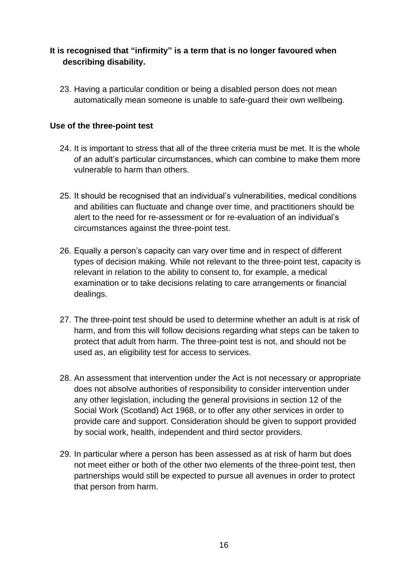# **It is recognised that "infirmity" is a term that is no longer favoured when describing disability.**

23. Having a particular condition or being a disabled person does not mean automatically mean someone is unable to safe-guard their own wellbeing.

# **Use of the three-point test**

- 24. It is important to stress that all of the three criteria must be met. It is the whole of an adult's particular circumstances, which can combine to make them more vulnerable to harm than others.
- 25. It should be recognised that an individual's vulnerabilities, medical conditions and abilities can fluctuate and change over time, and practitioners should be alert to the need for re-assessment or for re-evaluation of an individual's circumstances against the three-point test.
- 26. Equally a person's capacity can vary over time and in respect of different types of decision making. While not relevant to the three-point test, capacity is relevant in relation to the ability to consent to, for example, a medical examination or to take decisions relating to care arrangements or financial dealings.
- 27. The three-point test should be used to determine whether an adult is at risk of harm, and from this will follow decisions regarding what steps can be taken to protect that adult from harm. The three-point test is not, and should not be used as, an eligibility test for access to services.
- 28. An assessment that intervention under the Act is not necessary or appropriate does not absolve authorities of responsibility to consider intervention under any other legislation, including the general provisions in section 12 of the Social Work (Scotland) Act 1968, or to offer any other services in order to provide care and support. Consideration should be given to support provided by social work, health, independent and third sector providers.
- 29. In particular where a person has been assessed as at risk of harm but does not meet either or both of the other two elements of the three-point test, then partnerships would still be expected to pursue all avenues in order to protect that person from harm.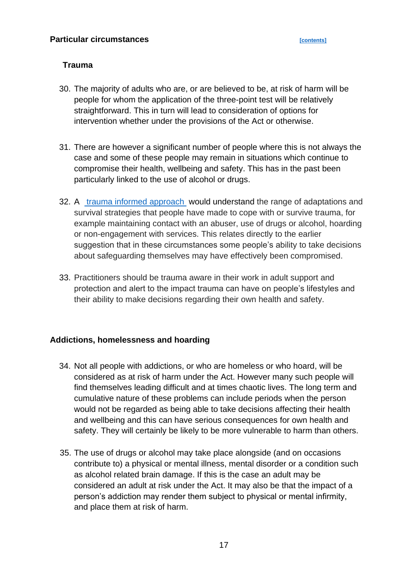### <span id="page-16-0"></span>**Trauma**

- 30. The majority of adults who are, or are believed to be, at risk of harm will be people for whom the application of the three-point test will be relatively straightforward. This in turn will lead to consideration of options for intervention whether under the provisions of the Act or otherwise.
- 31. There are however a significant number of people where this is not always the case and some of these people may remain in situations which continue to compromise their health, wellbeing and safety. This has in the past been particularly linked to the use of alcohol or drugs.
- 32. A [trauma informed approach](https://www.gov.scot/publications/trauma-informed-practice-toolkit-scotland/) would understand the range of adaptations and survival strategies that people have made to cope with or survive trauma, for example maintaining contact with an abuser, use of drugs or alcohol, hoarding or non-engagement with services. This relates directly to the earlier suggestion that in these circumstances some people's ability to take decisions about safeguarding themselves may have effectively been compromised.
- 33. Practitioners should be trauma aware in their work in adult support and protection and alert to the impact trauma can have on people's lifestyles and their ability to make decisions regarding their own health and safety.

### **Addictions, homelessness and hoarding**

- 34. Not all people with addictions, or who are homeless or who hoard, will be considered as at risk of harm under the Act. However many such people will find themselves leading difficult and at times chaotic lives. The long term and cumulative nature of these problems can include periods when the person would not be regarded as being able to take decisions affecting their health and wellbeing and this can have serious consequences for own health and safety. They will certainly be likely to be more vulnerable to harm than others.
- 35. The use of drugs or alcohol may take place alongside (and on occasions contribute to) a physical or mental illness, mental disorder or a condition such as alcohol related brain damage. If this is the case an adult may be considered an adult at risk under the Act. It may also be that the impact of a person's addiction may render them subject to physical or mental infirmity, and place them at risk of harm.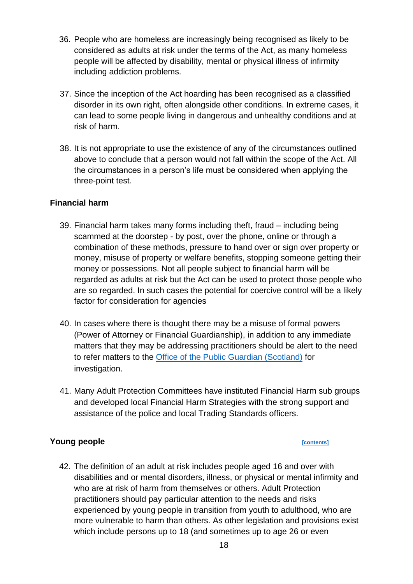- 36. People who are homeless are increasingly being recognised as likely to be considered as adults at risk under the terms of the Act, as many homeless people will be affected by disability, mental or physical illness of infirmity including addiction problems.
- 37. Since the inception of the Act hoarding has been recognised as a classified disorder in its own right, often alongside other conditions. In extreme cases, it can lead to some people living in dangerous and unhealthy conditions and at risk of harm.
- 38. It is not appropriate to use the existence of any of the circumstances outlined above to conclude that a person would not fall within the scope of the Act. All the circumstances in a person's life must be considered when applying the three-point test.

# **Financial harm**

- 39. Financial harm takes many forms including theft, fraud including being scammed at the doorstep - by post, over the phone, online or through a combination of these methods, pressure to hand over or sign over property or money, misuse of property or welfare benefits, stopping someone getting their money or possessions. Not all people subject to financial harm will be regarded as adults at risk but the Act can be used to protect those people who are so regarded. In such cases the potential for coercive control will be a likely factor for consideration for agencies
- 40. In cases where there is thought there may be a misuse of formal powers (Power of Attorney or Financial Guardianship), in addition to any immediate matters that they may be addressing practitioners should be alert to the need to refer matters to the [Office of the Public Guardian \(Scotland\)](http://www.publicguardian-scotland.gov.uk/) for investigation.
- 41. Many Adult Protection Committees have instituted Financial Harm sub groups and developed local Financial Harm Strategies with the strong support and assistance of the police and local Trading Standards officers.

### **Young people** *contents*

42. The definition of an adult at risk includes people aged 16 and over with disabilities and or mental disorders, illness, or physical or mental infirmity and who are at risk of harm from themselves or others. Adult Protection practitioners should pay particular attention to the needs and risks experienced by young people in transition from youth to adulthood, who are more vulnerable to harm than others. As other legislation and provisions exist which include persons up to 18 (and sometimes up to age 26 or even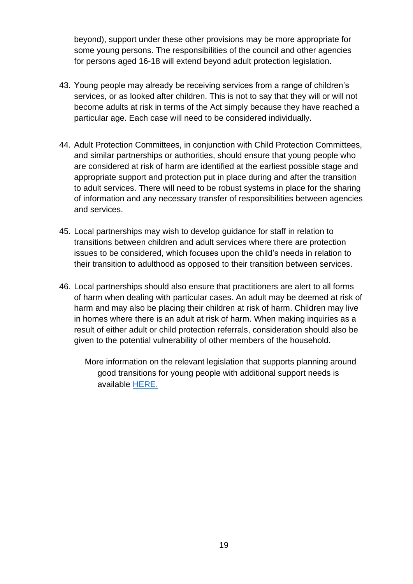beyond), support under these other provisions may be more appropriate for some young persons. The responsibilities of the council and other agencies for persons aged 16-18 will extend beyond adult protection legislation.

- 43. Young people may already be receiving services from a range of children's services, or as looked after children. This is not to say that they will or will not become adults at risk in terms of the Act simply because they have reached a particular age. Each case will need to be considered individually.
- 44. Adult Protection Committees, in conjunction with Child Protection Committees, and similar partnerships or authorities, should ensure that young people who are considered at risk of harm are identified at the earliest possible stage and appropriate support and protection put in place during and after the transition to adult services. There will need to be robust systems in place for the sharing of information and any necessary transfer of responsibilities between agencies and services.
- 45. Local partnerships may wish to develop guidance for staff in relation to transitions between children and adult services where there are protection issues to be considered, which focuses upon the child's needs in relation to their transition to adulthood as opposed to their transition between services.
- 46. Local partnerships should also ensure that practitioners are alert to all forms of harm when dealing with particular cases. An adult may be deemed at risk of harm and may also be placing their children at risk of harm. Children may live in homes where there is an adult at risk of harm. When making inquiries as a result of either adult or child protection referrals, consideration should also be given to the potential vulnerability of other members of the household.
	- More information on the relevant legislation that supports planning around good transitions for young people with additional support needs is available [HERE.](https://www.gov.scot/publications/supporting-disabled-children-young-people-and-their-families/pages/transitions/)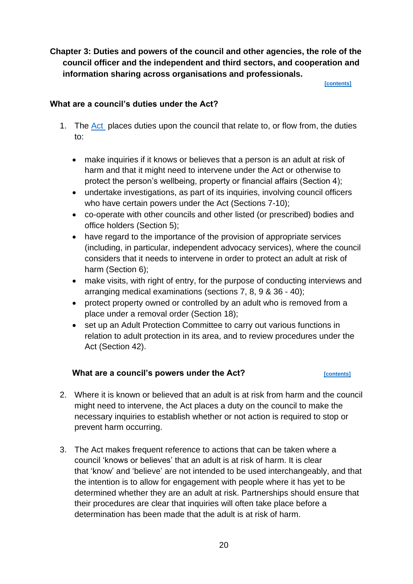<span id="page-19-0"></span>**Chapter 3: Duties and powers of the council and other agencies, the role of the council officer and the independent and third sectors, and cooperation and information sharing across organisations and professionals.**

**[\[contents\]](#page-1-0)**

### <span id="page-19-1"></span>**What are a council's duties under the Act?**

- 1. The [Act](https://www.legislation.gov.uk/asp/2007/10/contents) places duties upon the council that relate to, or flow from, the duties to:
	- make inquiries if it knows or believes that a person is an adult at risk of harm and that it might need to intervene under the Act or otherwise to protect the person's wellbeing, property or financial affairs (Section 4);
	- undertake investigations, as part of its inquiries, involving council officers who have certain powers under the Act (Sections 7-10);
	- co-operate with other councils and other listed (or prescribed) bodies and office holders (Section 5);
	- have regard to the importance of the provision of appropriate services (including, in particular, independent advocacy services), where the council considers that it needs to intervene in order to protect an adult at risk of harm (Section 6);
	- make visits, with right of entry, for the purpose of conducting interviews and arranging medical examinations (sections 7, 8, 9 & 36 - 40);
	- protect property owned or controlled by an adult who is removed from a place under a removal order (Section 18);
	- set up an Adult Protection Committee to carry out various functions in relation to adult protection in its area, and to review procedures under the Act (Section 42).

### <span id="page-19-2"></span>**What are a council's powers under the Act?**

- 2. Where it is known or believed that an adult is at risk from harm and the council might need to intervene, the Act places a duty on the council to make the necessary inquiries to establish whether or not action is required to stop or prevent harm occurring.
- 3. The Act makes frequent reference to actions that can be taken where a council 'knows or believes' that an adult is at risk of harm. It is clear that 'know' and 'believe' are not intended to be used interchangeably, and that the intention is to allow for engagement with people where it has yet to be determined whether they are an adult at risk. Partnerships should ensure that their procedures are clear that inquiries will often take place before a determination has been made that the adult is at risk of harm.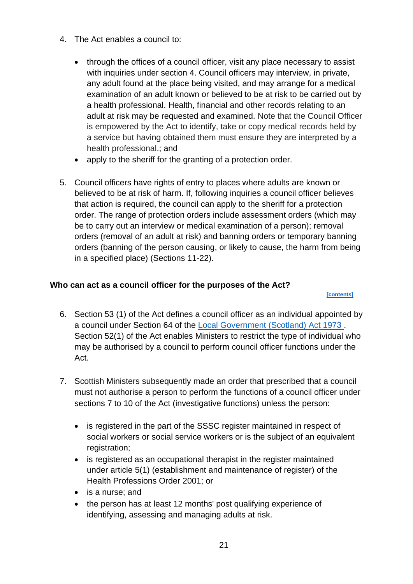- 4. The Act enables a council to:
	- through the offices of a council officer, visit any place necessary to assist with inquiries under section 4. Council officers may interview, in private, any adult found at the place being visited, and may arrange for a medical examination of an adult known or believed to be at risk to be carried out by a health professional. Health, financial and other records relating to an adult at risk may be requested and examined. Note that the Council Officer is empowered by the Act to identify, take or copy medical records held by a service but having obtained them must ensure they are interpreted by a health professional.; and
	- apply to the sheriff for the granting of a protection order.
- 5. Council officers have rights of entry to places where adults are known or believed to be at risk of harm. If, following inquiries a council officer believes that action is required, the council can apply to the sheriff for a protection order. The range of protection orders include assessment orders (which may be to carry out an interview or medical examination of a person); removal orders (removal of an adult at risk) and banning orders or temporary banning orders (banning of the person causing, or likely to cause, the harm from being in a specified place) (Sections 11-22).

# <span id="page-20-0"></span>**Who can act as a council officer for the purposes of the Act?**

 **[\[contents\]](#page-1-0)**

- 6. Section 53 (1) of the Act defines a council officer as an individual appointed by a council under Section 64 of the [Local Government \(Scotland\) Act 1973 .](https://www.legislation.gov.uk/ukpga/1973/65/contents) Section 52(1) of the Act enables Ministers to restrict the type of individual who may be authorised by a council to perform council officer functions under the Act.
- 7. Scottish Ministers subsequently made an order that prescribed that a council must not authorise a person to perform the functions of a council officer under sections 7 to 10 of the Act (investigative functions) unless the person:
	- is registered in the part of the SSSC register maintained in respect of social workers or social service workers or is the subiect of an equivalent registration;
	- is registered as an occupational therapist in the register maintained under article 5(1) (establishment and maintenance of register) of the Health Professions Order 2001; or
	- is a nurse; and
	- the person has at least 12 months' post qualifying experience of identifying, assessing and managing adults at risk.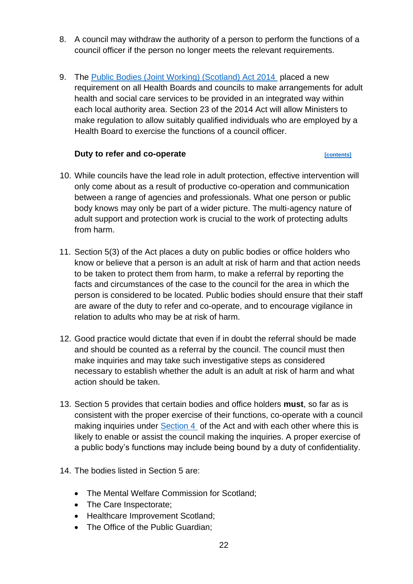- 8. A council may withdraw the authority of a person to perform the functions of a council officer if the person no longer meets the relevant requirements.
- 9. The [Public Bodies \(Joint Working\) \(Scotland\) Act 2014](https://www.legislation.gov.uk/asp/2014/9/contents/enacted) placed a new requirement on all Health Boards and councils to make arrangements for adult health and social care services to be provided in an integrated way within each local authority area. Section 23 of the 2014 Act will allow Ministers to make regulation to allow suitably qualified individuals who are employed by a Health Board to exercise the functions of a council officer.

# **Duty to refer and co-operate**

- <span id="page-21-0"></span>10. While councils have the lead role in adult protection, effective intervention will only come about as a result of productive co-operation and communication between a range of agencies and professionals. What one person or public body knows may only be part of a wider picture. The multi-agency nature of adult support and protection work is crucial to the work of protecting adults from harm.
- 11. Section 5(3) of the Act places a duty on public bodies or office holders who know or believe that a person is an adult at risk of harm and that action needs to be taken to protect them from harm, to make a referral by reporting the facts and circumstances of the case to the council for the area in which the person is considered to be located. Public bodies should ensure that their staff are aware of the duty to refer and co-operate, and to encourage vigilance in relation to adults who may be at risk of harm.
- 12. Good practice would dictate that even if in doubt the referral should be made and should be counted as a referral by the council. The council must then make inquiries and may take such investigative steps as considered necessary to establish whether the adult is an adult at risk of harm and what action should be taken.
- 13. Section 5 provides that certain bodies and office holders **must**, so far as is consistent with the proper exercise of their functions, co-operate with a council making inquiries under [Section 4](https://www.legislation.gov.uk/asp/2007/10/section/4) of the Act and with each other where this is likely to enable or assist the council making the inquiries. A proper exercise of a public body's functions may include being bound by a duty of confidentiality.
- 14. The bodies listed in Section 5 are:
	- The Mental Welfare Commission for Scotland;
	- The Care Inspectorate;
	- Healthcare Improvement Scotland;
	- The Office of the Public Guardian: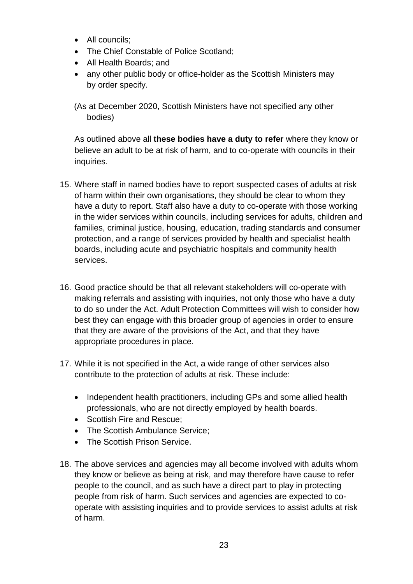- All councils;
- The Chief Constable of Police Scotland;
- All Health Boards; and
- any other public body or office-holder as the Scottish Ministers may by order specify.

(As at December 2020, Scottish Ministers have not specified any other bodies)

As outlined above all **these bodies have a duty to refer** where they know or believe an adult to be at risk of harm, and to co-operate with councils in their inquiries.

- 15. Where staff in named bodies have to report suspected cases of adults at risk of harm within their own organisations, they should be clear to whom they have a duty to report. Staff also have a duty to co-operate with those working in the wider services within councils, including services for adults, children and families, criminal justice, housing, education, trading standards and consumer protection, and a range of services provided by health and specialist health boards, including acute and psychiatric hospitals and community health services.
- 16. Good practice should be that all relevant stakeholders will co-operate with making referrals and assisting with inquiries, not only those who have a duty to do so under the Act. Adult Protection Committees will wish to consider how best they can engage with this broader group of agencies in order to ensure that they are aware of the provisions of the Act, and that they have appropriate procedures in place.
- 17. While it is not specified in the Act, a wide range of other services also contribute to the protection of adults at risk. These include:
	- Independent health practitioners, including GPs and some allied health professionals, who are not directly employed by health boards.
	- Scottish Fire and Rescue;
	- The Scottish Ambulance Service;
	- The Scottish Prison Service.
- 18. The above services and agencies may all become involved with adults whom they know or believe as being at risk, and may therefore have cause to refer people to the council, and as such have a direct part to play in protecting people from risk of harm. Such services and agencies are expected to cooperate with assisting inquiries and to provide services to assist adults at risk of harm.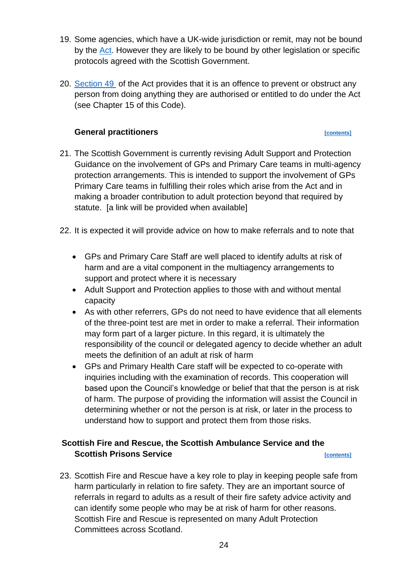- 19. Some agencies, which have a UK-wide jurisdiction or remit, may not be bound by the [Act.](https://www.legislation.gov.uk/asp/2007/10/contents) However they are likely to be bound by other legislation or specific protocols agreed with the Scottish Government.
- 20. [Section 49](https://www.legislation.gov.uk/asp/2007/10/section/49) of the Act provides that it is an offence to prevent or obstruct any person from doing anything they are authorised or entitled to do under the Act (see Chapter 15 of this Code).

# **General practitioners** *contents*

- <span id="page-23-0"></span>21. The Scottish Government is currently revising Adult Support and Protection Guidance on the involvement of GPs and Primary Care teams in multi-agency protection arrangements. This is intended to support the involvement of GPs Primary Care teams in fulfilling their roles which arise from the Act and in making a broader contribution to adult protection beyond that required by statute. [a link will be provided when available]
- 22. It is expected it will provide advice on how to make referrals and to note that
	- GPs and Primary Care Staff are well placed to identify adults at risk of harm and are a vital component in the multiagency arrangements to support and protect where it is necessary
	- Adult Support and Protection applies to those with and without mental capacity
	- As with other referrers, GPs do not need to have evidence that all elements of the three-point test are met in order to make a referral. Their information may form part of a larger picture. In this regard, it is ultimately the responsibility of the council or delegated agency to decide whether an adult meets the definition of an adult at risk of harm
	- GPs and Primary Health Care staff will be expected to co-operate with inquiries including with the examination of records. This cooperation will based upon the Council's knowledge or belief that that the person is at risk of harm. The purpose of providing the information will assist the Council in determining whether or not the person is at risk, or later in the process to understand how to support and protect them from those risks.

# <span id="page-23-1"></span>**Scottish Fire and Rescue, the Scottish Ambulance Service and the Scottish Prisons Service**<br> **Contents**

23. Scottish Fire and Rescue have a key role to play in keeping people safe from harm particularly in relation to fire safety. They are an important source of referrals in regard to adults as a result of their fire safety advice activity and can identify some people who may be at risk of harm for other reasons. Scottish Fire and Rescue is represented on many Adult Protection Committees across Scotland.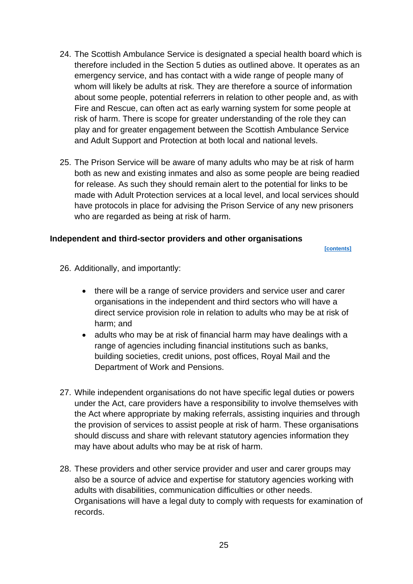- 24. The Scottish Ambulance Service is designated a special health board which is therefore included in the Section 5 duties as outlined above. It operates as an emergency service, and has contact with a wide range of people many of whom will likely be adults at risk. They are therefore a source of information about some people, potential referrers in relation to other people and, as with Fire and Rescue, can often act as early warning system for some people at risk of harm. There is scope for greater understanding of the role they can play and for greater engagement between the Scottish Ambulance Service and Adult Support and Protection at both local and national levels.
- 25. The Prison Service will be aware of many adults who may be at risk of harm both as new and existing inmates and also as some people are being readied for release. As such they should remain alert to the potential for links to be made with Adult Protection services at a local level, and local services should have protocols in place for advising the Prison Service of any new prisoners who are regarded as being at risk of harm.

### <span id="page-24-0"></span>**Independent and third-sector providers and other organisations**

 **[\[contents\]](#page-1-0)**

- 26. Additionally, and importantly:
	- there will be a range of service providers and service user and carer organisations in the independent and third sectors who will have a direct service provision role in relation to adults who may be at risk of harm; and
	- adults who may be at risk of financial harm may have dealings with a range of agencies including financial institutions such as banks, building societies, credit unions, post offices, Royal Mail and the Department of Work and Pensions.
- 27. While independent organisations do not have specific legal duties or powers under the Act, care providers have a responsibility to involve themselves with the Act where appropriate by making referrals, assisting inquiries and through the provision of services to assist people at risk of harm. These organisations should discuss and share with relevant statutory agencies information they may have about adults who may be at risk of harm.
- 28. These providers and other service provider and user and carer groups may also be a source of advice and expertise for statutory agencies working with adults with disabilities, communication difficulties or other needs. Organisations will have a legal duty to comply with requests for examination of records.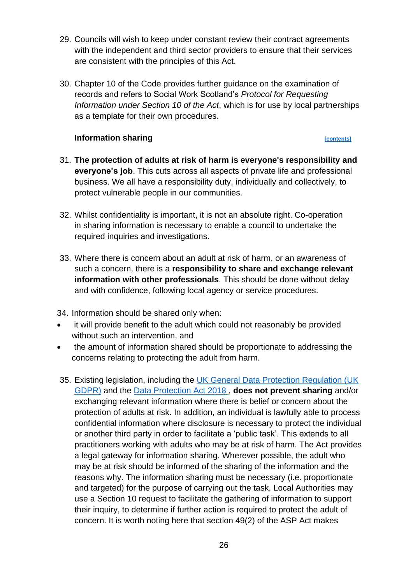- 29. Councils will wish to keep under constant review their contract agreements with the independent and third sector providers to ensure that their services are consistent with the principles of this Act.
- 30. Chapter 10 of the Code provides further guidance on the examination of records and refers to Social Work Scotland's *Protocol for Requesting Information under Section 10 of the Act*, which is for use by local partnerships as a template for their own procedures.

## **Information sharing** *contents*

- <span id="page-25-0"></span>31. **The protection of adults at risk of harm is everyone's responsibility and everyone's job**. This cuts across all aspects of private life and professional business. We all have a responsibility duty, individually and collectively, to protect vulnerable people in our communities.
- 32. Whilst confidentiality is important, it is not an absolute right. Co-operation in sharing information is necessary to enable a council to undertake the required inquiries and investigations.
- 33. Where there is concern about an adult at risk of harm, or an awareness of such a concern, there is a **responsibility to share and exchange relevant information with other professionals**. This should be done without delay and with confidence, following local agency or service procedures.
- 34. Information should be shared only when:
- it will provide benefit to the adult which could not reasonably be provided without such an intervention, and
- the amount of information shared should be proportionate to addressing the concerns relating to protecting the adult from harm.
- 35. Existing legislation, including the UK General Data Protection Regulation (UK [GDPR\)](https://ico.org.uk/for-organisations/guide-to-data-protection/guide-to-the-general-data-protection-regulation-gdpr/) and the [Data Protection Act 2018 ,](https://www.legislation.gov.uk/ukpga/2018/12/contents/enacted) **does not prevent sharing** and/or exchanging relevant information where there is belief or concern about the protection of adults at risk. In addition, an individual is lawfully able to process confidential information where disclosure is necessary to protect the individual or another third party in order to facilitate a 'public task'. This extends to all practitioners working with adults who may be at risk of harm. The Act provides a legal gateway for information sharing. Wherever possible, the adult who may be at risk should be informed of the sharing of the information and the reasons why. The information sharing must be necessary (i.e. proportionate and targeted) for the purpose of carrying out the task. Local Authorities may use a Section 10 request to facilitate the gathering of information to support their inquiry, to determine if further action is required to protect the adult of concern. It is worth noting here that section 49(2) of the ASP Act makes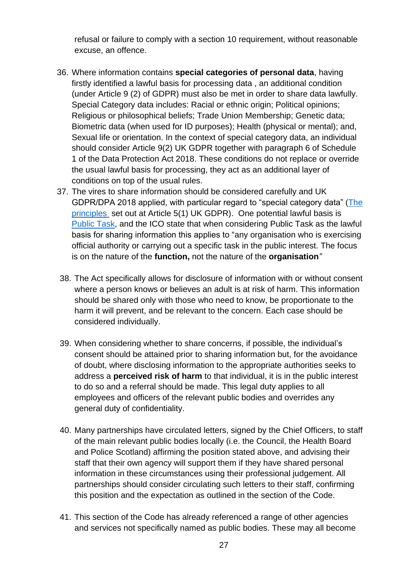refusal or failure to comply with a section 10 requirement, without reasonable excuse, an offence.

- 36. Where information contains **special categories of personal data**, having firstly identified a lawful basis for processing data , an additional condition (under Article 9 (2) of GDPR) must also be met in order to share data lawfully. Special Category data includes: Racial or ethnic origin; Political opinions; Religious or philosophical beliefs; Trade Union Membership; Genetic data; Biometric data (when used for ID purposes); Health (physical or mental); and, Sexual life or orientation. In the context of special category data, an individual should consider Article 9(2) UK GDPR together with paragraph 6 of Schedule 1 of the Data Protection Act 2018. These conditions do not replace or override the usual lawful basis for processing, they act as an additional layer of conditions on top of the usual rules.
- 37. The vires to share information should be considered carefully and UK GDPR/DPA 2018 applied, with particular regard to "special category data" [\(The](https://ico.org.uk/for-organisations/guide-to-data-protection/guide-to-the-general-data-protection-regulation-gdpr/principles/#the_principles)  [principles](https://ico.org.uk/for-organisations/guide-to-data-protection/guide-to-the-general-data-protection-regulation-gdpr/principles/#the_principles) set out at Article 5(1) UK GDPR). One potential lawful basis is [Public Task,](https://ico.org.uk/for-organisations/guide-to-data-protection/guide-to-the-general-data-protection-regulation-gdpr/lawful-basis-for-processing/public-task/) and the ICO state that when considering Public Task as the lawful basis for sharing information this applies to "any organisation who is exercising official authority or carrying out a specific task in the public interest. The focus is on the nature of the **function,** not the nature of the **organisation***"*
- 38. The Act specifically allows for disclosure of information with or without consent where a person knows or believes an adult is at risk of harm. This information should be shared only with those who need to know, be proportionate to the harm it will prevent, and be relevant to the concern. Each case should be considered individually.
- 39. When considering whether to share concerns, if possible, the individual's consent should be attained prior to sharing information but, for the avoidance of doubt, where disclosing information to the appropriate authorities seeks to address a **perceived risk of harm** to that individual, it is in the public interest to do so and a referral should be made. This legal duty applies to all employees and officers of the relevant public bodies and overrides any general duty of confidentiality.
- 40. Many partnerships have circulated letters, signed by the Chief Officers, to staff of the main relevant public bodies locally (i.e. the Council, the Health Board and Police Scotland) affirming the position stated above, and advising their staff that their own agency will support them if they have shared personal information in these circumstances using their professional judgement. All partnerships should consider circulating such letters to their staff, confirming this position and the expectation as outlined in the section of the Code.
- 41. This section of the Code has already referenced a range of other agencies and services not specifically named as public bodies. These may all become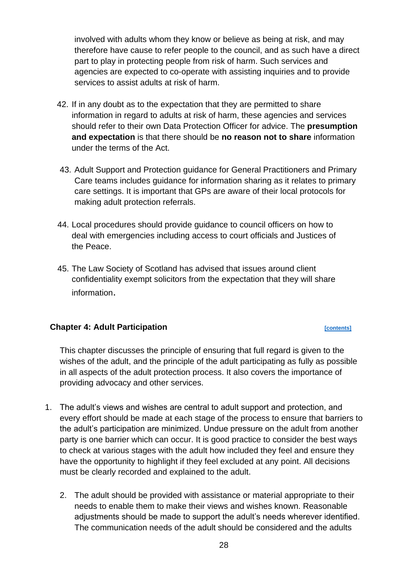involved with adults whom they know or believe as being at risk, and may therefore have cause to refer people to the council, and as such have a direct part to play in protecting people from risk of harm. Such services and agencies are expected to co-operate with assisting inquiries and to provide services to assist adults at risk of harm.

- 42. If in any doubt as to the expectation that they are permitted to share information in regard to adults at risk of harm, these agencies and services should refer to their own Data Protection Officer for advice. The **presumption and expectation** is that there should be **no reason not to share** information under the terms of the Act.
- 43. Adult Support and Protection guidance for General Practitioners and Primary Care teams includes guidance for information sharing as it relates to primary care settings. It is important that GPs are aware of their local protocols for making adult protection referrals.
- 44. Local procedures should provide guidance to council officers on how to deal with emergencies including access to court officials and Justices of the Peace.
- 45. The Law Society of Scotland has advised that issues around client confidentiality exempt solicitors from the expectation that they will share information.

### <span id="page-27-0"></span>**Chapter 4: Adult Participation**

This chapter discusses the principle of ensuring that full regard is given to the wishes of the adult, and the principle of the adult participating as fully as possible in all aspects of the adult protection process. It also covers the importance of providing advocacy and other services.

- 1. The adult's views and wishes are central to adult support and protection, and every effort should be made at each stage of the process to ensure that barriers to the adult's participation are minimized. Undue pressure on the adult from another party is one barrier which can occur. It is good practice to consider the best ways to check at various stages with the adult how included they feel and ensure they have the opportunity to highlight if they feel excluded at any point. All decisions must be clearly recorded and explained to the adult.
	- 2. The adult should be provided with assistance or material appropriate to their needs to enable them to make their views and wishes known. Reasonable adjustments should be made to support the adult's needs wherever identified. The communication needs of the adult should be considered and the adults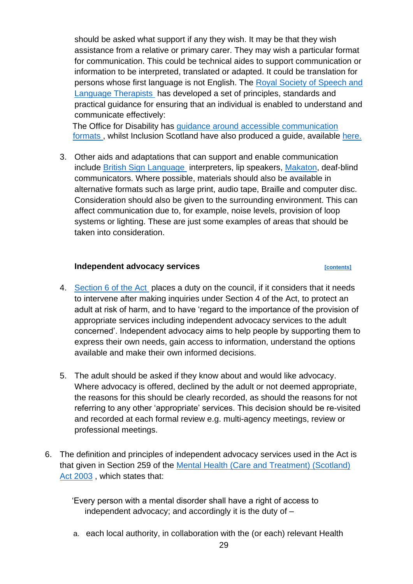should be asked what support if any they wish. It may be that they wish assistance from a relative or primary carer. They may wish a particular format for communication. This could be technical aides to support communication or information to be interpreted, translated or adapted. It could be translation for persons whose first language is not English. The [Royal Society of Speech and](https://www.rcslt.org/)  [Language Therapists](https://www.rcslt.org/) has developed a set of principles, standards and practical guidance for ensuring that an individual is enabled to understand and communicate effectively:

The Office for Disability has [guidance around accessible communication](https://www.gov.uk/government/publications/inclusive-communication/accessible-communication-formats)  [formats ,](https://www.gov.uk/government/publications/inclusive-communication/accessible-communication-formats) whilst Inclusion Scotland have also produced a guide, available [here.](https://inclusionscotland.org/wp-content/uploads/2018/09/Making-Communications-Accessible-guide.pdf)

3. Other aids and adaptations that can support and enable communication include [British Sign Language](https://rnid.org.uk/information-and-support/deaf-awareness/british-sign-language/) interpreters, lip speakers, [Makaton,](https://www.makaton.org/) deaf-blind communicators. Where possible, materials should also be available in alternative formats such as large print, audio tape, Braille and computer disc. Consideration should also be given to the surrounding environment. This can affect communication due to, for example, noise levels, provision of loop systems or lighting. These are just some examples of areas that should be taken into consideration.

### **Independent advocacy services**<br> **Independent advocacy services**

- <span id="page-28-0"></span>4. [Section 6 of the Act](https://www.legislation.gov.uk/asp/2007/10/section/6) places a duty on the council, if it considers that it needs to intervene after making inquiries under Section 4 of the Act, to protect an adult at risk of harm, and to have 'regard to the importance of the provision of appropriate services including independent advocacy services to the adult concerned'. Independent advocacy aims to help people by supporting them to express their own needs, gain access to information, understand the options available and make their own informed decisions.
- 5. The adult should be asked if they know about and would like advocacy. Where advocacy is offered, declined by the adult or not deemed appropriate, the reasons for this should be clearly recorded, as should the reasons for not referring to any other 'appropriate' services. This decision should be re-visited and recorded at each formal review e.g. multi-agency meetings, review or professional meetings.
- 6. The definition and principles of independent advocacy services used in the Act is that given in Section 259 of the [Mental Health \(Care and Treatment\) \(Scotland\)](https://www.legislation.gov.uk/asp/2003/13/contents)  [Act 2003](https://www.legislation.gov.uk/asp/2003/13/contents) , which states that:

'Every person with a mental disorder shall have a right of access to independent advocacy; and accordingly it is the duty of  $-$ 

a. each local authority, in collaboration with the (or each) relevant Health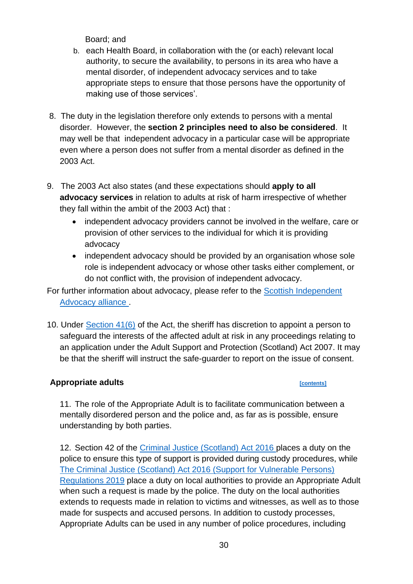Board; and

- b. each Health Board, in collaboration with the (or each) relevant local authority, to secure the availability, to persons in its area who have a mental disorder, of independent advocacy services and to take appropriate steps to ensure that those persons have the opportunity of making use of those services'.
- 8. The duty in the legislation therefore only extends to persons with a mental disorder. However, the **section 2 principles need to also be considered**. It may well be that independent advocacy in a particular case will be appropriate even where a person does not suffer from a mental disorder as defined in the 2003 Act.
- 9. The 2003 Act also states (and these expectations should **apply to all advocacy services** in relation to adults at risk of harm irrespective of whether they fall within the ambit of the 2003 Act) that :
	- independent advocacy providers cannot be involved in the welfare, care or provision of other services to the individual for which it is providing advocacy
	- independent advocacy should be provided by an organisation whose sole role is independent advocacy or whose other tasks either complement, or do not conflict with, the provision of independent advocacy.

For further information about advocacy, please refer to the Scottish Independent [Advocacy alliance .](https://www.siaa.org.uk/)

10. Under [Section 41\(6\)](https://www.legislation.gov.uk/asp/2007/10/section/41) of the Act, the sheriff has discretion to appoint a person to safeguard the interests of the affected adult at risk in any proceedings relating to an application under the Adult Support and Protection (Scotland) Act 2007. It may be that the sheriff will instruct the safe-guarder to report on the issue of consent.

# <span id="page-29-0"></span>**Appropriate adults [\[contents\]](#page-1-0)**

11. The role of the Appropriate Adult is to facilitate communication between a mentally disordered person and the police and, as far as is possible, ensure understanding by both parties.

12. Section 42 of the [Criminal Justice \(Scotland\) Act 2016 p](https://www.legislation.gov.uk/asp/2016/1/contents/enacted)laces a duty on the police to ensure this type of support is provided during custody procedures, while [The Criminal Justice \(Scotland\) Act 2016 \(Support for Vulnerable Persons\)](https://www.legislation.gov.uk/ssi/2019/437/made)  [Regulations 2019](https://www.legislation.gov.uk/ssi/2019/437/made) place a duty on local authorities to provide an Appropriate Adult when such a request is made by the police. The duty on the local authorities extends to requests made in relation to victims and witnesses, as well as to those made for suspects and accused persons. In addition to custody processes, Appropriate Adults can be used in any number of police procedures, including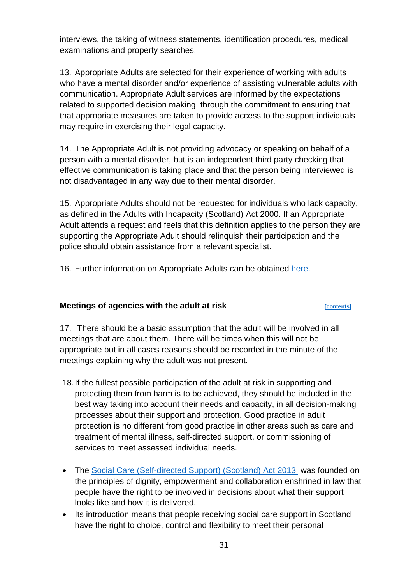interviews, the taking of witness statements, identification procedures, medical examinations and property searches.

13. Appropriate Adults are selected for their experience of working with adults who have a mental disorder and/or experience of assisting vulnerable adults with communication. Appropriate Adult services are informed by the expectations related to supported decision making through the commitment to ensuring that that appropriate measures are taken to provide access to the support individuals may require in exercising their legal capacity.

14. The Appropriate Adult is not providing advocacy or speaking on behalf of a person with a mental disorder, but is an independent third party checking that effective communication is taking place and that the person being interviewed is not disadvantaged in any way due to their mental disorder.

15. Appropriate Adults should not be requested for individuals who lack capacity, as defined in the Adults with Incapacity (Scotland) Act 2000. If an Appropriate Adult attends a request and feels that this definition applies to the person they are supporting the Appropriate Adult should relinquish their participation and the police should obtain assistance from a relevant specialist.

16. Further information on Appropriate Adults can be obtained [here.](https://www.gov.scot/publications/appropriate-adults-guidance-local-authorities/)

# <span id="page-30-0"></span>**Meetings of agencies with the adult at risk** *ECONTERENTERERY CONTENTS*

17. There should be a basic assumption that the adult will be involved in all meetings that are about them. There will be times when this will not be appropriate but in all cases reasons should be recorded in the minute of the meetings explaining why the adult was not present.

- 18.If the fullest possible participation of the adult at risk in supporting and protecting them from harm is to be achieved, they should be included in the best way taking into account their needs and capacity, in all decision-making processes about their support and protection. Good practice in adult protection is no different from good practice in other areas such as care and treatment of mental illness, self-directed support, or commissioning of services to meet assessed individual needs.
- The [Social Care \(Self-directed Support\) \(Scotland\) Act 2013](https://www.legislation.gov.uk/asp/2013/1/contents/enacted?utm_source=Update&utm_campaign=2a041b3951-Update_Bulletin6_14_2011&utm_medium=email) was founded on the principles of dignity, empowerment and collaboration enshrined in law that people have the right to be involved in decisions about what their support looks like and how it is delivered.
- Its introduction means that people receiving social care support in Scotland have the right to choice, control and flexibility to meet their personal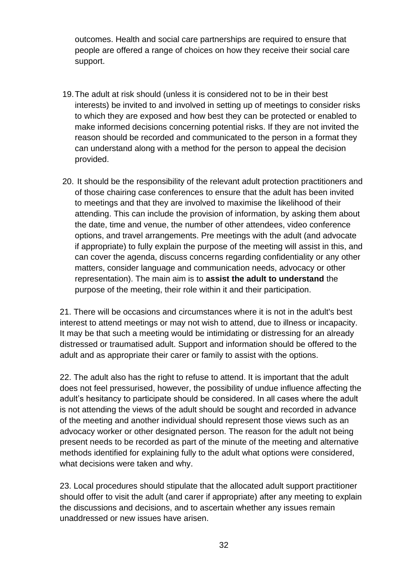outcomes. Health and social care partnerships are required to ensure that people are offered a range of choices on how they receive their social care support.

- 19.The adult at risk should (unless it is considered not to be in their best interests) be invited to and involved in setting up of meetings to consider risks to which they are exposed and how best they can be protected or enabled to make informed decisions concerning potential risks. If they are not invited the reason should be recorded and communicated to the person in a format they can understand along with a method for the person to appeal the decision provided.
- 20. It should be the responsibility of the relevant adult protection practitioners and of those chairing case conferences to ensure that the adult has been invited to meetings and that they are involved to maximise the likelihood of their attending. This can include the provision of information, by asking them about the date, time and venue, the number of other attendees, video conference options, and travel arrangements. Pre meetings with the adult (and advocate if appropriate) to fully explain the purpose of the meeting will assist in this, and can cover the agenda, discuss concerns regarding confidentiality or any other matters, consider language and communication needs, advocacy or other representation). The main aim is to **assist the adult to understand** the purpose of the meeting, their role within it and their participation.

21. There will be occasions and circumstances where it is not in the adult's best interest to attend meetings or may not wish to attend, due to illness or incapacity. It may be that such a meeting would be intimidating or distressing for an already distressed or traumatised adult. Support and information should be offered to the adult and as appropriate their carer or family to assist with the options.

22. The adult also has the right to refuse to attend. It is important that the adult does not feel pressurised, however, the possibility of undue influence affecting the adult's hesitancy to participate should be considered. In all cases where the adult is not attending the views of the adult should be sought and recorded in advance of the meeting and another individual should represent those views such as an advocacy worker or other designated person. The reason for the adult not being present needs to be recorded as part of the minute of the meeting and alternative methods identified for explaining fully to the adult what options were considered, what decisions were taken and why.

23. Local procedures should stipulate that the allocated adult support practitioner should offer to visit the adult (and carer if appropriate) after any meeting to explain the discussions and decisions, and to ascertain whether any issues remain unaddressed or new issues have arisen.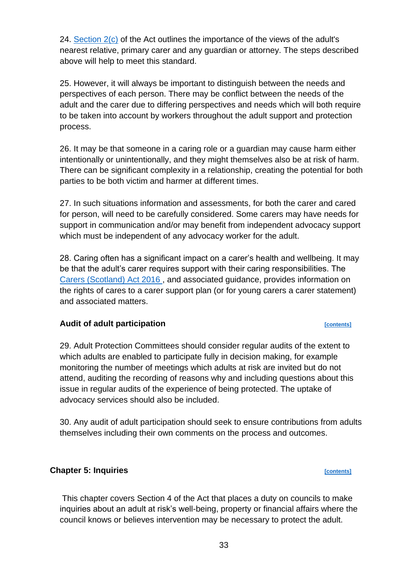24. [Section 2\(c\)](https://www.legislation.gov.uk/asp/2007/10/section/2) of the Act outlines the importance of the views of the adult's nearest relative, primary carer and any guardian or attorney. The steps described above will help to meet this standard.

25. However, it will always be important to distinguish between the needs and perspectives of each person. There may be conflict between the needs of the adult and the carer due to differing perspectives and needs which will both require to be taken into account by workers throughout the adult support and protection process.

26. It may be that someone in a caring role or a guardian may cause harm either intentionally or unintentionally, and they might themselves also be at risk of harm. There can be significant complexity in a relationship, creating the potential for both parties to be both victim and harmer at different times.

27. In such situations information and assessments, for both the carer and cared for person, will need to be carefully considered. Some carers may have needs for support in communication and/or may benefit from independent advocacy support which must be independent of any advocacy worker for the adult.

28. Caring often has a significant impact on a carer's health and wellbeing. It may be that the adult's carer requires support with their caring responsibilities. The [Carers \(Scotland\) Act 2016 ,](https://www.legislation.gov.uk/asp/2016/9/contents/enacted) and associated guidance, provides information on the rights of cares to a carer support plan (or for young carers a carer statement) and associated matters.

# <span id="page-32-0"></span>Audit of adult participation

29. Adult Protection Committees should consider regular audits of the extent to which adults are enabled to participate fully in decision making, for example monitoring the number of meetings which adults at risk are invited but do not attend, auditing the recording of reasons why and including questions about this issue in regular audits of the experience of being protected. The uptake of advocacy services should also be included.

30. Any audit of adult participation should seek to ensure contributions from adults themselves including their own comments on the process and outcomes.

# <span id="page-32-1"></span>**Chapter 5: Inquiries** *p contents*

This chapter covers Section 4 of the Act that places a duty on councils to make inquiries about an adult at risk's well-being, property or financial affairs where the council knows or believes intervention may be necessary to protect the adult.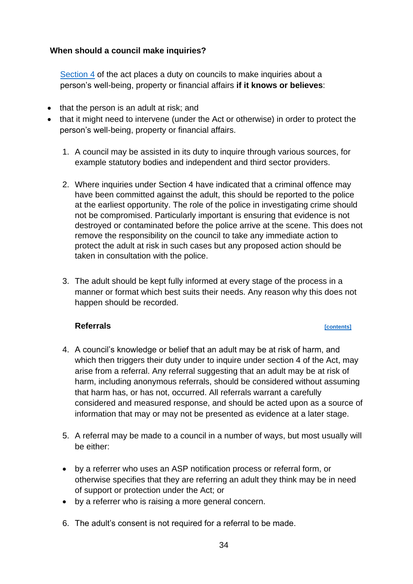## <span id="page-33-0"></span>**When should a council make inquiries?**

[Section 4](https://www.legislation.gov.uk/asp/2007/10/section/4) of the act places a duty on councils to make inquiries about a person's well-being, property or financial affairs **if it knows or believes**:

- that the person is an adult at risk; and
- that it might need to intervene (under the Act or otherwise) in order to protect the person's well-being, property or financial affairs.
	- 1. A council may be assisted in its duty to inquire through various sources, for example statutory bodies and independent and third sector providers.
	- 2. Where inquiries under Section 4 have indicated that a criminal offence may have been committed against the adult, this should be reported to the police at the earliest opportunity. The role of the police in investigating crime should not be compromised. Particularly important is ensuring that evidence is not destroyed or contaminated before the police arrive at the scene. This does not remove the responsibility on the council to take any immediate action to protect the adult at risk in such cases but any proposed action should be taken in consultation with the police.
	- 3. The adult should be kept fully informed at every stage of the process in a manner or format which best suits their needs. Any reason why this does not happen should be recorded.

### <span id="page-33-1"></span>**Referrals** *contents*

- 4. A council's knowledge or belief that an adult may be at risk of harm, and which then triggers their duty under to inquire under section 4 of the Act, may arise from a referral. Any referral suggesting that an adult may be at risk of harm, including anonymous referrals, should be considered without assuming that harm has, or has not, occurred. All referrals warrant a carefully considered and measured response, and should be acted upon as a source of information that may or may not be presented as evidence at a later stage.
- 5. A referral may be made to a council in a number of ways, but most usually will be either:
- by a referrer who uses an ASP notification process or referral form, or otherwise specifies that they are referring an adult they think may be in need of support or protection under the Act; or
- by a referrer who is raising a more general concern.
- 6. The adult's consent is not required for a referral to be made.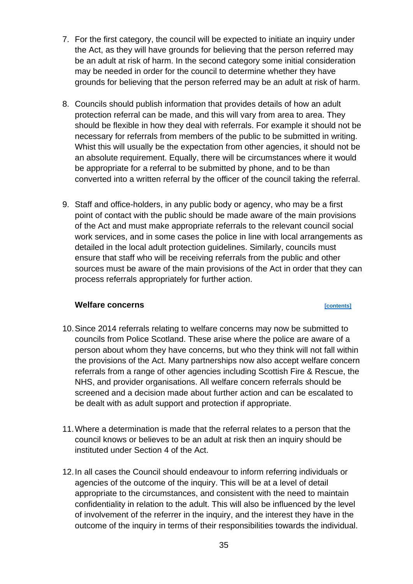- 7. For the first category, the council will be expected to initiate an inquiry under the Act, as they will have grounds for believing that the person referred may be an adult at risk of harm. In the second category some initial consideration may be needed in order for the council to determine whether they have grounds for believing that the person referred may be an adult at risk of harm.
- 8. Councils should publish information that provides details of how an adult protection referral can be made, and this will vary from area to area. They should be flexible in how they deal with referrals. For example it should not be necessary for referrals from members of the public to be submitted in writing. Whist this will usually be the expectation from other agencies, it should not be an absolute requirement. Equally, there will be circumstances where it would be appropriate for a referral to be submitted by phone, and to be than converted into a written referral by the officer of the council taking the referral.
- 9. Staff and office-holders, in any public body or agency, who may be a first point of contact with the public should be made aware of the main provisions of the Act and must make appropriate referrals to the relevant council social work services, and in some cases the police in line with local arrangements as detailed in the local adult protection guidelines. Similarly, councils must ensure that staff who will be receiving referrals from the public and other sources must be aware of the main provisions of the Act in order that they can process referrals appropriately for further action.

### <span id="page-34-0"></span>**Welfare concerns** *contents*

- 10.Since 2014 referrals relating to welfare concerns may now be submitted to councils from Police Scotland. These arise where the police are aware of a person about whom they have concerns, but who they think will not fall within the provisions of the Act. Many partnerships now also accept welfare concern referrals from a range of other agencies including Scottish Fire & Rescue, the NHS, and provider organisations. All welfare concern referrals should be screened and a decision made about further action and can be escalated to be dealt with as adult support and protection if appropriate.
- 11.Where a determination is made that the referral relates to a person that the council knows or believes to be an adult at risk then an inquiry should be instituted under Section 4 of the Act.
- 12.In all cases the Council should endeavour to inform referring individuals or agencies of the outcome of the inquiry. This will be at a level of detail appropriate to the circumstances, and consistent with the need to maintain confidentiality in relation to the adult. This will also be influenced by the level of involvement of the referrer in the inquiry, and the interest they have in the outcome of the inquiry in terms of their responsibilities towards the individual.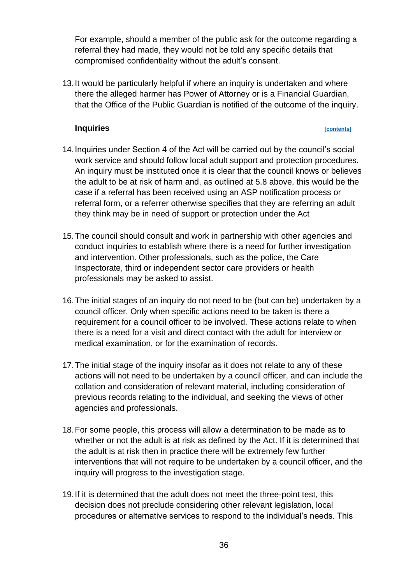For example, should a member of the public ask for the outcome regarding a referral they had made, they would not be told any specific details that compromised confidentiality without the adult's consent.

13.It would be particularly helpful if where an inquiry is undertaken and where there the alleged harmer has Power of Attorney or is a Financial Guardian, that the Office of the Public Guardian is notified of the outcome of the inquiry.

### **Inquiries** *contents*

- <span id="page-35-0"></span>14.Inquiries under Section 4 of the Act will be carried out by the council's social work service and should follow local adult support and protection procedures. An inquiry must be instituted once it is clear that the council knows or believes the adult to be at risk of harm and, as outlined at 5.8 above, this would be the case if a referral has been received using an ASP notification process or referral form, or a referrer otherwise specifies that they are referring an adult they think may be in need of support or protection under the Act
- 15.The council should consult and work in partnership with other agencies and conduct inquiries to establish where there is a need for further investigation and intervention. Other professionals, such as the police, the Care Inspectorate, third or independent sector care providers or health professionals may be asked to assist.
- 16.The initial stages of an inquiry do not need to be (but can be) undertaken by a council officer. Only when specific actions need to be taken is there a requirement for a council officer to be involved. These actions relate to when there is a need for a visit and direct contact with the adult for interview or medical examination, or for the examination of records.
- 17.The initial stage of the inquiry insofar as it does not relate to any of these actions will not need to be undertaken by a council officer, and can include the collation and consideration of relevant material, including consideration of previous records relating to the individual, and seeking the views of other agencies and professionals.
- 18.For some people, this process will allow a determination to be made as to whether or not the adult is at risk as defined by the Act. If it is determined that the adult is at risk then in practice there will be extremely few further interventions that will not require to be undertaken by a council officer, and the inquiry will progress to the investigation stage.
- 19.If it is determined that the adult does not meet the three-point test, this decision does not preclude considering other relevant legislation, local procedures or alternative services to respond to the individual's needs. This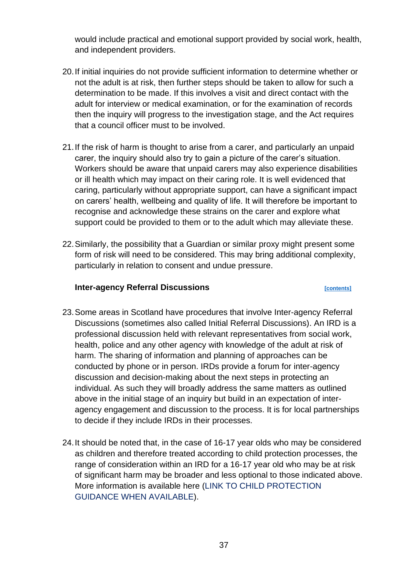would include practical and emotional support provided by social work, health, and independent providers.

- 20.If initial inquiries do not provide sufficient information to determine whether or not the adult is at risk, then further steps should be taken to allow for such a determination to be made. If this involves a visit and direct contact with the adult for interview or medical examination, or for the examination of records then the inquiry will progress to the investigation stage, and the Act requires that a council officer must to be involved.
- 21.If the risk of harm is thought to arise from a carer, and particularly an unpaid carer, the inquiry should also try to gain a picture of the carer's situation. Workers should be aware that unpaid carers may also experience disabilities or ill health which may impact on their caring role. It is well evidenced that caring, particularly without appropriate support, can have a significant impact on carers' health, wellbeing and quality of life. It will therefore be important to recognise and acknowledge these strains on the carer and explore what support could be provided to them or to the adult which may alleviate these.
- 22.Similarly, the possibility that a Guardian or similar proxy might present some form of risk will need to be considered. This may bring additional complexity, particularly in relation to consent and undue pressure.

### **Inter-agency Referral Discussions [\[contents\]](#page-1-0)**

- 23.Some areas in Scotland have procedures that involve Inter-agency Referral Discussions (sometimes also called Initial Referral Discussions). An IRD is a professional discussion held with relevant representatives from social work, health, police and any other agency with knowledge of the adult at risk of harm. The sharing of information and planning of approaches can be conducted by phone or in person. IRDs provide a forum for inter-agency discussion and decision-making about the next steps in protecting an individual. As such they will broadly address the same matters as outlined above in the initial stage of an inquiry but build in an expectation of interagency engagement and discussion to the process. It is for local partnerships to decide if they include IRDs in their processes.
- 24.It should be noted that, in the case of 16-17 year olds who may be considered as children and therefore treated according to child protection processes, the range of consideration within an IRD for a 16-17 year old who may be at risk of significant harm may be broader and less optional to those indicated above. More information is available here (LINK TO CHILD PROTECTION GUIDANCE WHEN AVAILABLE).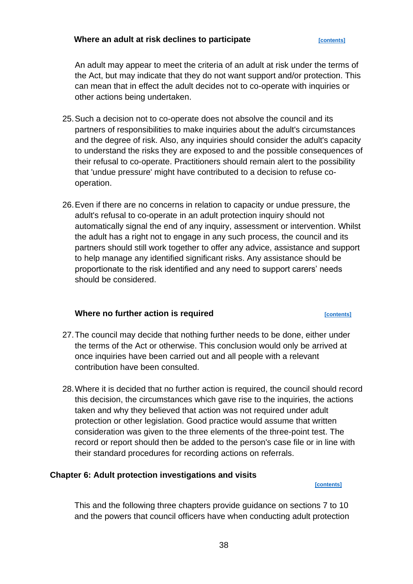### **Where an adult at risk declines to participate**

An adult may appear to meet the criteria of an adult at risk under the terms of the Act, but may indicate that they do not want support and/or protection. This can mean that in effect the adult decides not to co-operate with inquiries or other actions being undertaken.

- 25.Such a decision not to co-operate does not absolve the council and its partners of responsibilities to make inquiries about the adult's circumstances and the degree of risk. Also, any inquiries should consider the adult's capacity to understand the risks they are exposed to and the possible consequences of their refusal to co-operate. Practitioners should remain alert to the possibility that 'undue pressure' might have contributed to a decision to refuse cooperation.
- 26.Even if there are no concerns in relation to capacity or undue pressure, the adult's refusal to co-operate in an adult protection inquiry should not automatically signal the end of any inquiry, assessment or intervention. Whilst the adult has a right not to engage in any such process, the council and its partners should still work together to offer any advice, assistance and support to help manage any identified significant risks. Any assistance should be proportionate to the risk identified and any need to support carers' needs should be considered.

## **Where no further action is required** *[\[contents\]](#page-1-0)*

- 27.The council may decide that nothing further needs to be done, either under the terms of the Act or otherwise. This conclusion would only be arrived at once inquiries have been carried out and all people with a relevant contribution have been consulted.
- 28.Where it is decided that no further action is required, the council should record this decision, the circumstances which gave rise to the inquiries, the actions taken and why they believed that action was not required under adult protection or other legislation. Good practice would assume that written consideration was given to the three elements of the three-point test. The record or report should then be added to the person's case file or in line with their standard procedures for recording actions on referrals.

### **Chapter 6: Adult protection investigations and visits [\[contents\]](#page-1-0)**

This and the following three chapters provide guidance on sections 7 to 10 and the powers that council officers have when conducting adult protection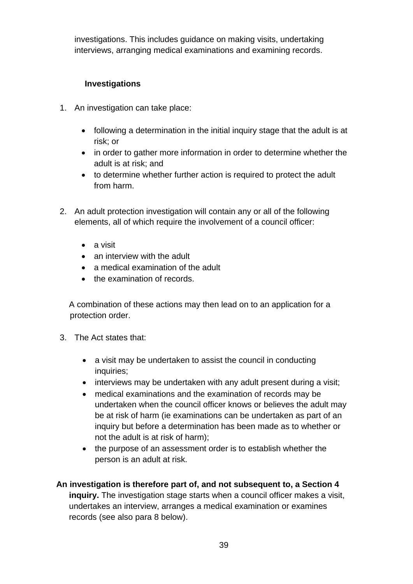investigations. This includes guidance on making visits, undertaking interviews, arranging medical examinations and examining records.

# **Investigations**

- 1. An investigation can take place:
	- following a determination in the initial inquiry stage that the adult is at risk; or
	- in order to gather more information in order to determine whether the adult is at risk; and
	- to determine whether further action is required to protect the adult from harm.
- 2. An adult protection investigation will contain any or all of the following elements, all of which require the involvement of a council officer:
	- a visit
	- an interview with the adult
	- a medical examination of the adult
	- the examination of records

A combination of these actions may then lead on to an application for a protection order.

- 3. The Act states that:
	- a visit may be undertaken to assist the council in conducting inquiries:
	- interviews may be undertaken with any adult present during a visit;
	- medical examinations and the examination of records may be undertaken when the council officer knows or believes the adult may be at risk of harm (ie examinations can be undertaken as part of an inquiry but before a determination has been made as to whether or not the adult is at risk of harm);
	- the purpose of an assessment order is to establish whether the person is an adult at risk.

# **An investigation is therefore part of, and not subsequent to, a Section 4**

**inquiry.** The investigation stage starts when a council officer makes a visit, undertakes an interview, arranges a medical examination or examines records (see also para 8 below).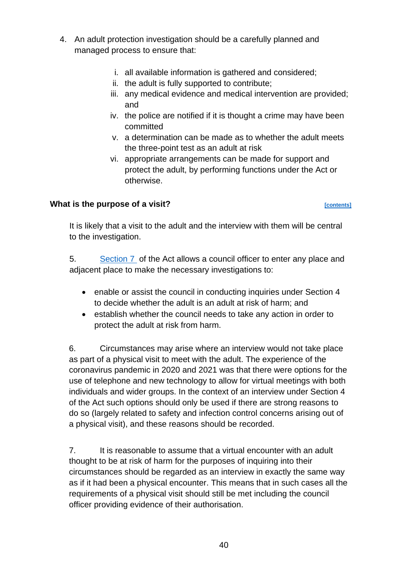- 4. An adult protection investigation should be a carefully planned and managed process to ensure that:
	- i. all available information is gathered and considered;
	- ii. the adult is fully supported to contribute;
	- iii. any medical evidence and medical intervention are provided; and
	- iv. the police are notified if it is thought a crime may have been committed
	- v. a determination can be made as to whether the adult meets the three-point test as an adult at risk
	- vi. appropriate arrangements can be made for support and protect the adult, by performing functions under the Act or otherwise.

## **What is the purpose of a visit?** *CONTERNATE CONTENTS CONTENTS*

It is likely that a visit to the adult and the interview with them will be central to the investigation.

5. [Section 7](https://www.legislation.gov.uk/asp/2007/10/section/7) of the Act allows a council officer to enter any place and adjacent place to make the necessary investigations to:

- enable or assist the council in conducting inquiries under Section 4 to decide whether the adult is an adult at risk of harm; and
- establish whether the council needs to take any action in order to protect the adult at risk from harm.

6. Circumstances may arise where an interview would not take place as part of a physical visit to meet with the adult. The experience of the coronavirus pandemic in 2020 and 2021 was that there were options for the use of telephone and new technology to allow for virtual meetings with both individuals and wider groups. In the context of an interview under Section 4 of the Act such options should only be used if there are strong reasons to do so (largely related to safety and infection control concerns arising out of a physical visit), and these reasons should be recorded.

7. It is reasonable to assume that a virtual encounter with an adult thought to be at risk of harm for the purposes of inquiring into their circumstances should be regarded as an interview in exactly the same way as if it had been a physical encounter. This means that in such cases all the requirements of a physical visit should still be met including the council officer providing evidence of their authorisation.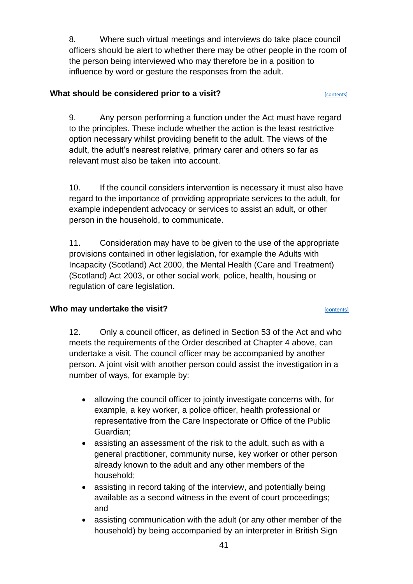8. Where such virtual meetings and interviews do take place council officers should be alert to whether there may be other people in the room of the person being interviewed who may therefore be in a position to influence by word or gesture the responses from the adult.

## **What should be considered prior to a visit? CONTER 2008 2012 12:31 CONTERTS**

9. Any person performing a function under the Act must have regard to the principles. These include whether the action is the least restrictive option necessary whilst providing benefit to the adult. The views of the adult, the adult's nearest relative, primary carer and others so far as relevant must also be taken into account.

10. If the council considers intervention is necessary it must also have regard to the importance of providing appropriate services to the adult, for example independent advocacy or services to assist an adult, or other person in the household, to communicate.

11. Consideration may have to be given to the use of the appropriate provisions contained in other legislation, for example the Adults with Incapacity (Scotland) Act 2000, the Mental Health (Care and Treatment) (Scotland) Act 2003, or other social work, police, health, housing or regulation of care legislation.

# **Who may undertake the visit? CONTERNATE:**  $\frac{[{\text{contents}}]}{[{\text{contents}}]}$

12. Only a council officer, as defined in Section 53 of the Act and who meets the requirements of the Order described at Chapter 4 above, can undertake a visit. The council officer may be accompanied by another person. A joint visit with another person could assist the investigation in a number of ways, for example by:

- allowing the council officer to jointly investigate concerns with, for example, a key worker, a police officer, health professional or representative from the Care Inspectorate or Office of the Public Guardian;
- assisting an assessment of the risk to the adult, such as with a general practitioner, community nurse, key worker or other person already known to the adult and any other members of the household;
- assisting in record taking of the interview, and potentially being available as a second witness in the event of court proceedings; and
- assisting communication with the adult (or any other member of the household) by being accompanied by an interpreter in British Sign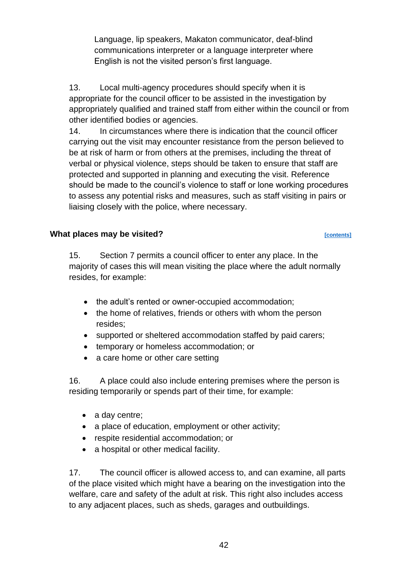Language, lip speakers, Makaton communicator, deaf-blind communications interpreter or a language interpreter where English is not the visited person's first language.

13. Local multi-agency procedures should specify when it is appropriate for the council officer to be assisted in the investigation by appropriately qualified and trained staff from either within the council or from other identified bodies or agencies.

14. In circumstances where there is indication that the council officer carrying out the visit may encounter resistance from the person believed to be at risk of harm or from others at the premises, including the threat of verbal or physical violence, steps should be taken to ensure that staff are protected and supported in planning and executing the visit. Reference should be made to the council's violence to staff or lone working procedures to assess any potential risks and measures, such as staff visiting in pairs or liaising closely with the police, where necessary.

## What places may be visited?

15. Section 7 permits a council officer to enter any place. In the majority of cases this will mean visiting the place where the adult normally resides, for example:

- the adult's rented or owner-occupied accommodation:
- the home of relatives, friends or others with whom the person resides;
- supported or sheltered accommodation staffed by paid carers;
- temporary or homeless accommodation; or
- a care home or other care setting

16. A place could also include entering premises where the person is residing temporarily or spends part of their time, for example:

- a day centre;
- a place of education, employment or other activity;
- respite residential accommodation; or
- a hospital or other medical facility.

17. The council officer is allowed access to, and can examine, all parts of the place visited which might have a bearing on the investigation into the welfare, care and safety of the adult at risk. This right also includes access to any adjacent places, such as sheds, garages and outbuildings.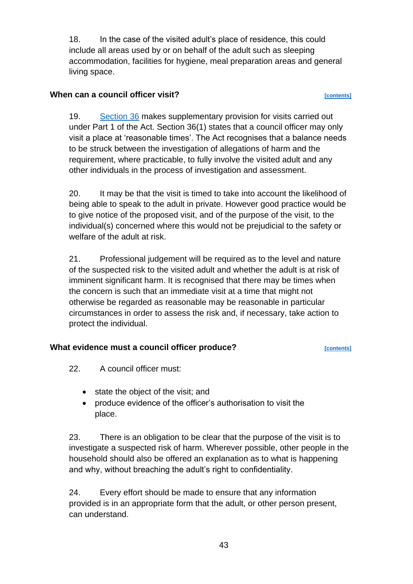18. In the case of the visited adult's place of residence, this could include all areas used by or on behalf of the adult such as sleeping accommodation, facilities for hygiene, meal preparation areas and general living space.

## **When can a council officer visit? CONS EXECUTE:**  $[{\text{contents}}]$

19. [Section 36](https://www.legislation.gov.uk/asp/2007/10/section/36) makes supplementary provision for visits carried out under Part 1 of the Act. Section 36(1) states that a council officer may only visit a place at 'reasonable times'. The Act recognises that a balance needs to be struck between the investigation of allegations of harm and the requirement, where practicable, to fully involve the visited adult and any other individuals in the process of investigation and assessment.

20. It may be that the visit is timed to take into account the likelihood of being able to speak to the adult in private. However good practice would be to give notice of the proposed visit, and of the purpose of the visit, to the individual(s) concerned where this would not be prejudicial to the safety or welfare of the adult at risk.

21. Professional judgement will be required as to the level and nature of the suspected risk to the visited adult and whether the adult is at risk of imminent significant harm. It is recognised that there may be times when the concern is such that an immediate visit at a time that might not otherwise be regarded as reasonable may be reasonable in particular circumstances in order to assess the risk and, if necessary, take action to protect the individual.

# **What evidence must a council officer produce?**

- 22. A council officer must:
	- state the object of the visit; and
	- produce evidence of the officer's authorisation to visit the place.

23. There is an obligation to be clear that the purpose of the visit is to investigate a suspected risk of harm. Wherever possible, other people in the household should also be offered an explanation as to what is happening and why, without breaching the adult's right to confidentiality.

24. Every effort should be made to ensure that any information provided is in an appropriate form that the adult, or other person present, can understand.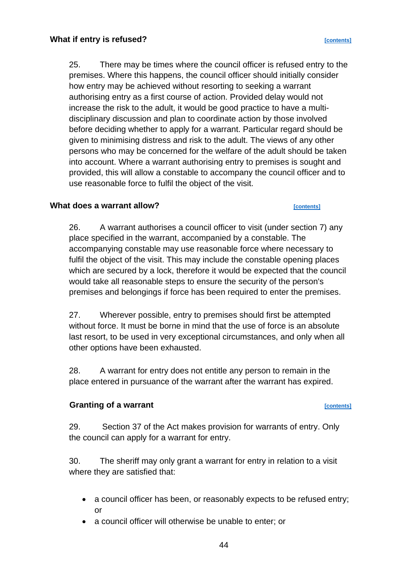25. There may be times where the council officer is refused entry to the premises. Where this happens, the council officer should initially consider how entry may be achieved without resorting to seeking a warrant authorising entry as a first course of action. Provided delay would not increase the risk to the adult, it would be good practice to have a multidisciplinary discussion and plan to coordinate action by those involved before deciding whether to apply for a warrant. Particular regard should be given to minimising distress and risk to the adult. The views of any other persons who may be concerned for the welfare of the adult should be taken into account. Where a warrant authorising entry to premises is sought and provided, this will allow a constable to accompany the council officer and to use reasonable force to fulfil the object of the visit.

### **What does a warrant allow? [\[contents\]](#page-1-0)**

26. A warrant authorises a council officer to visit (under section 7) any place specified in the warrant, accompanied by a constable. The accompanying constable may use reasonable force where necessary to fulfil the object of the visit. This may include the constable opening places which are secured by a lock, therefore it would be expected that the council would take all reasonable steps to ensure the security of the person's premises and belongings if force has been required to enter the premises.

27. Wherever possible, entry to premises should first be attempted without force. It must be borne in mind that the use of force is an absolute last resort, to be used in very exceptional circumstances, and only when all other options have been exhausted.

28. A warrant for entry does not entitle any person to remain in the place entered in pursuance of the warrant after the warrant has expired.

### **Granting of a warrant** *contents*

29. Section 37 of the Act makes provision for warrants of entry. Only the council can apply for a warrant for entry.

30. The sheriff may only grant a warrant for entry in relation to a visit where they are satisfied that:

- a council officer has been, or reasonably expects to be refused entry; or
- a council officer will otherwise be unable to enter; or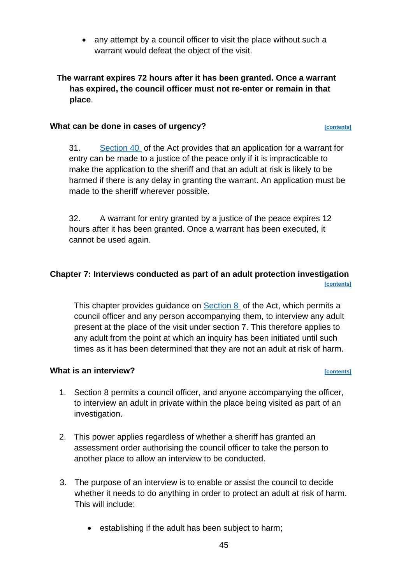• any attempt by a council officer to visit the place without such a warrant would defeat the object of the visit.

## **The warrant expires 72 hours after it has been granted. Once a warrant has expired, the council officer must not re-enter or remain in that place**.

## **What can be done in cases of urgency?**

31. [Section 40](https://www.legislation.gov.uk/asp/2007/10/section/40) of the Act provides that an application for a warrant for entry can be made to a justice of the peace only if it is impracticable to make the application to the sheriff and that an adult at risk is likely to be harmed if there is any delay in granting the warrant. An application must be made to the sheriff wherever possible.

32. A warrant for entry granted by a justice of the peace expires 12 hours after it has been granted. Once a warrant has been executed, it cannot be used again.

## **Chapter 7: Interviews conducted as part of an adult protection investigation [\[contents\]](#page-1-0)**

This chapter provides guidance on **Section 8** of the Act, which permits a council officer and any person accompanying them, to interview any adult present at the place of the visit under section 7. This therefore applies to any adult from the point at which an inquiry has been initiated until such times as it has been determined that they are not an adult at risk of harm.

## **What is an interview?** *CONTERNATE CONTENTS CONTENTS CONTENTS*

- 1. Section 8 permits a council officer, and anyone accompanying the officer, to interview an adult in private within the place being visited as part of an investigation.
- 2. This power applies regardless of whether a sheriff has granted an assessment order authorising the council officer to take the person to another place to allow an interview to be conducted.
- 3. The purpose of an interview is to enable or assist the council to decide whether it needs to do anything in order to protect an adult at risk of harm. This will include:
	- establishing if the adult has been subject to harm;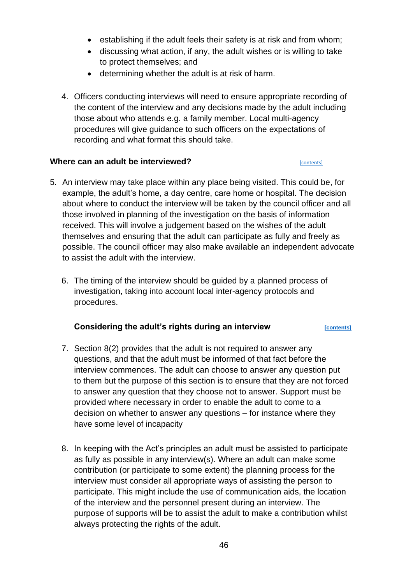- establishing if the adult feels their safety is at risk and from whom;
- discussing what action, if any, the adult wishes or is willing to take to protect themselves; and
- determining whether the adult is at risk of harm.
- 4. Officers conducting interviews will need to ensure appropriate recording of the content of the interview and any decisions made by the adult including those about who attends e.g. a family member. Local multi-agency procedures will give guidance to such officers on the expectations of recording and what format this should take.

## **Where can an adult be interviewed? Contents Econtents**

## 5. An interview may take place within any place being visited. This could be, for example, the adult's home, a day centre, care home or hospital. The decision about where to conduct the interview will be taken by the council officer and all those involved in planning of the investigation on the basis of information received. This will involve a judgement based on the wishes of the adult themselves and ensuring that the adult can participate as fully and freely as possible. The council officer may also make available an independent advocate to assist the adult with the interview.

6. The timing of the interview should be guided by a planned process of investigation, taking into account local inter-agency protocols and procedures.

## **Considering the adult's rights during an interview <b>[CONTER)** [CONTERNS]

- 7. Section 8(2) provides that the adult is not required to answer any questions, and that the adult must be informed of that fact before the interview commences. The adult can choose to answer any question put to them but the purpose of this section is to ensure that they are not forced to answer any question that they choose not to answer. Support must be provided where necessary in order to enable the adult to come to a decision on whether to answer any questions – for instance where they have some level of incapacity
- 8. In keeping with the Act's principles an adult must be assisted to participate as fully as possible in any interview(s). Where an adult can make some contribution (or participate to some extent) the planning process for the interview must consider all appropriate ways of assisting the person to participate. This might include the use of communication aids, the location of the interview and the personnel present during an interview. The purpose of supports will be to assist the adult to make a contribution whilst always protecting the rights of the adult.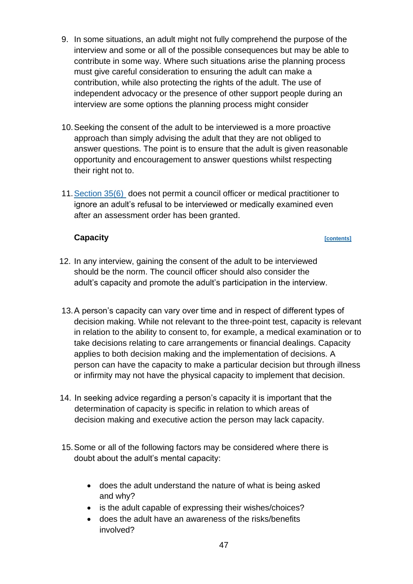- 9. In some situations, an adult might not fully comprehend the purpose of the interview and some or all of the possible consequences but may be able to contribute in some way. Where such situations arise the planning process must give careful consideration to ensuring the adult can make a contribution, while also protecting the rights of the adult. The use of independent advocacy or the presence of other support people during an interview are some options the planning process might consider
- 10.Seeking the consent of the adult to be interviewed is a more proactive approach than simply advising the adult that they are not obliged to answer questions. The point is to ensure that the adult is given reasonable opportunity and encouragement to answer questions whilst respecting their right not to.
- 11[.Section 35\(6\)](https://www.legislation.gov.uk/asp/2007/10/section/35) does not permit a council officer or medical practitioner to ignore an adult's refusal to be interviewed or medically examined even after an assessment order has been granted.

## **Capacity Capacity** *Capacity Capacity Capacity Contents*

- 12. In any interview, gaining the consent of the adult to be interviewed should be the norm. The council officer should also consider the adult's capacity and promote the adult's participation in the interview.
- 13.A person's capacity can vary over time and in respect of different types of decision making. While not relevant to the three-point test, capacity is relevant in relation to the ability to consent to, for example, a medical examination or to take decisions relating to care arrangements or financial dealings. Capacity applies to both decision making and the implementation of decisions. A person can have the capacity to make a particular decision but through illness or infirmity may not have the physical capacity to implement that decision.
- 14. In seeking advice regarding a person's capacity it is important that the determination of capacity is specific in relation to which areas of decision making and executive action the person may lack capacity.
- 15.Some or all of the following factors may be considered where there is doubt about the adult's mental capacity:
	- does the adult understand the nature of what is being asked and why?
	- is the adult capable of expressing their wishes/choices?
	- does the adult have an awareness of the risks/benefits involved?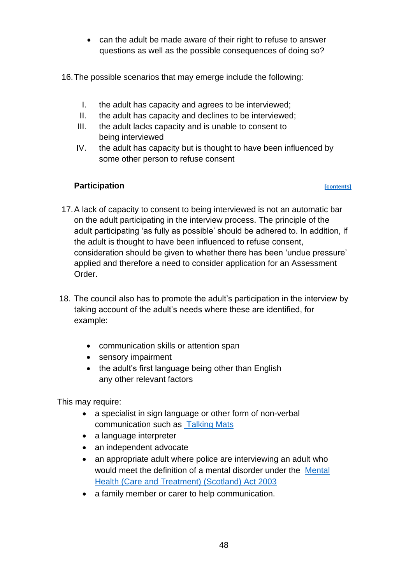- can the adult be made aware of their right to refuse to answer questions as well as the possible consequences of doing so?
- 16.The possible scenarios that may emerge include the following:
	- I. the adult has capacity and agrees to be interviewed;
	- II. the adult has capacity and declines to be interviewed;
	- III. the adult lacks capacity and is unable to consent to being interviewed
	- IV. the adult has capacity but is thought to have been influenced by some other person to refuse consent

## **Participation** *CONTENT CONTENT CONTENT CONTENT CONTENT CONTENT CONTENT*

- 17.A lack of capacity to consent to being interviewed is not an automatic bar on the adult participating in the interview process. The principle of the adult participating 'as fully as possible' should be adhered to. In addition, if the adult is thought to have been influenced to refuse consent, consideration should be given to whether there has been 'undue pressure' applied and therefore a need to consider application for an Assessment Order.
- 18. The council also has to promote the adult's participation in the interview by taking account of the adult's needs where these are identified, for example:
	- communication skills or attention span
	- sensory impairment
	- the adult's first language being other than English any other relevant factors

This may require:

- a specialist in sign language or other form of non-verbal communication such as [Talking Mats](https://www.talkingmats.com/about-talking-mats/)
- a language interpreter
- an independent advocate
- an appropriate adult where police are interviewing an adult who would meet the definition of a mental disorder under the [Mental](https://www.legislation.gov.uk/asp/2003/13/contents)  [Health \(Care and Treatment\) \(Scotland\) Act 2003](https://www.legislation.gov.uk/asp/2003/13/contents)
- a family member or carer to help communication.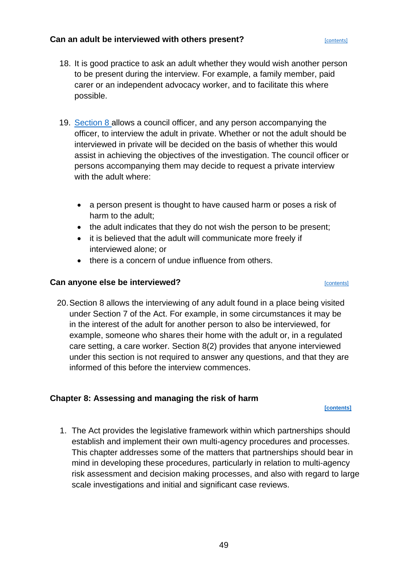## **Can an adult be interviewed with others present? Can an adult be interviewed with others present?**

- 18. It is good practice to ask an adult whether they would wish another person to be present during the interview. For example, a family member, paid carer or an independent advocacy worker, and to facilitate this where possible.
- 19. [Section 8 a](https://www.legislation.gov.uk/asp/2007/10/section/8)llows a council officer, and any person accompanying the officer, to interview the adult in private. Whether or not the adult should be interviewed in private will be decided on the basis of whether this would assist in achieving the objectives of the investigation. The council officer or persons accompanying them may decide to request a private interview with the adult where:
	- a person present is thought to have caused harm or poses a risk of harm to the adult;
	- the adult indicates that they do not wish the person to be present;
	- it is believed that the adult will communicate more freely if interviewed alone; or
	- there is a concern of undue influence from others.

## **Can anyone else be interviewed? Can anyone else be interviewed? Contents**

20.Section 8 allows the interviewing of any adult found in a place being visited under Section 7 of the Act. For example, in some circumstances it may be in the interest of the adult for another person to also be interviewed, for example, someone who shares their home with the adult or, in a regulated care setting, a care worker. Section 8(2) provides that anyone interviewed under this section is not required to answer any questions, and that they are informed of this before the interview commences.

## **Chapter 8: Assessing and managing the risk of harm**

**[\[contents\]](#page-1-0)**

1. The Act provides the legislative framework within which partnerships should establish and implement their own multi-agency procedures and processes. This chapter addresses some of the matters that partnerships should bear in mind in developing these procedures, particularly in relation to multi-agency risk assessment and decision making processes, and also with regard to large scale investigations and initial and significant case reviews.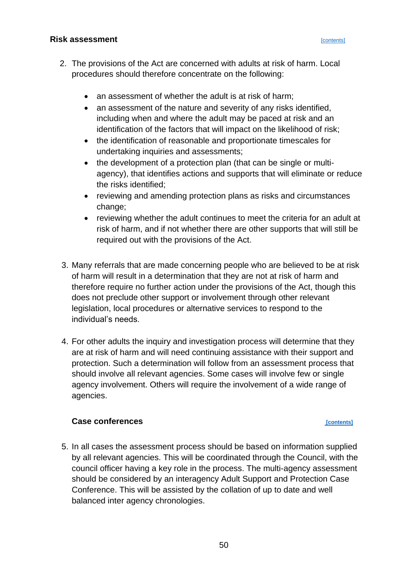### **Risk assessment and the contents of the contents contents [\[contents\]](#page-1-0)**

- 2. The provisions of the Act are concerned with adults at risk of harm. Local procedures should therefore concentrate on the following:
	- an assessment of whether the adult is at risk of harm;
	- an assessment of the nature and severity of any risks identified, including when and where the adult may be paced at risk and an identification of the factors that will impact on the likelihood of risk;
	- the identification of reasonable and proportionate timescales for undertaking inquiries and assessments;
	- the development of a protection plan (that can be single or multiagency), that identifies actions and supports that will eliminate or reduce the risks identified;
	- reviewing and amending protection plans as risks and circumstances change;
	- reviewing whether the adult continues to meet the criteria for an adult at risk of harm, and if not whether there are other supports that will still be required out with the provisions of the Act.
- 3. Many referrals that are made concerning people who are believed to be at risk of harm will result in a determination that they are not at risk of harm and therefore require no further action under the provisions of the Act, though this does not preclude other support or involvement through other relevant legislation, local procedures or alternative services to respond to the individual's needs.
- 4. For other adults the inquiry and investigation process will determine that they are at risk of harm and will need continuing assistance with their support and protection. Such a determination will follow from an assessment process that should involve all relevant agencies. Some cases will involve few or single agency involvement. Others will require the involvement of a wide range of agencies.

### **Case conferences** *p contents*

5. In all cases the assessment process should be based on information supplied by all relevant agencies. This will be coordinated through the Council, with the council officer having a key role in the process. The multi-agency assessment should be considered by an interagency Adult Support and Protection Case Conference. This will be assisted by the collation of up to date and well balanced inter agency chronologies.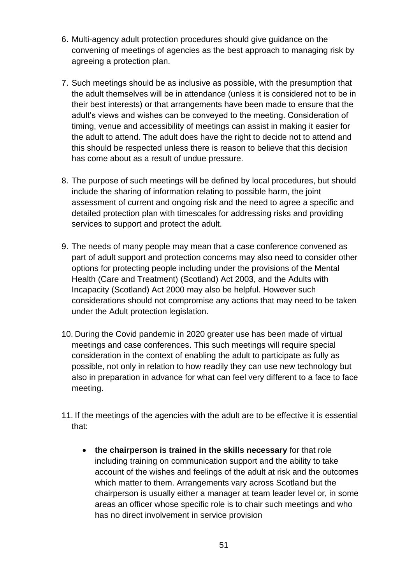- 6. Multi-agency adult protection procedures should give guidance on the convening of meetings of agencies as the best approach to managing risk by agreeing a protection plan.
- 7. Such meetings should be as inclusive as possible, with the presumption that the adult themselves will be in attendance (unless it is considered not to be in their best interests) or that arrangements have been made to ensure that the adult's views and wishes can be conveyed to the meeting. Consideration of timing, venue and accessibility of meetings can assist in making it easier for the adult to attend. The adult does have the right to decide not to attend and this should be respected unless there is reason to believe that this decision has come about as a result of undue pressure.
- 8. The purpose of such meetings will be defined by local procedures, but should include the sharing of information relating to possible harm, the joint assessment of current and ongoing risk and the need to agree a specific and detailed protection plan with timescales for addressing risks and providing services to support and protect the adult.
- 9. The needs of many people may mean that a case conference convened as part of adult support and protection concerns may also need to consider other options for protecting people including under the provisions of the Mental Health (Care and Treatment) (Scotland) Act 2003, and the Adults with Incapacity (Scotland) Act 2000 may also be helpful. However such considerations should not compromise any actions that may need to be taken under the Adult protection legislation.
- 10. During the Covid pandemic in 2020 greater use has been made of virtual meetings and case conferences. This such meetings will require special consideration in the context of enabling the adult to participate as fully as possible, not only in relation to how readily they can use new technology but also in preparation in advance for what can feel very different to a face to face meeting.
- 11. If the meetings of the agencies with the adult are to be effective it is essential that:
	- **the chairperson is trained in the skills necessary** for that role including training on communication support and the ability to take account of the wishes and feelings of the adult at risk and the outcomes which matter to them. Arrangements vary across Scotland but the chairperson is usually either a manager at team leader level or, in some areas an officer whose specific role is to chair such meetings and who has no direct involvement in service provision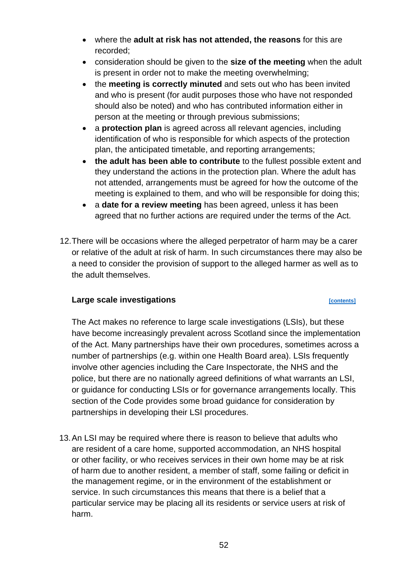- where the **adult at risk has not attended, the reasons** for this are recorded;
- consideration should be given to the **size of the meeting** when the adult is present in order not to make the meeting overwhelming;
- the **meeting is correctly minuted** and sets out who has been invited and who is present (for audit purposes those who have not responded should also be noted) and who has contributed information either in person at the meeting or through previous submissions;
- a **protection plan** is agreed across all relevant agencies, including identification of who is responsible for which aspects of the protection plan, the anticipated timetable, and reporting arrangements;
- **the adult has been able to contribute** to the fullest possible extent and they understand the actions in the protection plan. Where the adult has not attended, arrangements must be agreed for how the outcome of the meeting is explained to them, and who will be responsible for doing this;
- a **date for a review meeting** has been agreed, unless it has been agreed that no further actions are required under the terms of the Act.
- 12.There will be occasions where the alleged perpetrator of harm may be a carer or relative of the adult at risk of harm. In such circumstances there may also be a need to consider the provision of support to the alleged harmer as well as to the adult themselves.

## **Large scale investigations** *performance**[\[contents\]](#page-1-0)*

The Act makes no reference to large scale investigations (LSIs), but these have become increasingly prevalent across Scotland since the implementation of the Act. Many partnerships have their own procedures, sometimes across a number of partnerships (e.g. within one Health Board area). LSIs frequently involve other agencies including the Care Inspectorate, the NHS and the police, but there are no nationally agreed definitions of what warrants an LSI, or guidance for conducting LSIs or for governance arrangements locally. This section of the Code provides some broad guidance for consideration by partnerships in developing their LSI procedures.

13.An LSI may be required where there is reason to believe that adults who are resident of a care home, supported accommodation, an NHS hospital or other facility, or who receives services in their own home may be at risk of harm due to another resident, a member of staff, some failing or deficit in the management regime, or in the environment of the establishment or service. In such circumstances this means that there is a belief that a particular service may be placing all its residents or service users at risk of harm.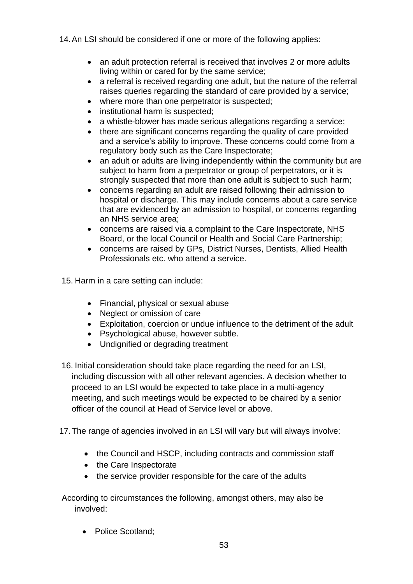14.An LSI should be considered if one or more of the following applies:

- an adult protection referral is received that involves 2 or more adults living within or cared for by the same service;
- a referral is received regarding one adult, but the nature of the referral raises queries regarding the standard of care provided by a service;
- where more than one perpetrator is suspected;
- institutional harm is suspected;
- a whistle-blower has made serious allegations regarding a service;
- there are significant concerns regarding the quality of care provided and a service's ability to improve. These concerns could come from a regulatory body such as the Care Inspectorate;
- an adult or adults are living independently within the community but are subject to harm from a perpetrator or group of perpetrators, or it is strongly suspected that more than one adult is subject to such harm;
- concerns regarding an adult are raised following their admission to hospital or discharge. This may include concerns about a care service that are evidenced by an admission to hospital, or concerns regarding an NHS service area;
- concerns are raised via a complaint to the Care Inspectorate, NHS Board, or the local Council or Health and Social Care Partnership;
- concerns are raised by GPs, District Nurses, Dentists, Allied Health Professionals etc. who attend a service.

15. Harm in a care setting can include:

- Financial, physical or sexual abuse
- Neglect or omission of care
- Exploitation, coercion or undue influence to the detriment of the adult
- Psychological abuse, however subtle.
- Undignified or degrading treatment
- 16. Initial consideration should take place regarding the need for an LSI, including discussion with all other relevant agencies. A decision whether to proceed to an LSI would be expected to take place in a multi-agency meeting, and such meetings would be expected to be chaired by a senior officer of the council at Head of Service level or above.
- 17.The range of agencies involved in an LSI will vary but will always involve:
	- the Council and HSCP, including contracts and commission staff
	- the Care Inspectorate
	- the service provider responsible for the care of the adults

According to circumstances the following, amongst others, may also be involved:

• Police Scotland;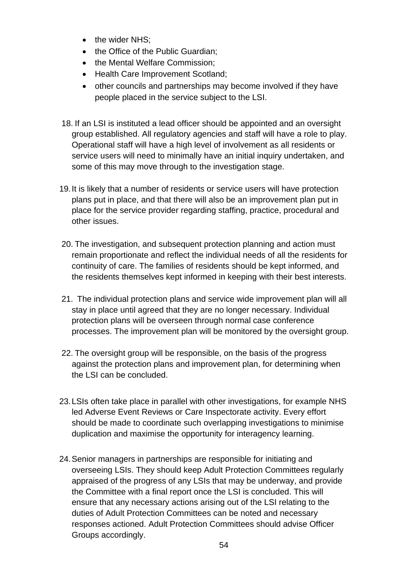- the wider NHS;
- the Office of the Public Guardian;
- the Mental Welfare Commission;
- Health Care Improvement Scotland;
- other councils and partnerships may become involved if they have people placed in the service subject to the LSI.
- 18. If an LSI is instituted a lead officer should be appointed and an oversight group established. All regulatory agencies and staff will have a role to play. Operational staff will have a high level of involvement as all residents or service users will need to minimally have an initial inquiry undertaken, and some of this may move through to the investigation stage.
- 19.It is likely that a number of residents or service users will have protection plans put in place, and that there will also be an improvement plan put in place for the service provider regarding staffing, practice, procedural and other issues.
- 20. The investigation, and subsequent protection planning and action must remain proportionate and reflect the individual needs of all the residents for continuity of care. The families of residents should be kept informed, and the residents themselves kept informed in keeping with their best interests.
- 21. The individual protection plans and service wide improvement plan will all stay in place until agreed that they are no longer necessary. Individual protection plans will be overseen through normal case conference processes. The improvement plan will be monitored by the oversight group.
- 22. The oversight group will be responsible, on the basis of the progress against the protection plans and improvement plan, for determining when the LSI can be concluded.
- 23.LSIs often take place in parallel with other investigations, for example NHS led Adverse Event Reviews or Care Inspectorate activity. Every effort should be made to coordinate such overlapping investigations to minimise duplication and maximise the opportunity for interagency learning.
- 24.Senior managers in partnerships are responsible for initiating and overseeing LSIs. They should keep Adult Protection Committees regularly appraised of the progress of any LSIs that may be underway, and provide the Committee with a final report once the LSI is concluded. This will ensure that any necessary actions arising out of the LSI relating to the duties of Adult Protection Committees can be noted and necessary responses actioned. Adult Protection Committees should advise Officer Groups accordingly.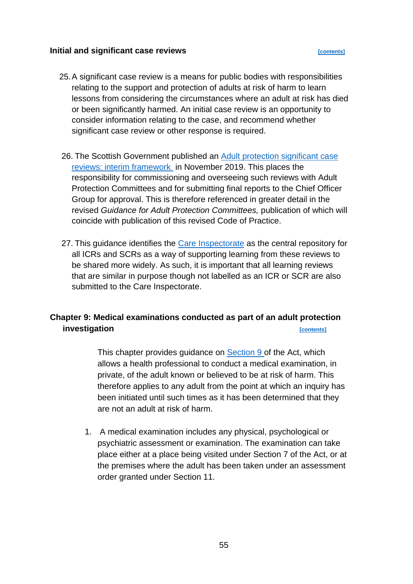### **Initial and significant case reviews**

- 25.A significant case review is a means for public bodies with responsibilities relating to the support and protection of adults at risk of harm to learn lessons from considering the circumstances where an adult at risk has died or been significantly harmed. An initial case review is an opportunity to consider information relating to the case, and recommend whether significant case review or other response is required.
- 26. The Scottish Government published an [Adult protection significant case](https://www.gov.scot/publications/interim-national-framework-adult-protection-committees-conducting-significant-case-review/pages/16/)  [reviews: interim framework](https://www.gov.scot/publications/interim-national-framework-adult-protection-committees-conducting-significant-case-review/pages/16/) in November 2019. This places the responsibility for commissioning and overseeing such reviews with Adult Protection Committees and for submitting final reports to the Chief Officer Group for approval. This is therefore referenced in greater detail in the revised *Guidance for Adult Protection Committees,* publication of which will coincide with publication of this revised Code of Practice.
- 27. This guidance identifies the [Care Inspectorate](https://www.careinspectorate.com/) as the central repository for all ICRs and SCRs as a way of supporting learning from these reviews to be shared more widely. As such, it is important that all learning reviews that are similar in purpose though not labelled as an ICR or SCR are also submitted to the Care Inspectorate.

# **Chapter 9: Medical examinations conducted as part of an adult protection investigation** *contents*

This chapter provides quidance on [Section 9 o](https://www.legislation.gov.uk/asp/2007/10/section/9)f the Act, which allows a health professional to conduct a medical examination, in private, of the adult known or believed to be at risk of harm. This therefore applies to any adult from the point at which an inquiry has been initiated until such times as it has been determined that they are not an adult at risk of harm.

1. A medical examination includes any physical, psychological or psychiatric assessment or examination. The examination can take place either at a place being visited under Section 7 of the Act, or at the premises where the adult has been taken under an assessment order granted under Section 11.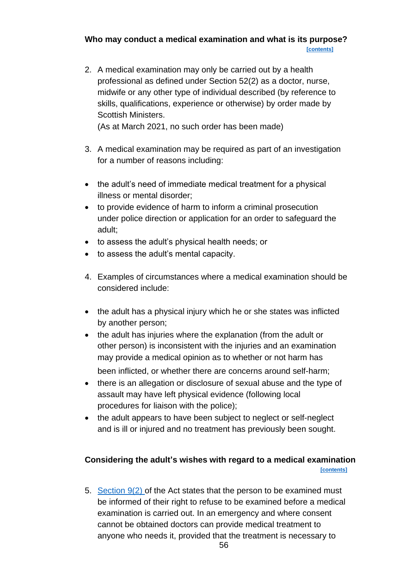**Who may conduct a medical examination and what is its purpose?** 

 **[\[contents\]](#page-1-0)**

2. A medical examination may only be carried out by a health professional as defined under Section 52(2) as a doctor, nurse, midwife or any other type of individual described (by reference to skills, qualifications, experience or otherwise) by order made by Scottish Ministers.

(As at March 2021, no such order has been made)

- 3. A medical examination may be required as part of an investigation for a number of reasons including:
- the adult's need of immediate medical treatment for a physical illness or mental disorder;
- to provide evidence of harm to inform a criminal prosecution under police direction or application for an order to safeguard the adult;
- to assess the adult's physical health needs; or
- to assess the adult's mental capacity.
- 4. Examples of circumstances where a medical examination should be considered include:
- the adult has a physical injury which he or she states was inflicted by another person;
- the adult has injuries where the explanation (from the adult or other person) is inconsistent with the injuries and an examination may provide a medical opinion as to whether or not harm has been inflicted, or whether there are concerns around self-harm;
- there is an allegation or disclosure of sexual abuse and the type of assault may have left physical evidence (following local procedures for liaison with the police);
- the adult appears to have been subject to neglect or self-neglect and is ill or injured and no treatment has previously been sought.

# **Considering the adult's wishes with regard to a medical examination [\[contents\]](#page-1-0)**

5. [Section 9\(2\) o](https://www.legislation.gov.uk/asp/2007/10/section/9)f the Act states that the person to be examined must be informed of their right to refuse to be examined before a medical examination is carried out. In an emergency and where consent cannot be obtained doctors can provide medical treatment to anyone who needs it, provided that the treatment is necessary to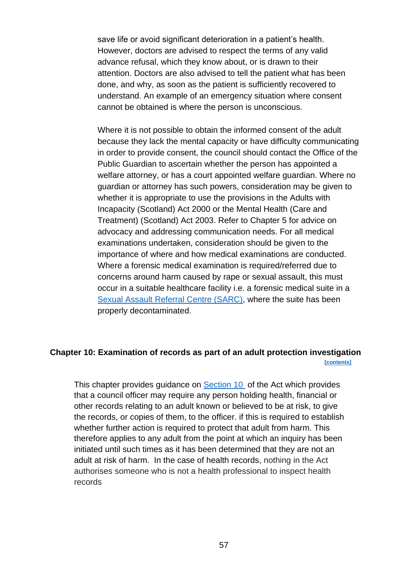save life or avoid significant deterioration in a patient's health. However, doctors are advised to respect the terms of any valid advance refusal, which they know about, or is drawn to their attention. Doctors are also advised to tell the patient what has been done, and why, as soon as the patient is sufficiently recovered to understand. An example of an emergency situation where consent cannot be obtained is where the person is unconscious.

Where it is not possible to obtain the informed consent of the adult because they lack the mental capacity or have difficulty communicating in order to provide consent, the council should contact the Office of the Public Guardian to ascertain whether the person has appointed a welfare attorney, or has a court appointed welfare guardian. Where no guardian or attorney has such powers, consideration may be given to whether it is appropriate to use the provisions in the Adults with Incapacity (Scotland) Act 2000 or the Mental Health (Care and Treatment) (Scotland) Act 2003. Refer to Chapter 5 for advice on advocacy and addressing communication needs. For all medical examinations undertaken, consideration should be given to the importance of where and how medical examinations are conducted. Where a forensic medical examination is required/referred due to concerns around harm caused by rape or sexual assault, this must occur in a suitable healthcare facility i.e. a forensic medical suite in a [Sexual Assault Referral Centre \(SARC\),](https://www.thesurvivorstrust.org/sarc) where the suite has been properly decontaminated.

## **Chapter 10: Examination of records as part of an adult protection investigation [\[contents\]](#page-1-0)**

This chapter provides quidance on [Section 10](https://www.legislation.gov.uk/asp/2007/10/section/10) of the Act which provides that a council officer may require any person holding health, financial or other records relating to an adult known or believed to be at risk, to give the records, or copies of them, to the officer. if this is required to establish whether further action is required to protect that adult from harm. This therefore applies to any adult from the point at which an inquiry has been initiated until such times as it has been determined that they are not an adult at risk of harm. In the case of health records, nothing in the Act authorises someone who is not a health professional to inspect health records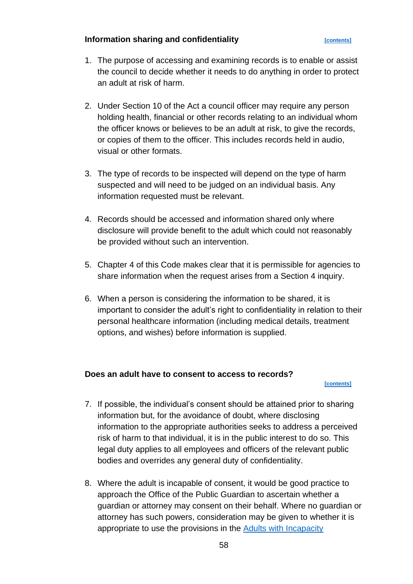## **Information sharing and confidentiality** *[\[contents\]](#page-1-0)*

- 1. The purpose of accessing and examining records is to enable or assist the council to decide whether it needs to do anything in order to protect an adult at risk of harm.
- 2. Under Section 10 of the Act a council officer may require any person holding health, financial or other records relating to an individual whom the officer knows or believes to be an adult at risk, to give the records, or copies of them to the officer. This includes records held in audio, visual or other formats.
- 3. The type of records to be inspected will depend on the type of harm suspected and will need to be judged on an individual basis. Any information requested must be relevant.
- 4. Records should be accessed and information shared only where disclosure will provide benefit to the adult which could not reasonably be provided without such an intervention.
- 5. Chapter 4 of this Code makes clear that it is permissible for agencies to share information when the request arises from a Section 4 inquiry.
- 6. When a person is considering the information to be shared, it is important to consider the adult's right to confidentiality in relation to their personal healthcare information (including medical details, treatment options, and wishes) before information is supplied.

## **Does an adult have to consent to access to records?**

### **[\[contents\]](#page-1-0)**

- 7. If possible, the individual's consent should be attained prior to sharing information but, for the avoidance of doubt, where disclosing information to the appropriate authorities seeks to address a perceived risk of harm to that individual, it is in the public interest to do so. This legal duty applies to all employees and officers of the relevant public bodies and overrides any general duty of confidentiality.
- 8. Where the adult is incapable of consent, it would be good practice to approach the Office of the Public Guardian to ascertain whether a guardian or attorney may consent on their behalf. Where no guardian or attorney has such powers, consideration may be given to whether it is appropriate to use the provisions in the [Adults with Incapacity](https://www.gov.scot/publications/adults-with-incapacity-act-principles/#:~:text=Adults%20with%20Incapacity%20%28Scotland%29%20Act%202000%3A%20principles.%20The,suitable%20for%20meeting%20the%20needs%20of%20the%20individual.)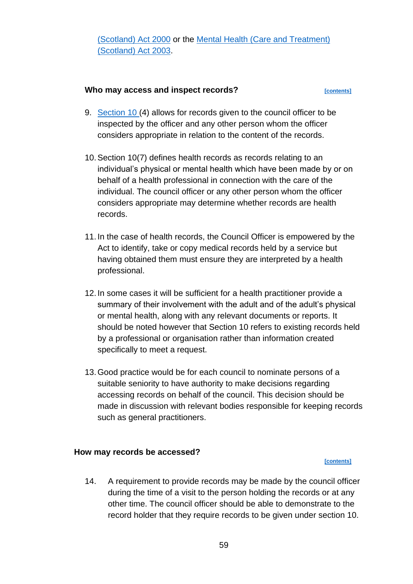## **Who may access and inspect records?** *[\[contents\]](#page-1-0)*

- 9. [Section 10 \(](https://www.legislation.gov.uk/asp/2007/10/section/10)4) allows for records given to the council officer to be inspected by the officer and any other person whom the officer considers appropriate in relation to the content of the records.
- 10.Section 10(7) defines health records as records relating to an individual's physical or mental health which have been made by or on behalf of a health professional in connection with the care of the individual. The council officer or any other person whom the officer considers appropriate may determine whether records are health records.
- 11. In the case of health records, the Council Officer is empowered by the Act to identify, take or copy medical records held by a service but having obtained them must ensure they are interpreted by a health professional.
- 12. In some cases it will be sufficient for a health practitioner provide a summary of their involvement with the adult and of the adult's physical or mental health, along with any relevant documents or reports. It should be noted however that Section 10 refers to existing records held by a professional or organisation rather than information created specifically to meet a request.
- 13.Good practice would be for each council to nominate persons of a suitable seniority to have authority to make decisions regarding accessing records on behalf of the council. This decision should be made in discussion with relevant bodies responsible for keeping records such as general practitioners.

### **How may records be accessed?**

**[\[contents\]](#page-1-0)**

14. A requirement to provide records may be made by the council officer during the time of a visit to the person holding the records or at any other time. The council officer should be able to demonstrate to the record holder that they require records to be given under section 10.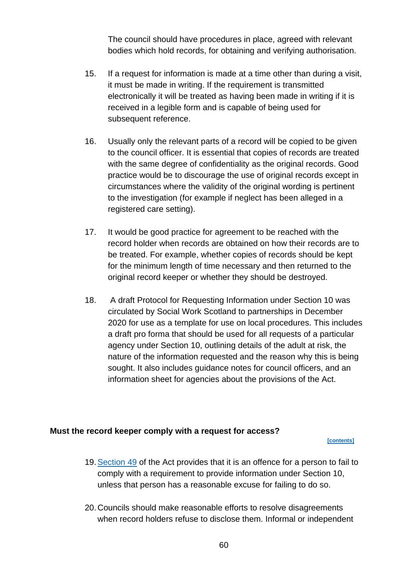The council should have procedures in place, agreed with relevant bodies which hold records, for obtaining and verifying authorisation.

- 15. If a request for information is made at a time other than during a visit, it must be made in writing. If the requirement is transmitted electronically it will be treated as having been made in writing if it is received in a legible form and is capable of being used for subsequent reference.
- 16. Usually only the relevant parts of a record will be copied to be given to the council officer. It is essential that copies of records are treated with the same degree of confidentiality as the original records. Good practice would be to discourage the use of original records except in circumstances where the validity of the original wording is pertinent to the investigation (for example if neglect has been alleged in a registered care setting).
- 17. It would be good practice for agreement to be reached with the record holder when records are obtained on how their records are to be treated. For example, whether copies of records should be kept for the minimum length of time necessary and then returned to the original record keeper or whether they should be destroyed.
- 18. A draft Protocol for Requesting Information under Section 10 was circulated by Social Work Scotland to partnerships in December 2020 for use as a template for use on local procedures. This includes a draft pro forma that should be used for all requests of a particular agency under Section 10, outlining details of the adult at risk, the nature of the information requested and the reason why this is being sought. It also includes guidance notes for council officers, and an information sheet for agencies about the provisions of the Act.

### **Must the record keeper comply with a request for access?**

 **[\[contents\]](#page-1-0)**

- 19[.Section 49](https://www.legislation.gov.uk/asp/2007/10/section/49) of the Act provides that it is an offence for a person to fail to comply with a requirement to provide information under Section 10, unless that person has a reasonable excuse for failing to do so.
- 20. Councils should make reasonable efforts to resolve disagreements when record holders refuse to disclose them. Informal or independent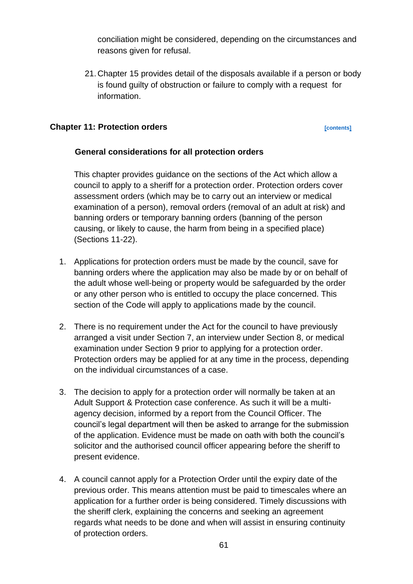conciliation might be considered, depending on the circumstances and reasons given for refusal.

21. Chapter 15 provides detail of the disposals available if a person or body is found guilty of obstruction or failure to comply with a request for information.

## **Chapter 11: Protection orders** *contents contents*

## **General considerations for all protection orders**

This chapter provides guidance on the sections of the Act which allow a council to apply to a sheriff for a protection order. Protection orders cover assessment orders (which may be to carry out an interview or medical examination of a person), removal orders (removal of an adult at risk) and banning orders or temporary banning orders (banning of the person causing, or likely to cause, the harm from being in a specified place) (Sections 11-22).

- 1. Applications for protection orders must be made by the council, save for banning orders where the application may also be made by or on behalf of the adult whose well-being or property would be safeguarded by the order or any other person who is entitled to occupy the place concerned. This section of the Code will apply to applications made by the council.
- 2. There is no requirement under the Act for the council to have previously arranged a visit under Section 7, an interview under Section 8, or medical examination under Section 9 prior to applying for a protection order. Protection orders may be applied for at any time in the process, depending on the individual circumstances of a case.
- 3. The decision to apply for a protection order will normally be taken at an Adult Support & Protection case conference. As such it will be a multiagency decision, informed by a report from the Council Officer. The council's legal department will then be asked to arrange for the submission of the application. Evidence must be made on oath with both the council's solicitor and the authorised council officer appearing before the sheriff to present evidence.
- 4. A council cannot apply for a Protection Order until the expiry date of the previous order. This means attention must be paid to timescales where an application for a further order is being considered. Timely discussions with the sheriff clerk, explaining the concerns and seeking an agreement regards what needs to be done and when will assist in ensuring continuity of protection orders.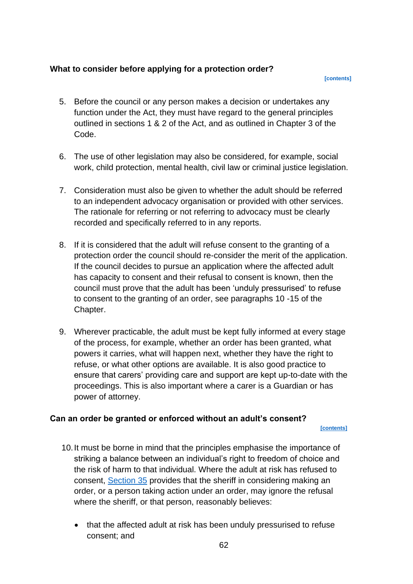## **What to consider before applying for a protection order?**

 **[\[contents\]](#page-1-0)**

- 5. Before the council or any person makes a decision or undertakes any function under the Act, they must have regard to the general principles outlined in sections 1 & 2 of the Act, and as outlined in Chapter 3 of the Code.
- 6. The use of other legislation may also be considered, for example, social work, child protection, mental health, civil law or criminal justice legislation.
- 7. Consideration must also be given to whether the adult should be referred to an independent advocacy organisation or provided with other services. The rationale for referring or not referring to advocacy must be clearly recorded and specifically referred to in any reports.
- 8. If it is considered that the adult will refuse consent to the granting of a protection order the council should re-consider the merit of the application. If the council decides to pursue an application where the affected adult has capacity to consent and their refusal to consent is known, then the council must prove that the adult has been 'unduly pressurised' to refuse to consent to the granting of an order, see paragraphs 10 -15 of the Chapter.
- 9. Wherever practicable, the adult must be kept fully informed at every stage of the process, for example, whether an order has been granted, what powers it carries, what will happen next, whether they have the right to refuse, or what other options are available. It is also good practice to ensure that carers' providing care and support are kept up-to-date with the proceedings. This is also important where a carer is a Guardian or has power of attorney.

## **Can an order be granted or enforced without an adult's consent?**

 **[\[contents\]](#page-1-0)**

- 10.It must be borne in mind that the principles emphasise the importance of striking a balance between an individual's right to freedom of choice and the risk of harm to that individual. Where the adult at risk has refused to consent, [Section 35](https://www.legislation.gov.uk/asp/2007/10/section/35) provides that the sheriff in considering making an order, or a person taking action under an order, may ignore the refusal where the sheriff, or that person, reasonably believes:
	- that the affected adult at risk has been unduly pressurised to refuse consent; and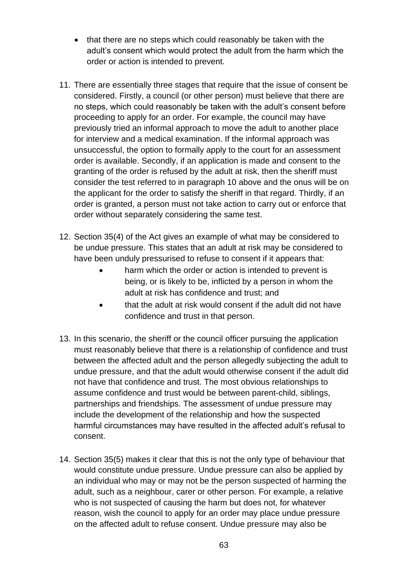- that there are no steps which could reasonably be taken with the adult's consent which would protect the adult from the harm which the order or action is intended to prevent.
- 11. There are essentially three stages that require that the issue of consent be considered. Firstly, a council (or other person) must believe that there are no steps, which could reasonably be taken with the adult's consent before proceeding to apply for an order. For example, the council may have previously tried an informal approach to move the adult to another place for interview and a medical examination. If the informal approach was unsuccessful, the option to formally apply to the court for an assessment order is available. Secondly, if an application is made and consent to the granting of the order is refused by the adult at risk, then the sheriff must consider the test referred to in paragraph 10 above and the onus will be on the applicant for the order to satisfy the sheriff in that regard. Thirdly, if an order is granted, a person must not take action to carry out or enforce that order without separately considering the same test.
- 12. Section 35(4) of the Act gives an example of what may be considered to be undue pressure. This states that an adult at risk may be considered to have been unduly pressurised to refuse to consent if it appears that:
	- harm which the order or action is intended to prevent is being, or is likely to be, inflicted by a person in whom the adult at risk has confidence and trust; and
	- that the adult at risk would consent if the adult did not have confidence and trust in that person.
- 13. In this scenario, the sheriff or the council officer pursuing the application must reasonably believe that there is a relationship of confidence and trust between the affected adult and the person allegedly subjecting the adult to undue pressure, and that the adult would otherwise consent if the adult did not have that confidence and trust. The most obvious relationships to assume confidence and trust would be between parent-child, siblings, partnerships and friendships. The assessment of undue pressure may include the development of the relationship and how the suspected harmful circumstances may have resulted in the affected adult's refusal to consent.
- 14. Section 35(5) makes it clear that this is not the only type of behaviour that would constitute undue pressure. Undue pressure can also be applied by an individual who may or may not be the person suspected of harming the adult, such as a neighbour, carer or other person. For example, a relative who is not suspected of causing the harm but does not, for whatever reason, wish the council to apply for an order may place undue pressure on the affected adult to refuse consent. Undue pressure may also be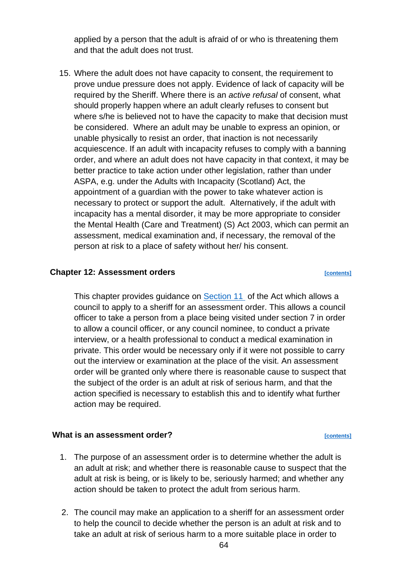applied by a person that the adult is afraid of or who is threatening them and that the adult does not trust.

15. Where the adult does not have capacity to consent, the requirement to prove undue pressure does not apply. Evidence of lack of capacity will be required by the Sheriff. Where there is an *active refusal* of consent, what should properly happen where an adult clearly refuses to consent but where s/he is believed not to have the capacity to make that decision must be considered. Where an adult may be unable to express an opinion, or unable physically to resist an order, that inaction is not necessarily acquiescence. If an adult with incapacity refuses to comply with a banning order, and where an adult does not have capacity in that context, it may be better practice to take action under other legislation, rather than under ASPA, e.g. under the Adults with Incapacity (Scotland) Act, the appointment of a guardian with the power to take whatever action is necessary to protect or support the adult. Alternatively, if the adult with incapacity has a mental disorder, it may be more appropriate to consider the Mental Health (Care and Treatment) (S) Act 2003, which can permit an assessment, medical examination and, if necessary, the removal of the person at risk to a place of safety without her/ his consent.

### **Chapter 12: Assessment orders** *contents*

This chapter provides guidance on [Section 11](https://www.legislation.gov.uk/asp/2007/10/section/11) of the Act which allows a council to apply to a sheriff for an assessment order. This allows a council officer to take a person from a place being visited under section 7 in order to allow a council officer, or any council nominee, to conduct a private interview, or a health professional to conduct a medical examination in private. This order would be necessary only if it were not possible to carry out the interview or examination at the place of the visit. An assessment order will be granted only where there is reasonable cause to suspect that the subject of the order is an adult at risk of serious harm, and that the action specified is necessary to establish this and to identify what further action may be required.

### **What is an assessment order?** *CONTERNATE CONTENTS*

- 1. The purpose of an assessment order is to determine whether the adult is an adult at risk; and whether there is reasonable cause to suspect that the adult at risk is being, or is likely to be, seriously harmed; and whether any action should be taken to protect the adult from serious harm.
- 2. The council may make an application to a sheriff for an assessment order to help the council to decide whether the person is an adult at risk and to take an adult at risk of serious harm to a more suitable place in order to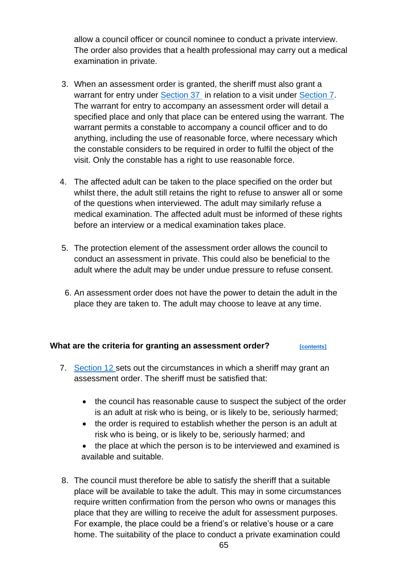allow a council officer or council nominee to conduct a private interview. The order also provides that a health professional may carry out a medical examination in private.

- 3. When an assessment order is granted, the sheriff must also grant a warrant for entry under [Section 37](https://www.legislation.gov.uk/asp/2007/10/section/37) in relation to a visit under [Section 7.](https://www.legislation.gov.uk/asp/2007/10/section/7) The warrant for entry to accompany an assessment order will detail a specified place and only that place can be entered using the warrant. The warrant permits a constable to accompany a council officer and to do anything, including the use of reasonable force, where necessary which the constable considers to be required in order to fulfil the object of the visit. Only the constable has a right to use reasonable force.
- 4. The affected adult can be taken to the place specified on the order but whilst there, the adult still retains the right to refuse to answer all or some of the questions when interviewed. The adult may similarly refuse a medical examination. The affected adult must be informed of these rights before an interview or a medical examination takes place.
- 5. The protection element of the assessment order allows the council to conduct an assessment in private. This could also be beneficial to the adult where the adult may be under undue pressure to refuse consent.
- 6. An assessment order does not have the power to detain the adult in the place they are taken to. The adult may choose to leave at any time.

### **What are the criteria for granting an assessment order?** *[\[contents\]](#page-1-0)*

- 7. [Section 12 s](https://www.legislation.gov.uk/asp/2007/10/section/12)ets out the circumstances in which a sheriff may grant an assessment order. The sheriff must be satisfied that:
	- the council has reasonable cause to suspect the subject of the order is an adult at risk who is being, or is likely to be, seriously harmed;
	- the order is required to establish whether the person is an adult at risk who is being, or is likely to be, seriously harmed; and
	- the place at which the person is to be interviewed and examined is available and suitable.
- 8. The council must therefore be able to satisfy the sheriff that a suitable place will be available to take the adult. This may in some circumstances require written confirmation from the person who owns or manages this place that they are willing to receive the adult for assessment purposes. For example, the place could be a friend's or relative's house or a care home. The suitability of the place to conduct a private examination could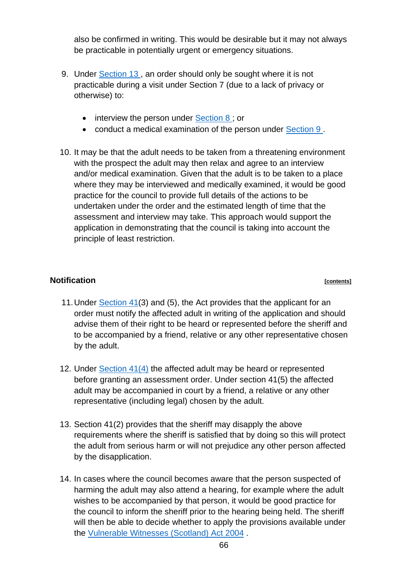also be confirmed in writing. This would be desirable but it may not always be practicable in potentially urgent or emergency situations.

- 9. Under [Section 13 ,](https://www.legislation.gov.uk/asp/2007/10/section/13) an order should only be sought where it is not practicable during a visit under Section 7 (due to a lack of privacy or otherwise) to:
	- interview the person under Section 8 : or
	- conduct a medical examination of the person under [Section 9 .](https://www.legislation.gov.uk/asp/2007/10/section/9)
- 10. It may be that the adult needs to be taken from a threatening environment with the prospect the adult may then relax and agree to an interview and/or medical examination. Given that the adult is to be taken to a place where they may be interviewed and medically examined, it would be good practice for the council to provide full details of the actions to be undertaken under the order and the estimated length of time that the assessment and interview may take. This approach would support the application in demonstrating that the council is taking into account the principle of least restriction.

## **Notification** *[\[contents\]](#page-1-0)*

- 11.Under [Section 41\(](https://www.legislation.gov.uk/asp/2007/10/section/41)3) and (5), the Act provides that the applicant for an order must notify the affected adult in writing of the application and should advise them of their right to be heard or represented before the sheriff and to be accompanied by a friend, relative or any other representative chosen by the adult.
- 12. Under [Section 41\(4\)](https://www.legislation.gov.uk/asp/2007/10/section/41) the affected adult may be heard or represented before granting an assessment order. Under section 41(5) the affected adult may be accompanied in court by a friend, a relative or any other representative (including legal) chosen by the adult.
- 13. Section 41(2) provides that the sheriff may disapply the above requirements where the sheriff is satisfied that by doing so this will protect the adult from serious harm or will not prejudice any other person affected by the disapplication.
- 14. In cases where the council becomes aware that the person suspected of harming the adult may also attend a hearing, for example where the adult wishes to be accompanied by that person, it would be good practice for the council to inform the sheriff prior to the hearing being held. The sheriff will then be able to decide whether to apply the provisions available under the [Vulnerable Witnesses \(Scotland\) Act 2004](https://www.legislation.gov.uk/asp/2004/3/contents#:~:text=%20Vulnerable%20Witnesses%20%28Scotland%29%20Act%202004%20%201,proofs%20in%20relation%20to%20victim%20statements%20More%20) .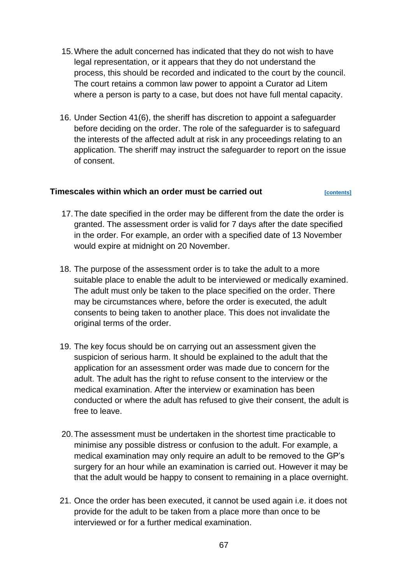- 15.Where the adult concerned has indicated that they do not wish to have legal representation, or it appears that they do not understand the process, this should be recorded and indicated to the court by the council. The court retains a common law power to appoint a Curator ad Litem where a person is party to a case, but does not have full mental capacity.
- 16. Under Section 41(6), the sheriff has discretion to appoint a safeguarder before deciding on the order. The role of the safeguarder is to safeguard the interests of the affected adult at risk in any proceedings relating to an application. The sheriff may instruct the safeguarder to report on the issue of consent.

## **Timescales within which an order must be carried out** *[\[contents\]](#page-1-0)*

- 17.The date specified in the order may be different from the date the order is granted. The assessment order is valid for 7 days after the date specified in the order. For example, an order with a specified date of 13 November would expire at midnight on 20 November.
- 18. The purpose of the assessment order is to take the adult to a more suitable place to enable the adult to be interviewed or medically examined. The adult must only be taken to the place specified on the order. There may be circumstances where, before the order is executed, the adult consents to being taken to another place. This does not invalidate the original terms of the order.
- 19. The key focus should be on carrying out an assessment given the suspicion of serious harm. It should be explained to the adult that the application for an assessment order was made due to concern for the adult. The adult has the right to refuse consent to the interview or the medical examination. After the interview or examination has been conducted or where the adult has refused to give their consent, the adult is free to leave.
- 20.The assessment must be undertaken in the shortest time practicable to minimise any possible distress or confusion to the adult. For example, a medical examination may only require an adult to be removed to the GP's surgery for an hour while an examination is carried out. However it may be that the adult would be happy to consent to remaining in a place overnight.
- 21. Once the order has been executed, it cannot be used again i.e. it does not provide for the adult to be taken from a place more than once to be interviewed or for a further medical examination.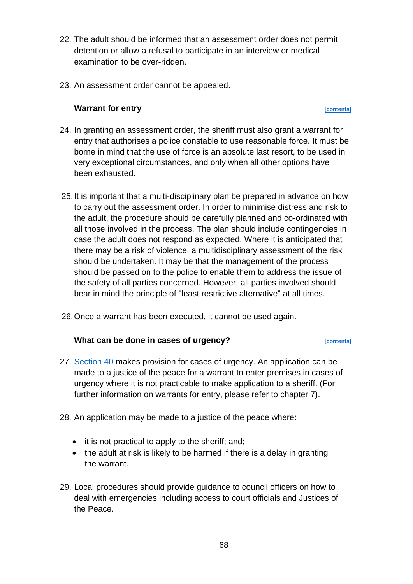- 22. The adult should be informed that an assessment order does not permit detention or allow a refusal to participate in an interview or medical examination to be over-ridden.
- 23. An assessment order cannot be appealed.

## **Warrant for entry** *contents*

- 24. In granting an assessment order, the sheriff must also grant a warrant for entry that authorises a police constable to use reasonable force. It must be borne in mind that the use of force is an absolute last resort, to be used in very exceptional circumstances, and only when all other options have been exhausted.
- 25.It is important that a multi-disciplinary plan be prepared in advance on how to carry out the assessment order. In order to minimise distress and risk to the adult, the procedure should be carefully planned and co-ordinated with all those involved in the process. The plan should include contingencies in case the adult does not respond as expected. Where it is anticipated that there may be a risk of violence, a multidisciplinary assessment of the risk should be undertaken. It may be that the management of the process should be passed on to the police to enable them to address the issue of the safety of all parties concerned. However, all parties involved should bear in mind the principle of "least restrictive alternative" at all times.
- 26.Once a warrant has been executed, it cannot be used again.

## **What can be done in cases of urgency?** *CONTERENTERS*

- 27. [Section 40](https://www.legislation.gov.uk/asp/2007/10/section/40) makes provision for cases of urgency. An application can be made to a justice of the peace for a warrant to enter premises in cases of urgency where it is not practicable to make application to a sheriff. (For further information on warrants for entry, please refer to chapter 7).
- 28. An application may be made to a justice of the peace where:
	- it is not practical to apply to the sheriff; and;
	- the adult at risk is likely to be harmed if there is a delay in granting the warrant.
- 29. Local procedures should provide guidance to council officers on how to deal with emergencies including access to court officials and Justices of the Peace.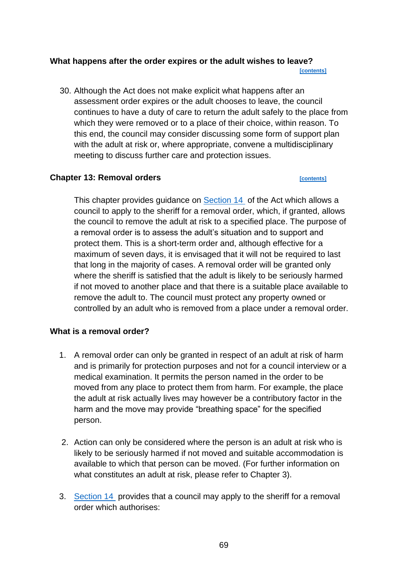### **What happens after the order expires or the adult wishes to leave? [\[contents\]](#page-1-0)**

30. Although the Act does not make explicit what happens after an assessment order expires or the adult chooses to leave, the council continues to have a duty of care to return the adult safely to the place from which they were removed or to a place of their choice, within reason. To this end, the council may consider discussing some form of support plan with the adult at risk or, where appropriate, convene a multidisciplinary meeting to discuss further care and protection issues.

### **Chapter 13: Removal orders** *contents*

This chapter provides guidance on [Section 14](https://www.legislation.gov.uk/asp/2007/10/section/14) of the Act which allows a council to apply to the sheriff for a removal order, which, if granted, allows the council to remove the adult at risk to a specified place. The purpose of a removal order is to assess the adult's situation and to support and protect them. This is a short-term order and, although effective for a maximum of seven days, it is envisaged that it will not be required to last that long in the majority of cases. A removal order will be granted only where the sheriff is satisfied that the adult is likely to be seriously harmed if not moved to another place and that there is a suitable place available to remove the adult to. The council must protect any property owned or controlled by an adult who is removed from a place under a removal order.

## **What is a removal order?**

- 1. A removal order can only be granted in respect of an adult at risk of harm and is primarily for protection purposes and not for a council interview or a medical examination. It permits the person named in the order to be moved from any place to protect them from harm. For example, the place the adult at risk actually lives may however be a contributory factor in the harm and the move may provide "breathing space" for the specified person.
- 2. Action can only be considered where the person is an adult at risk who is likely to be seriously harmed if not moved and suitable accommodation is available to which that person can be moved. (For further information on what constitutes an adult at risk, please refer to Chapter 3).
- 3. [Section 14](https://www.legislation.gov.uk/asp/2007/10/section/14) provides that a council may apply to the sheriff for a removal order which authorises: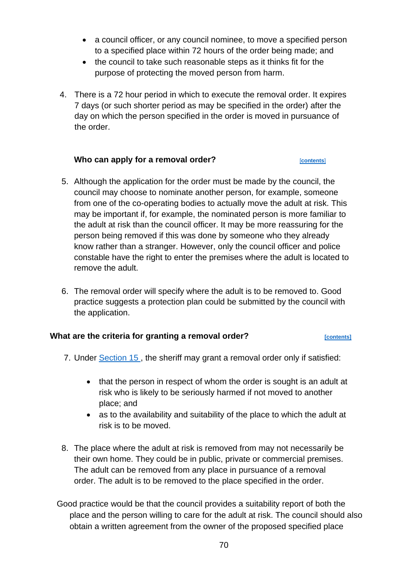- a council officer, or any council nominee, to move a specified person to a specified place within 72 hours of the order being made; and
- the council to take such reasonable steps as it thinks fit for the purpose of protecting the moved person from harm.
- 4. There is a 72 hour period in which to execute the removal order. It expires 7 days (or such shorter period as may be specified in the order) after the day on which the person specified in the order is moved in pursuance of the order.

## Who can apply for a removal order?

- 5. Although the application for the order must be made by the council, the council may choose to nominate another person, for example, someone from one of the co-operating bodies to actually move the adult at risk. This may be important if, for example, the nominated person is more familiar to the adult at risk than the council officer. It may be more reassuring for the person being removed if this was done by someone who they already know rather than a stranger. However, only the council officer and police constable have the right to enter the premises where the adult is located to remove the adult.
- 6. The removal order will specify where the adult is to be removed to. Good practice suggests a protection plan could be submitted by the council with the application.

## **What are the criteria for granting a removal order? [\[contents\]](#page-1-0)**

- 7. Under [Section 15 ,](https://www.legislation.gov.uk/asp/2007/10/section/15) the sheriff may grant a removal order only if satisfied:
	- that the person in respect of whom the order is sought is an adult at risk who is likely to be seriously harmed if not moved to another place; and
	- as to the availability and suitability of the place to which the adult at risk is to be moved.
- 8. The place where the adult at risk is removed from may not necessarily be their own home. They could be in public, private or commercial premises. The adult can be removed from any place in pursuance of a removal order. The adult is to be removed to the place specified in the order.

Good practice would be that the council provides a suitability report of both the place and the person willing to care for the adult at risk. The council should also obtain a written agreement from the owner of the proposed specified place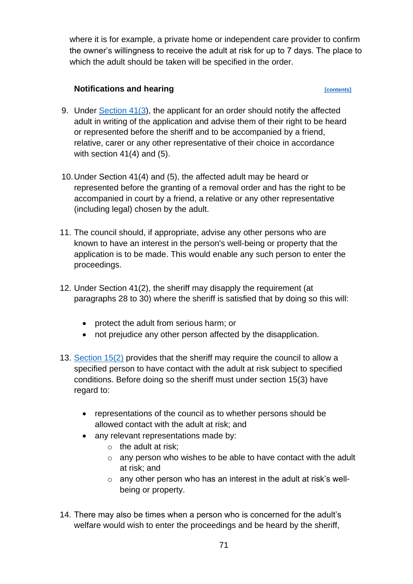where it is for example, a private home or independent care provider to confirm the owner's willingness to receive the adult at risk for up to 7 days. The place to which the adult should be taken will be specified in the order.

## **Notifications and hearing** <br> **Property** *contents*

- 9. Under [Section 41\(3\)](https://www.legislation.gov.uk/asp/2007/10/section/41), the applicant for an order should notify the affected adult in writing of the application and advise them of their right to be heard or represented before the sheriff and to be accompanied by a friend, relative, carer or any other representative of their choice in accordance with section  $41(4)$  and  $(5)$ .
- 10.Under Section 41(4) and (5), the affected adult may be heard or represented before the granting of a removal order and has the right to be accompanied in court by a friend, a relative or any other representative (including legal) chosen by the adult.
- 11. The council should, if appropriate, advise any other persons who are known to have an interest in the person's well-being or property that the application is to be made. This would enable any such person to enter the proceedings.
- 12. Under Section 41(2), the sheriff may disapply the requirement (at paragraphs 28 to 30) where the sheriff is satisfied that by doing so this will:
	- protect the adult from serious harm; or
	- not prejudice any other person affected by the disapplication.
- 13. [Section 15\(2\)](https://www.legislation.gov.uk/asp/2007/10/section/15) provides that the sheriff may require the council to allow a specified person to have contact with the adult at risk subject to specified conditions. Before doing so the sheriff must under section 15(3) have regard to:
	- representations of the council as to whether persons should be allowed contact with the adult at risk; and
	- any relevant representations made by:
		- $\circ$  the adult at risk:
		- $\circ$  any person who wishes to be able to have contact with the adult at risk; and
		- $\circ$  any other person who has an interest in the adult at risk's wellbeing or property.
- 14. There may also be times when a person who is concerned for the adult's welfare would wish to enter the proceedings and be heard by the sheriff,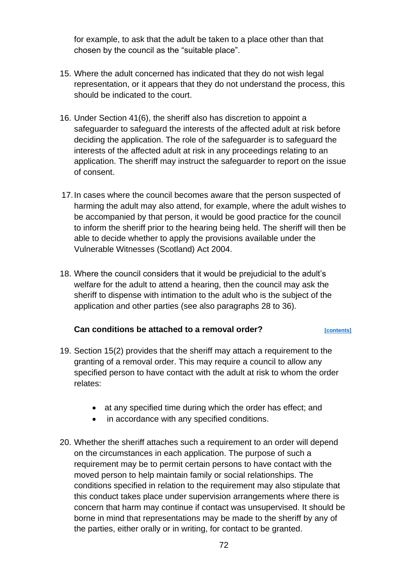for example, to ask that the adult be taken to a place other than that chosen by the council as the "suitable place".

- 15. Where the adult concerned has indicated that they do not wish legal representation, or it appears that they do not understand the process, this should be indicated to the court.
- 16. Under Section 41(6), the sheriff also has discretion to appoint a safeguarder to safeguard the interests of the affected adult at risk before deciding the application. The role of the safeguarder is to safeguard the interests of the affected adult at risk in any proceedings relating to an application. The sheriff may instruct the safeguarder to report on the issue of consent.
- 17.In cases where the council becomes aware that the person suspected of harming the adult may also attend, for example, where the adult wishes to be accompanied by that person, it would be good practice for the council to inform the sheriff prior to the hearing being held. The sheriff will then be able to decide whether to apply the provisions available under the Vulnerable Witnesses (Scotland) Act 2004.
- 18. Where the council considers that it would be prejudicial to the adult's welfare for the adult to attend a hearing, then the council may ask the sheriff to dispense with intimation to the adult who is the subject of the application and other parties (see also paragraphs 28 to 36).

### **Can conditions be attached to a removal order?** *CONTERET ECONTERET ECONTENTS*

- 19. Section 15(2) provides that the sheriff may attach a requirement to the granting of a removal order. This may require a council to allow any specified person to have contact with the adult at risk to whom the order relates:
	- at any specified time during which the order has effect; and
	- in accordance with any specified conditions.
- 20. Whether the sheriff attaches such a requirement to an order will depend on the circumstances in each application. The purpose of such a requirement may be to permit certain persons to have contact with the moved person to help maintain family or social relationships. The conditions specified in relation to the requirement may also stipulate that this conduct takes place under supervision arrangements where there is concern that harm may continue if contact was unsupervised. It should be borne in mind that representations may be made to the sheriff by any of the parties, either orally or in writing, for contact to be granted.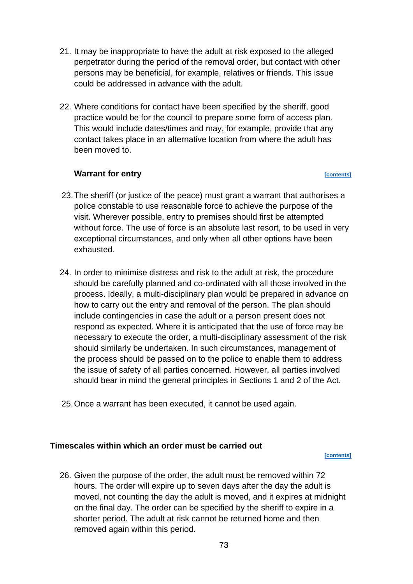- 21. It may be inappropriate to have the adult at risk exposed to the alleged perpetrator during the period of the removal order, but contact with other persons may be beneficial, for example, relatives or friends. This issue could be addressed in advance with the adult.
- 22. Where conditions for contact have been specified by the sheriff, good practice would be for the council to prepare some form of access plan. This would include dates/times and may, for example, provide that any contact takes place in an alternative location from where the adult has been moved to.

# **Warrant for entry** *contents*

- 23.The sheriff (or justice of the peace) must grant a warrant that authorises a police constable to use reasonable force to achieve the purpose of the visit. Wherever possible, entry to premises should first be attempted without force. The use of force is an absolute last resort, to be used in very exceptional circumstances, and only when all other options have been exhausted.
- 24. In order to minimise distress and risk to the adult at risk, the procedure should be carefully planned and co-ordinated with all those involved in the process. Ideally, a multi-disciplinary plan would be prepared in advance on how to carry out the entry and removal of the person. The plan should include contingencies in case the adult or a person present does not respond as expected. Where it is anticipated that the use of force may be necessary to execute the order, a multi-disciplinary assessment of the risk should similarly be undertaken. In such circumstances, management of the process should be passed on to the police to enable them to address the issue of safety of all parties concerned. However, all parties involved should bear in mind the general principles in Sections 1 and 2 of the Act.
- 25.Once a warrant has been executed, it cannot be used again.

# **Timescales within which an order must be carried out**

#### **[\[contents\]](#page-1-0)**

26. Given the purpose of the order, the adult must be removed within 72 hours. The order will expire up to seven days after the day the adult is moved, not counting the day the adult is moved, and it expires at midnight on the final day. The order can be specified by the sheriff to expire in a shorter period. The adult at risk cannot be returned home and then removed again within this period.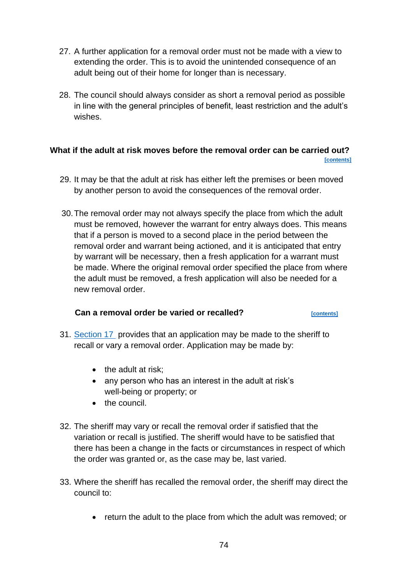- 27. A further application for a removal order must not be made with a view to extending the order. This is to avoid the unintended consequence of an adult being out of their home for longer than is necessary.
- 28. The council should always consider as short a removal period as possible in line with the general principles of benefit, least restriction and the adult's wishes.

# **What if the adult at risk moves before the removal order can be carried out? [\[contents\]](#page-1-0)**

- 29. It may be that the adult at risk has either left the premises or been moved by another person to avoid the consequences of the removal order.
- 30.The removal order may not always specify the place from which the adult must be removed, however the warrant for entry always does. This means that if a person is moved to a second place in the period between the removal order and warrant being actioned, and it is anticipated that entry by warrant will be necessary, then a fresh application for a warrant must be made. Where the original removal order specified the place from where the adult must be removed, a fresh application will also be needed for a new removal order.

# **Can a removal order be varied or recalled?** *[\[contents\]](#page-1-0)*

- 31. [Section 17](https://www.legislation.gov.uk/asp/2007/10/section/17) provides that an application may be made to the sheriff to recall or vary a removal order. Application may be made by:
	- the adult at risk:
	- any person who has an interest in the adult at risk's well-being or property; or
	- the council.
- 32. The sheriff may vary or recall the removal order if satisfied that the variation or recall is justified. The sheriff would have to be satisfied that there has been a change in the facts or circumstances in respect of which the order was granted or, as the case may be, last varied.
- 33. Where the sheriff has recalled the removal order, the sheriff may direct the council to:
	- return the adult to the place from which the adult was removed; or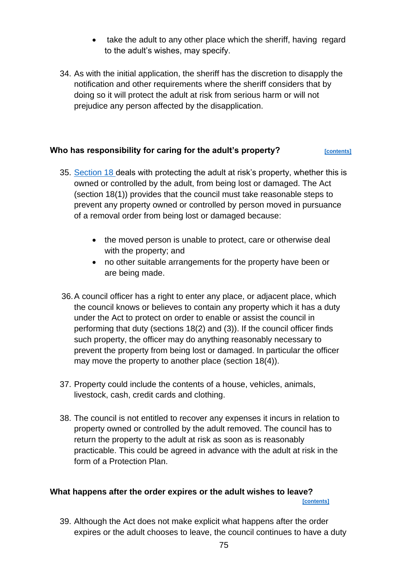- take the adult to any other place which the sheriff, having regard to the adult's wishes, may specify.
- 34. As with the initial application, the sheriff has the discretion to disapply the notification and other requirements where the sheriff considers that by doing so it will protect the adult at risk from serious harm or will not prejudice any person affected by the disapplication.

# **Who has responsibility for caring for the adult's property?** *[\[contents\]](#page-1-0)*

- 35. [Section 18 d](https://www.legislation.gov.uk/asp/2007/10/section/18)eals with protecting the adult at risk's property, whether this is owned or controlled by the adult, from being lost or damaged. The Act (section 18(1)) provides that the council must take reasonable steps to prevent any property owned or controlled by person moved in pursuance of a removal order from being lost or damaged because:
	- the moved person is unable to protect, care or otherwise deal with the property; and
	- no other suitable arrangements for the property have been or are being made.
- 36.A council officer has a right to enter any place, or adjacent place, which the council knows or believes to contain any property which it has a duty under the Act to protect on order to enable or assist the council in performing that duty (sections 18(2) and (3)). If the council officer finds such property, the officer may do anything reasonably necessary to prevent the property from being lost or damaged. In particular the officer may move the property to another place (section 18(4)).
- 37. Property could include the contents of a house, vehicles, animals, livestock, cash, credit cards and clothing.
- 38. The council is not entitled to recover any expenses it incurs in relation to property owned or controlled by the adult removed. The council has to return the property to the adult at risk as soon as is reasonably practicable. This could be agreed in advance with the adult at risk in the form of a Protection Plan.

# **What happens after the order expires or the adult wishes to leave?**

 **[\[contents\]](#page-1-0)**

39. Although the Act does not make explicit what happens after the order expires or the adult chooses to leave, the council continues to have a duty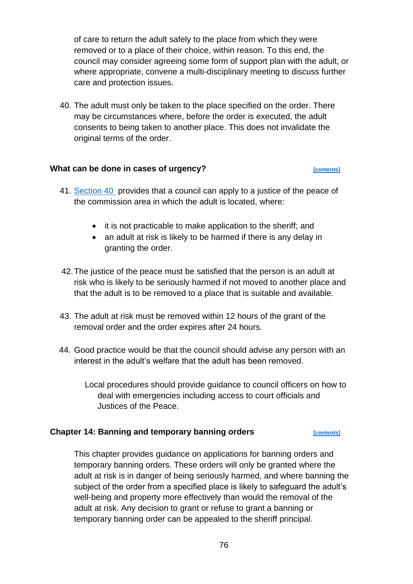of care to return the adult safely to the place from which they were removed or to a place of their choice, within reason. To this end, the council may consider agreeing some form of support plan with the adult, or where appropriate, convene a multi-disciplinary meeting to discuss further care and protection issues.

40. The adult must only be taken to the place specified on the order. There may be circumstances where, before the order is executed, the adult consents to being taken to another place. This does not invalidate the original terms of the order.

# **What can be done in cases of urgency?** *CONTERENTERS CONTERENTERS*

- 41. [Section 40](https://www.legislation.gov.uk/asp/2007/10/section/40) provides that a council can apply to a justice of the peace of the commission area in which the adult is located, where:
	- it is not practicable to make application to the sheriff; and
	- an adult at risk is likely to be harmed if there is any delay in granting the order.
- 42.The justice of the peace must be satisfied that the person is an adult at risk who is likely to be seriously harmed if not moved to another place and that the adult is to be removed to a place that is suitable and available.
- 43. The adult at risk must be removed within 12 hours of the grant of the removal order and the order expires after 24 hours.
- 44. Good practice would be that the council should advise any person with an interest in the adult's welfare that the adult has been removed.

Local procedures should provide guidance to council officers on how to deal with emergencies including access to court officials and Justices of the Peace.

# **Chapter 14: Banning and temporary banning orders <b>***[\[contents\]](#page-1-0)*

This chapter provides guidance on applications for banning orders and temporary banning orders. These orders will only be granted where the adult at risk is in danger of being seriously harmed, and where banning the subject of the order from a specified place is likely to safeguard the adult's well-being and property more effectively than would the removal of the adult at risk. Any decision to grant or refuse to grant a banning or temporary banning order can be appealed to the sheriff principal.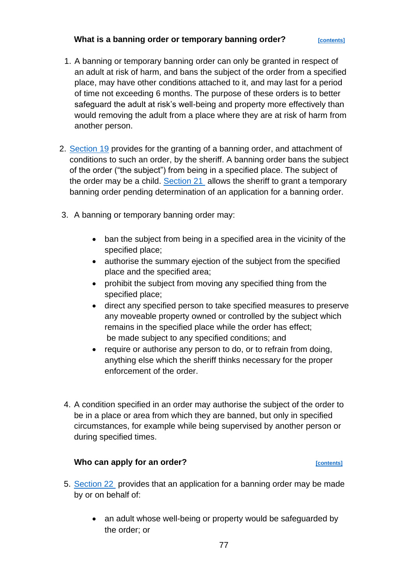# **What is a banning order or temporary banning order?** *<b>CONTERGENEER*

- 1. A banning or temporary banning order can only be granted in respect of an adult at risk of harm, and bans the subject of the order from a specified place, may have other conditions attached to it, and may last for a period of time not exceeding 6 months. The purpose of these orders is to better safeguard the adult at risk's well-being and property more effectively than would removing the adult from a place where they are at risk of harm from another person.
- 2. [Section 19](https://www.legislation.gov.uk/asp/2007/10/section/19) provides for the granting of a banning order, and attachment of conditions to such an order, by the sheriff. A banning order bans the subject of the order ("the subject") from being in a specified place. The subject of the order may be a child. [Section 21](https://www.legislation.gov.uk/asp/2007/10/section/21) allows the sheriff to grant a temporary banning order pending determination of an application for a banning order.
- 3. A banning or temporary banning order may:
	- ban the subject from being in a specified area in the vicinity of the specified place;
	- authorise the summary ejection of the subject from the specified place and the specified area;
	- prohibit the subject from moving any specified thing from the specified place;
	- direct any specified person to take specified measures to preserve any moveable property owned or controlled by the subject which remains in the specified place while the order has effect; be made subject to any specified conditions; and
	- require or authorise any person to do, or to refrain from doing, anything else which the sheriff thinks necessary for the proper enforcement of the order.
- 4. A condition specified in an order may authorise the subject of the order to be in a place or area from which they are banned, but only in specified circumstances, for example while being supervised by another person or during specified times.

# Who can apply for an order? *CONTERNATE CONTENTING*

- 5. [Section 22](https://www.legislation.gov.uk/asp/2007/10/section/22) provides that an application for a banning order may be made by or on behalf of:
	- an adult whose well-being or property would be safeguarded by the order; or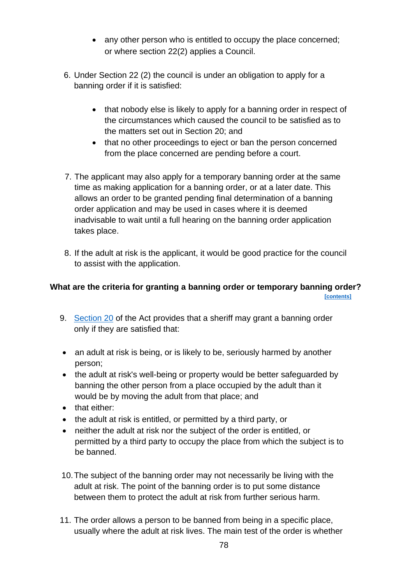- any other person who is entitled to occupy the place concerned; or where section 22(2) applies a Council.
- 6. Under Section 22 (2) the council is under an obligation to apply for a banning order if it is satisfied:
	- that nobody else is likely to apply for a banning order in respect of the circumstances which caused the council to be satisfied as to the matters set out in Section 20; and
	- that no other proceedings to eject or ban the person concerned from the place concerned are pending before a court.
- 7. The applicant may also apply for a temporary banning order at the same time as making application for a banning order, or at a later date. This allows an order to be granted pending final determination of a banning order application and may be used in cases where it is deemed inadvisable to wait until a full hearing on the banning order application takes place.
- 8. If the adult at risk is the applicant, it would be good practice for the council to assist with the application.

# **What are the criteria for granting a banning order or temporary banning order? [\[contents\]](#page-1-0)**

- 9. [Section 20](https://www.legislation.gov.uk/asp/2007/10/section/20) of the Act provides that a sheriff may grant a banning order only if they are satisfied that:
- an adult at risk is being, or is likely to be, seriously harmed by another person;
- the adult at risk's well-being or property would be better safeguarded by banning the other person from a place occupied by the adult than it would be by moving the adult from that place; and
- that either:
- the adult at risk is entitled, or permitted by a third party, or
- neither the adult at risk nor the subject of the order is entitled, or permitted by a third party to occupy the place from which the subject is to be banned.
- 10.The subject of the banning order may not necessarily be living with the adult at risk. The point of the banning order is to put some distance between them to protect the adult at risk from further serious harm.
- 11. The order allows a person to be banned from being in a specific place, usually where the adult at risk lives. The main test of the order is whether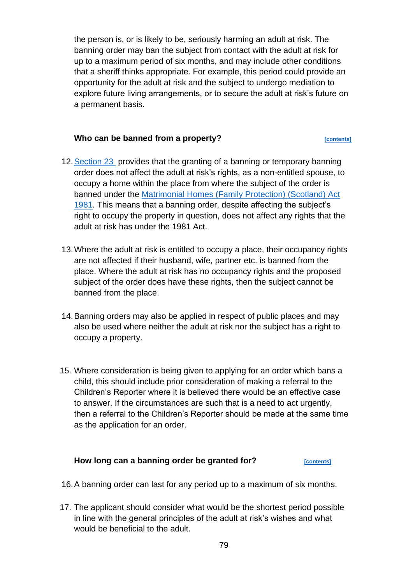the person is, or is likely to be, seriously harming an adult at risk. The banning order may ban the subject from contact with the adult at risk for up to a maximum period of six months, and may include other conditions that a sheriff thinks appropriate. For example, this period could provide an opportunity for the adult at risk and the subject to undergo mediation to explore future living arrangements, or to secure the adult at risk's future on a permanent basis.

# **Who can be banned from a property?** *CONTERRY EQUARRY EQUARRY EQUARRY EQUARRY EQUARRY* **EQUARRY EQUARRY EQUARRY EQUARRY EQUARRY EQUARRY EQUARRY EQUARRY EQUARRY EQUARRY EQUARRY EQUARRY EQUARRY EQUARRY EQUARRY EQUARRY EQUAR**

- 12. Section 23 provides that the granting of a banning or temporary banning order does not affect the adult at risk's rights, as a non-entitled spouse, to occupy a home within the place from where the subject of the order is banned under the [Matrimonial Homes \(Family Protection\) \(Scotland\) Act](https://www.legislation.gov.uk/ukpga/1981/59/contents)  [1981.](https://www.legislation.gov.uk/ukpga/1981/59/contents) This means that a banning order, despite affecting the subject's right to occupy the property in question, does not affect any rights that the adult at risk has under the 1981 Act.
- 13.Where the adult at risk is entitled to occupy a place, their occupancy rights are not affected if their husband, wife, partner etc. is banned from the place. Where the adult at risk has no occupancy rights and the proposed subject of the order does have these rights, then the subject cannot be banned from the place.
- 14.Banning orders may also be applied in respect of public places and may also be used where neither the adult at risk nor the subject has a right to occupy a property.
- 15. Where consideration is being given to applying for an order which bans a child, this should include prior consideration of making a referral to the Children's Reporter where it is believed there would be an effective case to answer. If the circumstances are such that is a need to act urgently, then a referral to the Children's Reporter should be made at the same time as the application for an order.

# How long can a banning order be granted for?

- 16.A banning order can last for any period up to a maximum of six months.
- 17. The applicant should consider what would be the shortest period possible in line with the general principles of the adult at risk's wishes and what would be beneficial to the adult.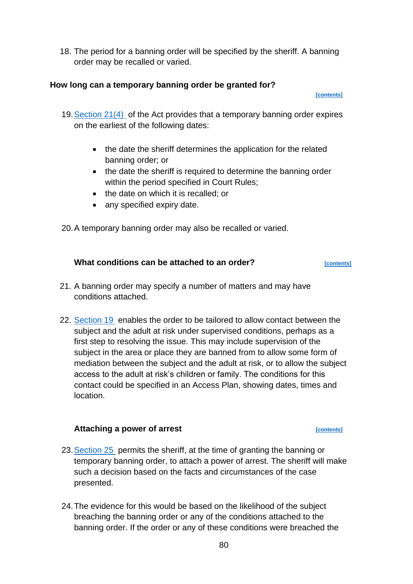18. The period for a banning order will be specified by the sheriff. A banning order may be recalled or varied.

# **How long can a temporary banning order be granted for?**

 **[\[contents\]](#page-1-0)**

- 19[.Section 21\(4\)](https://www.legislation.gov.uk/asp/2007/10/section/21) of the Act provides that a temporary banning order expires on the earliest of the following dates:
	- the date the sheriff determines the application for the related banning order; or
	- the date the sheriff is required to determine the banning order within the period specified in Court Rules;
	- the date on which it is recalled; or
	- any specified expiry date.

20.A temporary banning order may also be recalled or varied.

# **What conditions can be attached to an order?** *<b>PEC [CONTERNETS]*

- 21. A banning order may specify a number of matters and may have conditions attached.
- 22. [Section 19](https://www.legislation.gov.uk/asp/2007/10/section/19) enables the order to be tailored to allow contact between the subject and the adult at risk under supervised conditions, perhaps as a first step to resolving the issue. This may include supervision of the subject in the area or place they are banned from to allow some form of mediation between the subject and the adult at risk, or to allow the subject access to the adult at risk's children or family. The conditions for this contact could be specified in an Access Plan, showing dates, times and location.

# Attaching a power of arrest *power power**s [\[contents\]](#page-1-0)*

- 23. Section 25 permits the sheriff, at the time of granting the banning or temporary banning order, to attach a power of arrest. The sheriff will make such a decision based on the facts and circumstances of the case presented.
- 24.The evidence for this would be based on the likelihood of the subject breaching the banning order or any of the conditions attached to the banning order. If the order or any of these conditions were breached the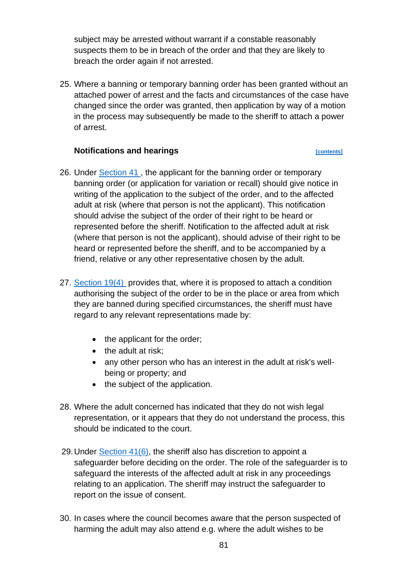subject may be arrested without warrant if a constable reasonably suspects them to be in breach of the order and that they are likely to breach the order again if not arrested.

25. Where a banning or temporary banning order has been granted without an attached power of arrest and the facts and circumstances of the case have changed since the order was granted, then application by way of a motion in the process may subsequently be made to the sheriff to attach a power of arrest.

# **Notifications and hearings** *performance**[\[contents\]](#page-1-0)*

- 26. Under [Section 41 ,](https://www.legislation.gov.uk/asp/2007/10/section/41) the applicant for the banning order or temporary banning order (or application for variation or recall) should give notice in writing of the application to the subject of the order, and to the affected adult at risk (where that person is not the applicant). This notification should advise the subject of the order of their right to be heard or represented before the sheriff. Notification to the affected adult at risk (where that person is not the applicant), should advise of their right to be heard or represented before the sheriff, and to be accompanied by a friend, relative or any other representative chosen by the adult.
- 27. [Section 19\(4\)](https://www.legislation.gov.uk/asp/2007/10/section/19) provides that, where it is proposed to attach a condition authorising the subject of the order to be in the place or area from which they are banned during specified circumstances, the sheriff must have regard to any relevant representations made by:
	- the applicant for the order;
	- the adult at risk;
	- any other person who has an interest in the adult at risk's wellbeing or property; and
	- the subject of the application.
- 28. Where the adult concerned has indicated that they do not wish legal representation, or it appears that they do not understand the process, this should be indicated to the court.
- 29.Under [Section 41\(6\),](https://www.legislation.gov.uk/asp/2007/10/section/41) the sheriff also has discretion to appoint a safeguarder before deciding on the order. The role of the safeguarder is to safeguard the interests of the affected adult at risk in any proceedings relating to an application. The sheriff may instruct the safeguarder to report on the issue of consent.
- 30. In cases where the council becomes aware that the person suspected of harming the adult may also attend e.g. where the adult wishes to be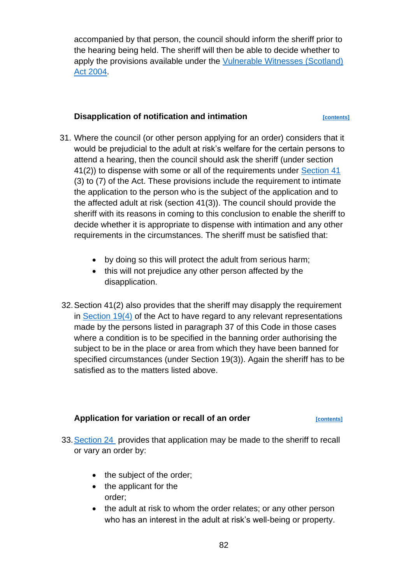accompanied by that person, the council should inform the sheriff prior to the hearing being held. The sheriff will then be able to decide whether to apply the provisions available under the [Vulnerable Witnesses \(Scotland\)](https://www.legislation.gov.uk/asp/2004/3/contents)  [Act 2004.](https://www.legislation.gov.uk/asp/2004/3/contents)

# **Disapplication of notification and intimation**  $\frac{[contents]}{[contents]}$  $\frac{[contents]}{[contents]}$  $\frac{[contents]}{[contents]}$

- 31. Where the council (or other person applying for an order) considers that it would be prejudicial to the adult at risk's welfare for the certain persons to attend a hearing, then the council should ask the sheriff (under section 41(2)) to dispense with some or all of the requirements under [Section 41](https://www.legislation.gov.uk/asp/2007/10/section/41) (3) to (7) of the Act. These provisions include the requirement to intimate the application to the person who is the subject of the application and to the affected adult at risk (section 41(3)). The council should provide the sheriff with its reasons in coming to this conclusion to enable the sheriff to decide whether it is appropriate to dispense with intimation and any other requirements in the circumstances. The sheriff must be satisfied that:
	- by doing so this will protect the adult from serious harm;
	- this will not prejudice any other person affected by the disapplication.
- 32.Section 41(2) also provides that the sheriff may disapply the requirement in [Section 19\(4\)](https://www.legislation.gov.uk/asp/2007/10/section/19) of the Act to have regard to any relevant representations made by the persons listed in paragraph 37 of this Code in those cases where a condition is to be specified in the banning order authorising the subject to be in the place or area from which they have been banned for specified circumstances (under Section 19(3)). Again the sheriff has to be satisfied as to the matters listed above.

# Application for variation or recall of an order *[\[contents\]](#page-1-0)*

- 33[.Section 24](https://www.legislation.gov.uk/asp/2007/10/section/24) provides that application may be made to the sheriff to recall or vary an order by:
	- the subject of the order;
	- the applicant for the order;
	- the adult at risk to whom the order relates; or any other person who has an interest in the adult at risk's well-being or property.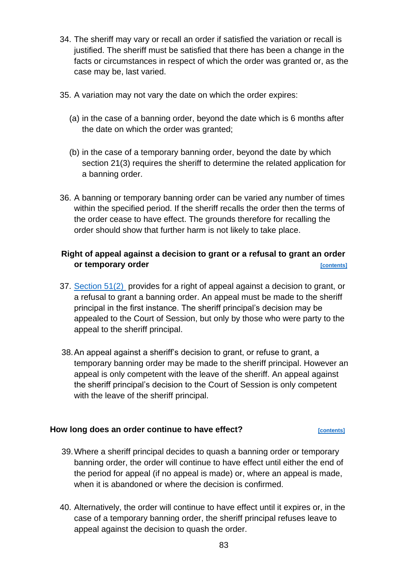- 34. The sheriff may vary or recall an order if satisfied the variation or recall is justified. The sheriff must be satisfied that there has been a change in the facts or circumstances in respect of which the order was granted or, as the case may be, last varied.
- 35. A variation may not vary the date on which the order expires:
	- (a) in the case of a banning order, beyond the date which is 6 months after the date on which the order was granted;
	- (b) in the case of a temporary banning order, beyond the date by which section 21(3) requires the sheriff to determine the related application for a banning order.
- 36. A banning or temporary banning order can be varied any number of times within the specified period. If the sheriff recalls the order then the terms of the order cease to have effect. The grounds therefore for recalling the order should show that further harm is not likely to take place.

# **Right of appeal against a decision to grant or a refusal to grant an order or temporary order** *contents*

- 37. [Section 51\(2\)](https://www.legislation.gov.uk/asp/2007/10/section/51) provides for a right of appeal against a decision to grant, or a refusal to grant a banning order. An appeal must be made to the sheriff principal in the first instance. The sheriff principal's decision may be appealed to the Court of Session, but only by those who were party to the appeal to the sheriff principal.
- 38.An appeal against a sheriff's decision to grant, or refuse to grant, a temporary banning order may be made to the sheriff principal. However an appeal is only competent with the leave of the sheriff. An appeal against the sheriff principal's decision to the Court of Session is only competent with the leave of the sheriff principal.

# **How long does an order continue to have effect?** *[\[contents\]](#page-1-0)*

- 39.Where a sheriff principal decides to quash a banning order or temporary banning order, the order will continue to have effect until either the end of the period for appeal (if no appeal is made) or, where an appeal is made, when it is abandoned or where the decision is confirmed.
- 40. Alternatively, the order will continue to have effect until it expires or, in the case of a temporary banning order, the sheriff principal refuses leave to appeal against the decision to quash the order.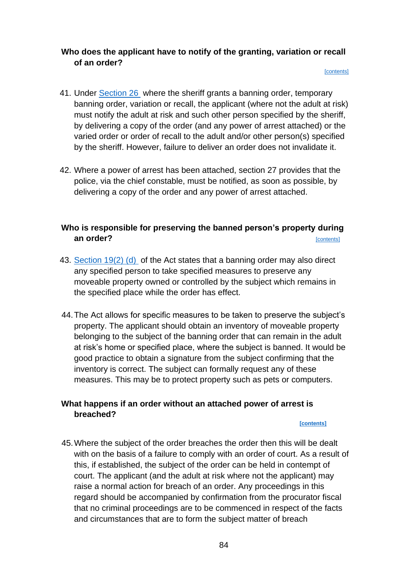# **Who does the applicant have to notify of the granting, variation or recall of an order?**

#### [\[contents\]](#page-1-0)

- 41. Under [Section 26](https://www.legislation.gov.uk/asp/2007/10/section/26) where the sheriff grants a banning order, temporary banning order, variation or recall, the applicant (where not the adult at risk) must notify the adult at risk and such other person specified by the sheriff, by delivering a copy of the order (and any power of arrest attached) or the varied order or order of recall to the adult and/or other person(s) specified by the sheriff. However, failure to deliver an order does not invalidate it.
- 42. Where a power of arrest has been attached, section 27 provides that the police, via the chief constable, must be notified, as soon as possible, by delivering a copy of the order and any power of arrest attached.

# **Who is responsible for preserving the banned person's property during an order?** *CONTRESS CONTRESS CONTRESS CONTRESS CONTRESS*

- 43. [Section 19\(2\) \(d\)](https://www.legislation.gov.uk/asp/2007/10/section/19) of the Act states that a banning order may also direct any specified person to take specified measures to preserve any moveable property owned or controlled by the subject which remains in the specified place while the order has effect.
- 44.The Act allows for specific measures to be taken to preserve the subject's property. The applicant should obtain an inventory of moveable property belonging to the subject of the banning order that can remain in the adult at risk's home or specified place, where the subject is banned. It would be good practice to obtain a signature from the subject confirming that the inventory is correct. The subject can formally request any of these measures. This may be to protect property such as pets or computers.

# **What happens if an order without an attached power of arrest is breached?**

### **[\[contents\]](#page-1-0)**

45.Where the subject of the order breaches the order then this will be dealt with on the basis of a failure to comply with an order of court. As a result of this, if established, the subject of the order can be held in contempt of court. The applicant (and the adult at risk where not the applicant) may raise a normal action for breach of an order. Any proceedings in this regard should be accompanied by confirmation from the procurator fiscal that no criminal proceedings are to be commenced in respect of the facts and circumstances that are to form the subject matter of breach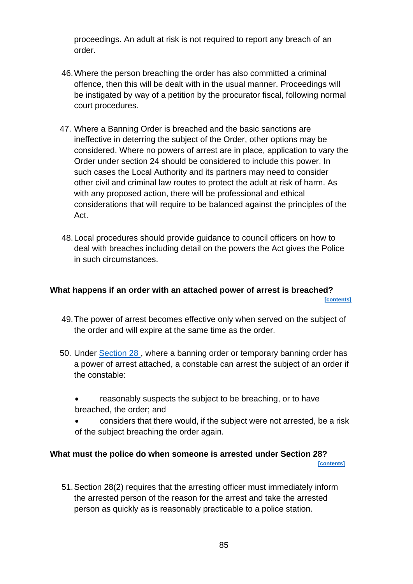proceedings. An adult at risk is not required to report any breach of an order.

- 46.Where the person breaching the order has also committed a criminal offence, then this will be dealt with in the usual manner. Proceedings will be instigated by way of a petition by the procurator fiscal, following normal court procedures.
- 47. Where a Banning Order is breached and the basic sanctions are ineffective in deterring the subject of the Order, other options may be considered. Where no powers of arrest are in place, application to vary the Order under section 24 should be considered to include this power. In such cases the Local Authority and its partners may need to consider other civil and criminal law routes to protect the adult at risk of harm. As with any proposed action, there will be professional and ethical considerations that will require to be balanced against the principles of the Act.
- 48.Local procedures should provide guidance to council officers on how to deal with breaches including detail on the powers the Act gives the Police in such circumstances.

### **What happens if an order with an attached power of arrest is breached? [\[contents\]](#page-1-0)**

- 49.The power of arrest becomes effective only when served on the subject of the order and will expire at the same time as the order.
- 50. Under [Section 28 ,](https://www.legislation.gov.uk/asp/2007/10/section/28) where a banning order or temporary banning order has a power of arrest attached, a constable can arrest the subject of an order if the constable:
	- reasonably suspects the subject to be breaching, or to have breached, the order; and
	- considers that there would, if the subject were not arrested, be a risk of the subject breaching the order again.

# **What must the police do when someone is arrested under Section 28?**

 **[\[contents\]](#page-1-0)**

51.Section 28(2) requires that the arresting officer must immediately inform the arrested person of the reason for the arrest and take the arrested person as quickly as is reasonably practicable to a police station.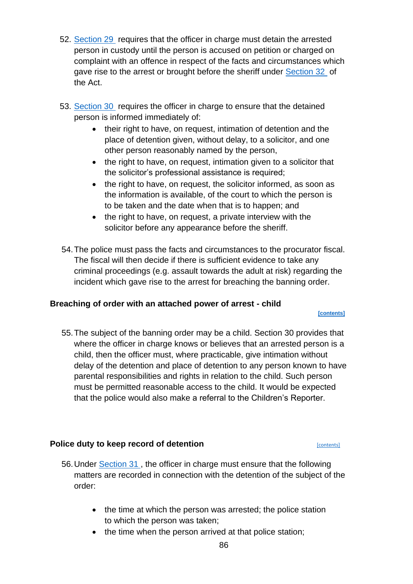- 52. [Section 29](https://www.legislation.gov.uk/asp/2007/10/section/29) requires that the officer in charge must detain the arrested person in custody until the person is accused on petition or charged on complaint with an offence in respect of the facts and circumstances which gave rise to the arrest or brought before the sheriff under [Section 32](https://www.legislation.gov.uk/asp/2007/10/section/32) of the Act.
- 53. [Section 30](https://www.legislation.gov.uk/asp/2007/10/section/30) requires the officer in charge to ensure that the detained person is informed immediately of:
	- their right to have, on request, intimation of detention and the place of detention given, without delay, to a solicitor, and one other person reasonably named by the person,
	- the right to have, on request, intimation given to a solicitor that the solicitor's professional assistance is required;
	- the right to have, on request, the solicitor informed, as soon as the information is available, of the court to which the person is to be taken and the date when that is to happen; and
	- the right to have, on request, a private interview with the solicitor before any appearance before the sheriff.
- 54.The police must pass the facts and circumstances to the procurator fiscal. The fiscal will then decide if there is sufficient evidence to take any criminal proceedings (e.g. assault towards the adult at risk) regarding the incident which gave rise to the arrest for breaching the banning order.

# **Breaching of order with an attached power of arrest - child**

### **[\[contents\]](#page-1-0)**

55.The subject of the banning order may be a child. Section 30 provides that where the officer in charge knows or believes that an arrested person is a child, then the officer must, where practicable, give intimation without delay of the detention and place of detention to any person known to have parental responsibilities and rights in relation to the child. Such person must be permitted reasonable access to the child. It would be expected that the police would also make a referral to the Children's Reporter.

# **Police duty to keep record of detention**

- 56.Under [Section 31 ,](https://www.legislation.gov.uk/asp/2007/10/section/31) the officer in charge must ensure that the following matters are recorded in connection with the detention of the subject of the order:
	- the time at which the person was arrested; the police station to which the person was taken;
	- the time when the person arrived at that police station;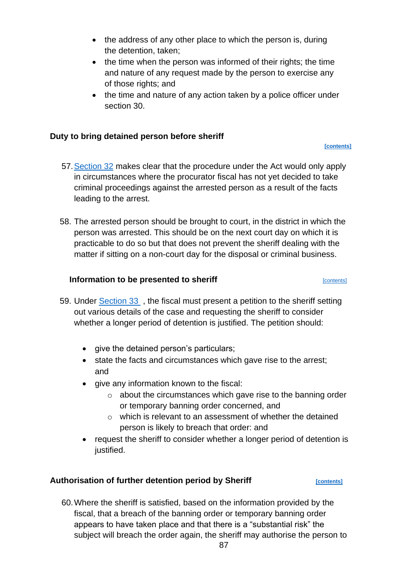- the address of any other place to which the person is, during the detention, taken;
- the time when the person was informed of their rights; the time and nature of any request made by the person to exercise any of those rights; and
- the time and nature of any action taken by a police officer under section 30.

# **Duty to bring detained person before sheriff**

**[\[contents\]](#page-1-0)**

- 57[.Section 32](https://www.legislation.gov.uk/asp/2007/10/section/32) makes clear that the procedure under the Act would only apply in circumstances where the procurator fiscal has not yet decided to take criminal proceedings against the arrested person as a result of the facts leading to the arrest.
- 58. The arrested person should be brought to court, in the district in which the person was arrested. This should be on the next court day on which it is practicable to do so but that does not prevent the sheriff dealing with the matter if sitting on a non-court day for the disposal or criminal business.

# **Information to be presented to sheriff Example 20 and September 20 and September 20 and September 20 and September 20 and September 20 and September 20 and September 20 and September 20 and September 20 and September 20**

- 59. Under [Section 33](https://www.legislation.gov.uk/asp/2007/10/section/33) , the fiscal must present a petition to the sheriff setting out various details of the case and requesting the sheriff to consider whether a longer period of detention is justified. The petition should:
	- give the detained person's particulars:
	- state the facts and circumstances which gave rise to the arrest; and
	- give any information known to the fiscal:
		- $\circ$  about the circumstances which gave rise to the banning order or temporary banning order concerned, and
		- o which is relevant to an assessment of whether the detained person is likely to breach that order: and
	- request the sheriff to consider whether a longer period of detention is justified.

# Authorisation of further detention period by Sheriff *Depremies*

60.Where the sheriff is satisfied, based on the information provided by the fiscal, that a breach of the banning order or temporary banning order appears to have taken place and that there is a "substantial risk" the subject will breach the order again, the sheriff may authorise the person to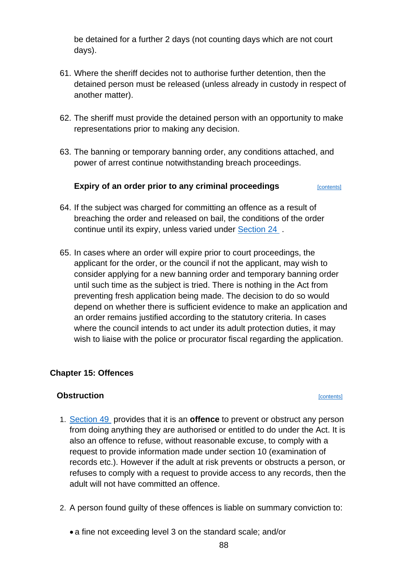be detained for a further 2 days (not counting days which are not court days).

- 61. Where the sheriff decides not to authorise further detention, then the detained person must be released (unless already in custody in respect of another matter).
- 62. The sheriff must provide the detained person with an opportunity to make representations prior to making any decision.
- 63. The banning or temporary banning order, any conditions attached, and power of arrest continue notwithstanding breach proceedings.

# **Expiry of an order prior to any criminal proceedings** [\[contents\]](#page-1-0)

- 64. If the subject was charged for committing an offence as a result of breaching the order and released on bail, the conditions of the order continue until its expiry, unless varied under [Section 24](https://www.legislation.gov.uk/asp/2007/10/section/24) .
- 65. In cases where an order will expire prior to court proceedings, the applicant for the order, or the council if not the applicant, may wish to consider applying for a new banning order and temporary banning order until such time as the subject is tried. There is nothing in the Act from preventing fresh application being made. The decision to do so would depend on whether there is sufficient evidence to make an application and an order remains justified according to the statutory criteria. In cases where the council intends to act under its adult protection duties, it may wish to liaise with the police or procurator fiscal regarding the application.

# **Chapter 15: Offences**

# **Obstruction** [\[contents\]](#page-1-0)

- 1. [Section 49](https://www.legislation.gov.uk/asp/2007/10/section/49) provides that it is an **offence** to prevent or obstruct any person from doing anything they are authorised or entitled to do under the Act. It is also an offence to refuse, without reasonable excuse, to comply with a request to provide information made under section 10 (examination of records etc.). However if the adult at risk prevents or obstructs a person, or refuses to comply with a request to provide access to any records, then the adult will not have committed an offence.
- 2. A person found guilty of these offences is liable on summary conviction to:
	- a fine not exceeding level 3 on the standard scale; and/or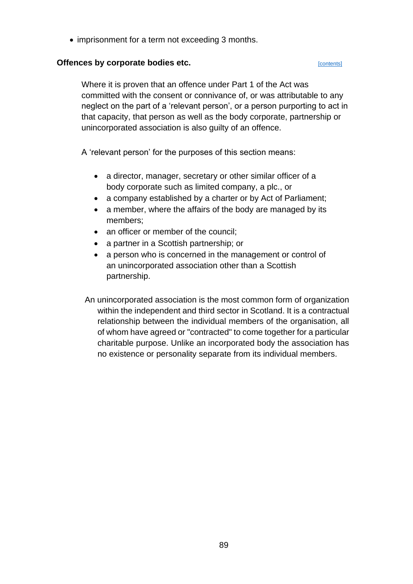• imprisonment for a term not exceeding 3 months.

## **Offences by corporate bodies etc. Contents** [\[contents\]](#page-1-0)

Where it is proven that an offence under Part 1 of the Act was committed with the consent or connivance of, or was attributable to any neglect on the part of a 'relevant person', or a person purporting to act in that capacity, that person as well as the body corporate, partnership or unincorporated association is also guilty of an offence.

A 'relevant person' for the purposes of this section means:

- a director, manager, secretary or other similar officer of a body corporate such as limited company, a plc., or
- a company established by a charter or by Act of Parliament;
- a member, where the affairs of the body are managed by its members;
- an officer or member of the council:
- a partner in a Scottish partnership; or
- a person who is concerned in the management or control of an unincorporated association other than a Scottish partnership.

An unincorporated association is the most common form of organization within the independent and third sector in Scotland. It is a contractual relationship between the individual members of the organisation, all of whom have agreed or "contracted" to come together for a particular charitable purpose. Unlike an incorporated body the association has no existence or personality separate from its individual members.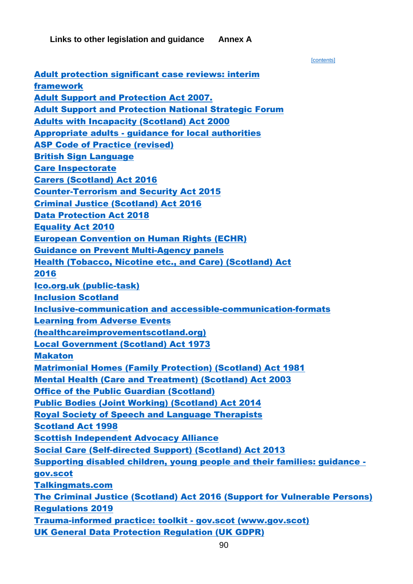**Links to other legislation and guidance Annex A**

 [\[contents\]](#page-1-0) [Adult protection significant case reviews: interim](https://www.gov.scot/publications/interim-national-framework-adult-protection-committees-conducting-significant-case-review/pages/16/)  [framework](https://www.gov.scot/publications/interim-national-framework-adult-protection-committees-conducting-significant-case-review/pages/16/)  [Adult Support and Protection Act 2007.](https://www.legislation.gov.uk/asp/2007/10/contents)  [Adult Support and Protection National Strategic Forum](https://www.gov.scot/groups/adult-support-and-protection-national-strategic-forum/)  [Adults with Incapacity \(Scotland\) Act 2000](https://www.legislation.gov.uk/asp/2000/4/contents)  Appropriate adults - [guidance for local authorities](https://www.gov.scot/publications/appropriate-adults-guidance-local-authorities/) [ASP Code of Practice \(revised\)](https://www.gov.scot/publications/adult-support-and-protection-revised-code-of-practice/pages/3/) [British Sign Language](https://rnid.org.uk/information-and-support/deaf-awareness/british-sign-language/)  [Care Inspectorate](https://www.careinspectorate.com/) [Carers \(Scotland\) Act 2016](https://www.legislation.gov.uk/asp/2016/9/contents/enacted)  [Counter-Terrorism and Security Act 2015](https://www.legislation.gov.uk/ukpga/2015/6/contents/enacted)  [Criminal Justice \(Scotland\) Act 2016](https://www.legislation.gov.uk/asp/2016/1/contents/enacted)  [Data Protection Act 2018](https://www.legislation.gov.uk/ukpga/2018/12/contents/enacted)  [Equality Act 2010](https://www.equalityhumanrights.com/en/equality-act/protected-characteristics) [European Convention on Human Rights \(ECHR\)](https://www.equalityhumanrights.com/en/what-european-convention-human-rights#:~:text=The%20European%20Convention%20The%20European%20Convention%20on%20Human,the%20Protection%20of%20Human%20Rights%20and%20Fundamental%20Freedoms%E2%80%99.) [Guidance on Prevent Multi-Agency panels](https://www.gov.uk/government/publications/channel-and-prevent-multi-agency-panel-pmap-guidance) [Health \(Tobacco, Nicotine etc., and Care\) \(Scotland\) Act](https://www.legislation.gov.uk/asp/2016/14/contents#:~:text=Health%20%28Tobacco%2C%20Nicotine%20etc.%20and%20Care%29%20%28Scotland%29%20Act,accessible%20to%20readers%20who%20are%20not%20legally%20qualified.)  [2016](https://www.legislation.gov.uk/asp/2016/14/contents#:~:text=Health%20%28Tobacco%2C%20Nicotine%20etc.%20and%20Care%29%20%28Scotland%29%20Act,accessible%20to%20readers%20who%20are%20not%20legally%20qualified.)  [Ico.org.uk \(public-task\)](https://ico.org.uk/for-organisations/guide-to-data-protection/guide-to-the-general-data-protection-regulation-gdpr/lawful-basis-for-processing/public-task/) [Inclusion Scotland](https://inclusionscotland.org/wp-content/uploads/2018/09/Making-Communications-Accessible-guide.pdf) [Inclusive-communication and accessible-communication-formats](https://www.gov.uk/government/publications/inclusive-communication/accessible-communication-formats) [Learning from Adverse Events](http://www.healthcareimprovementscotland.org/our_work/governance_and_assurance/management_of_adverse_events/national_framework.aspx)  [\(healthcareimprovementscotland.org\)](http://www.healthcareimprovementscotland.org/our_work/governance_and_assurance/management_of_adverse_events/national_framework.aspx) [Local Government \(Scotland\) Act 1973](https://www.legislation.gov.uk/ukpga/1973/65/contents)  [Makaton](https://www.makaton.org/) [Matrimonial Homes \(Family Protection\) \(Scotland\) Act 1981](https://www.legislation.gov.uk/ukpga/1981/59/contents) [Mental Health \(Care and Treatment\) \(Scotland\) Act 2003](https://www.legislation.gov.uk/asp/2003/13/contents) [Office of the Public Guardian \(Scotland\)](http://www.publicguardian-scotland.gov.uk/) [Public Bodies \(Joint Working\) \(Scotland\) Act 2014](https://www.legislation.gov.uk/asp/2014/9/contents/enacted)  [Royal Society of Speech and Language Therapists](https://www.rcslt.org/)  [Scotland Act 1998](https://www.legislation.gov.uk/ukpga/1998/46/contents)  [Scottish Independent Advocacy Alliance](https://www.siaa.org.uk/) [Social Care \(Self-directed Support\) \(Scotland\) Act 2013](https://www.legislation.gov.uk/asp/2013/1/contents/enacted?utm_source=Update&utm_campaign=2a041b3951-Update_Bulletin6_14_2011&utm_medium=email)  [Supporting disabled children, young people and their families: guidance](https://www.gov.scot/publications/supporting-disabled-children-young-people-and-their-families/pages/transitions/)  [gov.scot](https://www.gov.scot/publications/supporting-disabled-children-young-people-and-their-families/pages/transitions/) [Talkingmats.com](https://www.talkingmats.com/about-talking-mats/) [The Criminal Justice \(Scotland\) Act 2016 \(Support for Vulnerable Persons\)](https://www.legislation.gov.uk/ssi/2019/437/made)  [Regulations 2019](https://www.legislation.gov.uk/ssi/2019/437/made) [Trauma-informed practice: toolkit -](https://www.gov.scot/publications/trauma-informed-practice-toolkit-scotland/) gov.scot (www.gov.scot) [UK General Data Protection Regulation \(UK GDPR\)](https://ico.org.uk/for-organisations/guide-to-data-protection/guide-to-the-general-data-protection-regulation-gdpr/)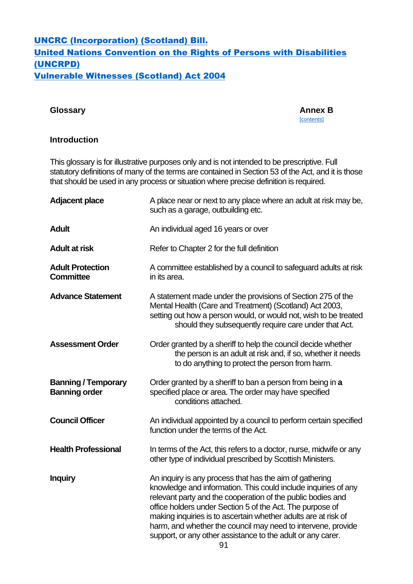# [UNCRC \(Incorporation\) \(Scotland\) Bill.](https://www.gov.scot/publications/united-nations-convention-rights-child-incorporation-scotland-bill-leaflet/)  [United Nations Convention on the Rights of Persons with Disabilities](https://www.un.org/development/desa/disabilities/convention-on-the-rights-of-persons-with-disabilities.html)  [\(UNCRPD\)](https://www.un.org/development/desa/disabilities/convention-on-the-rights-of-persons-with-disabilities.html) [Vulnerable Witnesses \(Scotland\) Act 2004](https://www.legislation.gov.uk/asp/2004/3/contents#:~:text=%20Vulnerable%20Witnesses%20%28Scotland%29%20Act%202004%20%201,proofs%20in%20relation%20to%20victim%20statements%20More%20)

## **Glossary Annex B**

# [\[contents\]](#page-1-0)

# **Introduction**

This glossary is for illustrative purposes only and is not intended to be prescriptive. Full statutory definitions of many of the terms are contained in Section 53 of the Act, and it is those that should be used in any process or situation where precise definition is required.

| <b>Adjacent place</b>                              | A place near or next to any place where an adult at risk may be,<br>such as a garage, outbuilding etc.                                                                                                                                                                                                                                                                                                                                                 |  |
|----------------------------------------------------|--------------------------------------------------------------------------------------------------------------------------------------------------------------------------------------------------------------------------------------------------------------------------------------------------------------------------------------------------------------------------------------------------------------------------------------------------------|--|
| <b>Adult</b>                                       | An individual aged 16 years or over                                                                                                                                                                                                                                                                                                                                                                                                                    |  |
| <b>Adult at risk</b>                               | Refer to Chapter 2 for the full definition                                                                                                                                                                                                                                                                                                                                                                                                             |  |
| <b>Adult Protection</b><br><b>Committee</b>        | A committee established by a council to safeguard adults at risk<br>in its area.                                                                                                                                                                                                                                                                                                                                                                       |  |
| <b>Advance Statement</b>                           | A statement made under the provisions of Section 275 of the<br>Mental Health (Care and Treatment) (Scotland) Act 2003,<br>setting out how a person would, or would not, wish to be treated<br>should they subsequently require care under that Act.                                                                                                                                                                                                    |  |
| <b>Assessment Order</b>                            | Order granted by a sheriff to help the council decide whether<br>the person is an adult at risk and, if so, whether it needs<br>to do anything to protect the person from harm.                                                                                                                                                                                                                                                                        |  |
| <b>Banning / Temporary</b><br><b>Banning order</b> | Order granted by a sheriff to ban a person from being in a<br>specified place or area. The order may have specified<br>conditions attached.                                                                                                                                                                                                                                                                                                            |  |
| <b>Council Officer</b>                             | An individual appointed by a council to perform certain specified<br>function under the terms of the Act.                                                                                                                                                                                                                                                                                                                                              |  |
| <b>Health Professional</b>                         | In terms of the Act, this refers to a doctor, nurse, midwife or any<br>other type of individual prescribed by Scottish Ministers.                                                                                                                                                                                                                                                                                                                      |  |
| <b>Inquiry</b>                                     | An inquiry is any process that has the aim of gathering<br>knowledge and information. This could include inquiries of any<br>relevant party and the cooperation of the public bodies and<br>office holders under Section 5 of the Act. The purpose of<br>making inquiries is to ascertain whether adults are at risk of<br>harm, and whether the council may need to intervene, provide<br>support, or any other assistance to the adult or any carer. |  |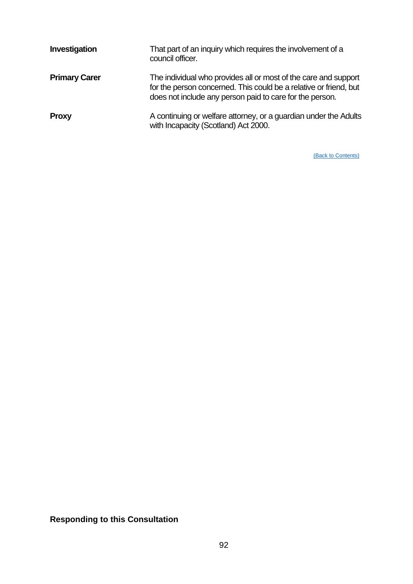| Investigation        | That part of an inquiry which requires the involvement of a<br>council officer.                                                                                                                  |
|----------------------|--------------------------------------------------------------------------------------------------------------------------------------------------------------------------------------------------|
| <b>Primary Carer</b> | The individual who provides all or most of the care and support<br>for the person concerned. This could be a relative or friend, but<br>does not include any person paid to care for the person. |
| <b>Proxy</b>         | A continuing or welfare attorney, or a guardian under the Adults<br>with Incapacity (Scotland) Act 2000.                                                                                         |

[\(Back to Contents\)](#page-1-0)

# **Responding to this Consultation**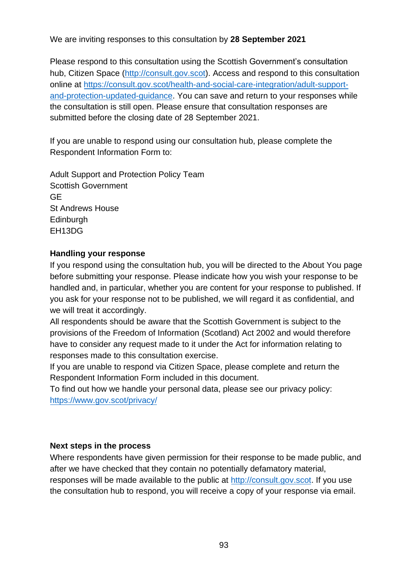We are inviting responses to this consultation by **28 September 2021**

Please respond to this consultation using the Scottish Government's consultation hub. Citizen Space [\(http://consult.gov.scot\)](http://consult.gov.scot/). Access and respond to this consultation online at [https://consult.gov.scot/health-and-social-care-integration/adult-support](https://consult.gov.scot/health-and-social-care-integration/adult-support-and-protection-updated-guidance)[and-protection-updated-guidance.](https://consult.gov.scot/health-and-social-care-integration/adult-support-and-protection-updated-guidance) You can save and return to your responses while the consultation is still open. Please ensure that consultation responses are submitted before the closing date of 28 September 2021.

If you are unable to respond using our consultation hub, please complete the Respondent Information Form to:

Adult Support and Protection Policy Team Scottish Government GE St Andrews House Edinburgh EH13DG

# **Handling your response**

If you respond using the consultation hub, you will be directed to the About You page before submitting your response. Please indicate how you wish your response to be handled and, in particular, whether you are content for your response to published. If you ask for your response not to be published, we will regard it as confidential, and we will treat it accordingly.

All respondents should be aware that the Scottish Government is subject to the provisions of the Freedom of Information (Scotland) Act 2002 and would therefore have to consider any request made to it under the Act for information relating to responses made to this consultation exercise.

If you are unable to respond via Citizen Space, please complete and return the Respondent Information Form included in this document.

To find out how we handle your personal data, please see our privacy policy: <https://www.gov.scot/privacy/>

# **Next steps in the process**

Where respondents have given permission for their response to be made public, and after we have checked that they contain no potentially defamatory material, responses will be made available to the public at [http://consult.gov.scot.](http://consult.gov.scot/) If you use the consultation hub to respond, you will receive a copy of your response via email.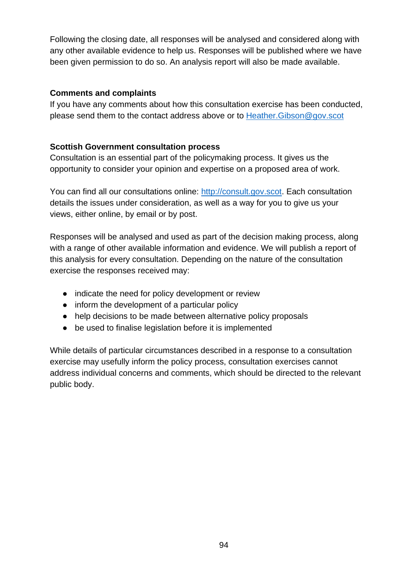Following the closing date, all responses will be analysed and considered along with any other available evidence to help us. Responses will be published where we have been given permission to do so. An analysis report will also be made available.

# **Comments and complaints**

If you have any comments about how this consultation exercise has been conducted, please send them to the contact address above or to [Heather.Gibson@gov.scot](mailto:Heather.Gibson@gov.scot)

# **Scottish Government consultation process**

Consultation is an essential part of the policymaking process. It gives us the opportunity to consider your opinion and expertise on a proposed area of work.

You can find all our consultations online: [http://consult.gov.scot.](http://consult.gov.scot/) Each consultation details the issues under consideration, as well as a way for you to give us your views, either online, by email or by post.

Responses will be analysed and used as part of the decision making process, along with a range of other available information and evidence. We will publish a report of this analysis for every consultation. Depending on the nature of the consultation exercise the responses received may:

- indicate the need for policy development or review
- inform the development of a particular policy
- help decisions to be made between alternative policy proposals
- be used to finalise legislation before it is implemented

While details of particular circumstances described in a response to a consultation exercise may usefully inform the policy process, consultation exercises cannot address individual concerns and comments, which should be directed to the relevant public body.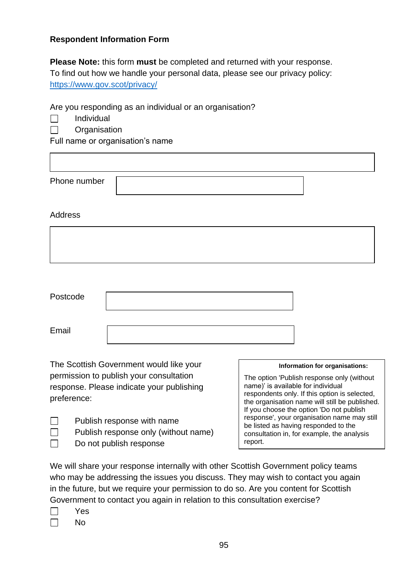# **Respondent Information Form**

**Please Note:** this form **must** be completed and returned with your response. To find out how we handle your personal data, please see our privacy policy: <https://www.gov.scot/privacy/>

Are you responding as an individual or an organisation?

- Individual **Tarat**
- П **Organisation**

Full name or organisation's name

| Phone number |  |
|--------------|--|

# Address

| Postcode |  |
|----------|--|
| Email    |  |

The Scottish Government would like your permission to publish your consultation response. Please indicate your publishing preference:

Publish response with name

Do not publish response

Publish response only (without name)

### **Information for organisations:**

The option 'Publish response only (without name)' is available for individual respondents only. If this option is selected, the organisation name will still be published. If you choose the option 'Do not publish response', your organisation name may still be listed as having responded to the consultation in, for example, the analysis report.

We will share your response internally with other Scottish Government policy teams who may be addressing the issues you discuss. They may wish to contact you again in the future, but we require your permission to do so. Are you content for Scottish Government to contact you again in relation to this consultation exercise?

|  | ч<br>ີ |
|--|--------|
|  |        |

 $\Box$  $\Box$  $\Box$ 

No  $\Box$